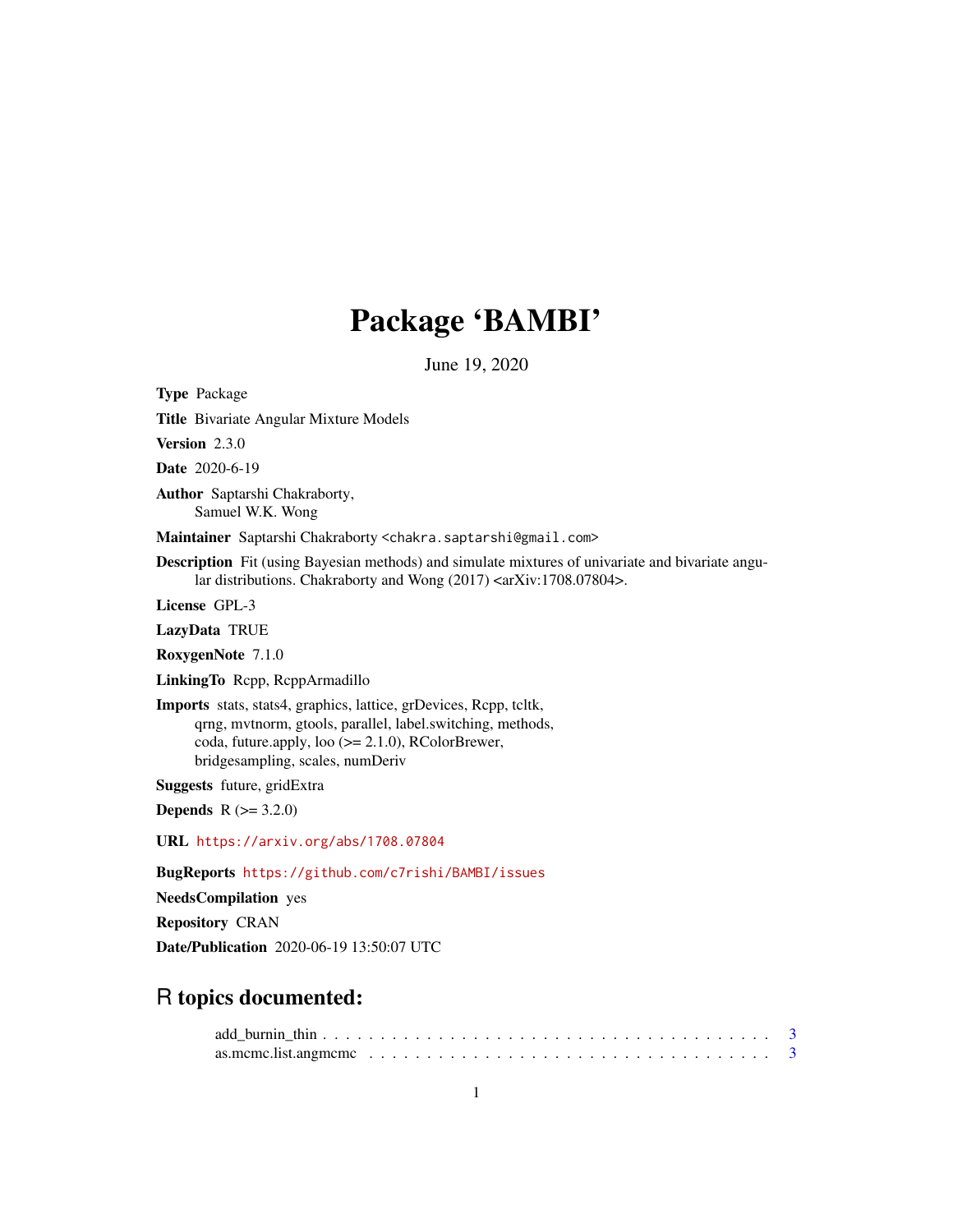# Package 'BAMBI'

June 19, 2020

<span id="page-0-0"></span>Type Package Title Bivariate Angular Mixture Models Version 2.3.0 Date 2020-6-19 Author Saptarshi Chakraborty, Samuel W.K. Wong Maintainer Saptarshi Chakraborty <chakra.saptarshi@gmail.com> Description Fit (using Bayesian methods) and simulate mixtures of univariate and bivariate angular distributions. Chakraborty and Wong (2017) <arXiv:1708.07804>. License GPL-3 LazyData TRUE RoxygenNote 7.1.0 LinkingTo Rcpp, RcppArmadillo Imports stats, stats4, graphics, lattice, grDevices, Rcpp, tcltk, qrng, mvtnorm, gtools, parallel, label.switching, methods, coda, future.apply, loo (>= 2.1.0), RColorBrewer, bridgesampling, scales, numDeriv Suggests future, gridExtra **Depends**  $R (= 3.2.0)$ URL <https://arxiv.org/abs/1708.07804> BugReports <https://github.com/c7rishi/BAMBI/issues> NeedsCompilation yes Repository CRAN Date/Publication 2020-06-19 13:50:07 UTC

## R topics documented: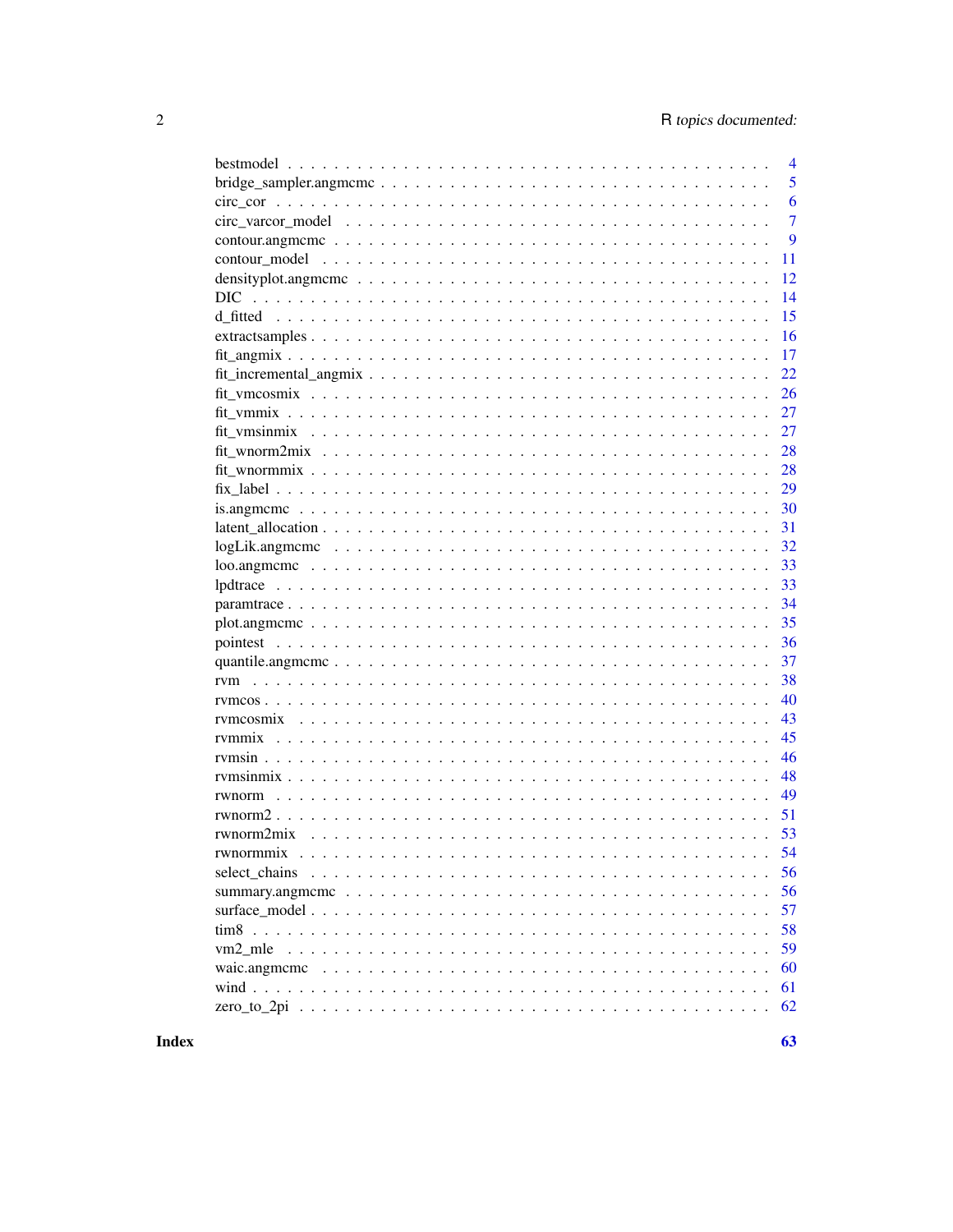|                                                                                                                    | 4              |
|--------------------------------------------------------------------------------------------------------------------|----------------|
|                                                                                                                    | 5              |
|                                                                                                                    | 6              |
|                                                                                                                    | $\overline{7}$ |
|                                                                                                                    | 9              |
|                                                                                                                    | 11             |
| density plot, angmeme $\ldots \ldots \ldots \ldots \ldots \ldots \ldots \ldots \ldots \ldots \ldots \ldots \ldots$ | 12             |
| DIC.                                                                                                               | 14             |
|                                                                                                                    | 15             |
|                                                                                                                    | 16             |
|                                                                                                                    | 17             |
|                                                                                                                    | 22             |
|                                                                                                                    | 26             |
|                                                                                                                    | 27             |
|                                                                                                                    | 27             |
|                                                                                                                    | 28             |
|                                                                                                                    | 28             |
|                                                                                                                    | 29             |
|                                                                                                                    | 30             |
|                                                                                                                    | 31             |
| $logLik$ .angmeme $\ldots \ldots \ldots \ldots \ldots \ldots \ldots \ldots \ldots \ldots \ldots \ldots$            | 32             |
|                                                                                                                    | 33             |
|                                                                                                                    | 33             |
|                                                                                                                    | 34             |
|                                                                                                                    | 35             |
|                                                                                                                    | 36             |
|                                                                                                                    | 37             |
|                                                                                                                    | 38             |
|                                                                                                                    | 40             |
|                                                                                                                    | 43             |
|                                                                                                                    | 45             |
|                                                                                                                    | 46             |
|                                                                                                                    | 48             |
|                                                                                                                    | 49             |
|                                                                                                                    | 51             |
| rwnorm2mix                                                                                                         | 53             |
| rwnormmix                                                                                                          | 54             |
| select chains                                                                                                      | 56             |
|                                                                                                                    | 56             |
|                                                                                                                    | 57             |
|                                                                                                                    | 58             |
| vm2 mle                                                                                                            | 59             |
| waic.angmeme                                                                                                       | 60             |
|                                                                                                                    | 61             |
|                                                                                                                    | 62             |
|                                                                                                                    |                |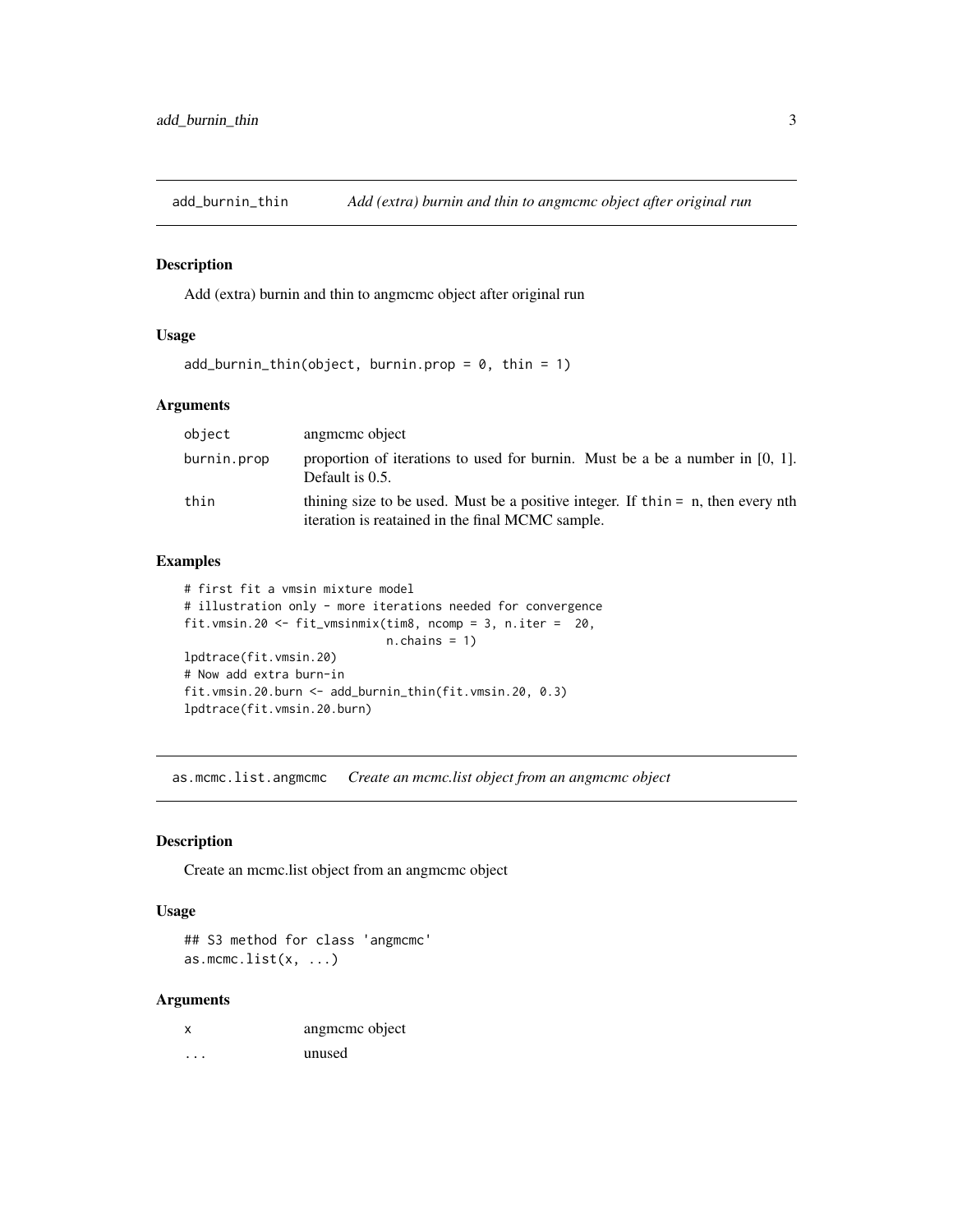<span id="page-2-0"></span>add\_burnin\_thin *Add (extra) burnin and thin to angmcmc object after original run*

## Description

Add (extra) burnin and thin to angmcmc object after original run

## Usage

```
add\_burnin\_thin(object, burnin.pop = 0, thin = 1)
```
## Arguments

| object      | angmeme object                                                                                                                         |
|-------------|----------------------------------------------------------------------------------------------------------------------------------------|
| burnin.prop | proportion of iterations to used for burnin. Must be a be a number in $[0, 1]$ .<br>Default is 0.5.                                    |
| thin        | thining size to be used. Must be a positive integer. If thin $=$ n, then every nth<br>iteration is reatained in the final MCMC sample. |

## Examples

```
# first fit a vmsin mixture model
# illustration only - more iterations needed for convergence
fit.vmsin.20 <- fit_vmsinmix(tim8, ncomp = 3, n.iter = 20,
                             n.chains = 1)
lpdtrace(fit.vmsin.20)
# Now add extra burn-in
fit.vmsin.20.burn <- add_burnin_thin(fit.vmsin.20, 0.3)
lpdtrace(fit.vmsin.20.burn)
```
as.mcmc.list.angmcmc *Create an mcmc.list object from an angmcmc object*

## Description

Create an mcmc.list object from an angmcmc object

#### Usage

## S3 method for class 'angmcmc' as.mcmc.list $(x, \ldots)$ 

| x | angmeme object |
|---|----------------|
| . | unused         |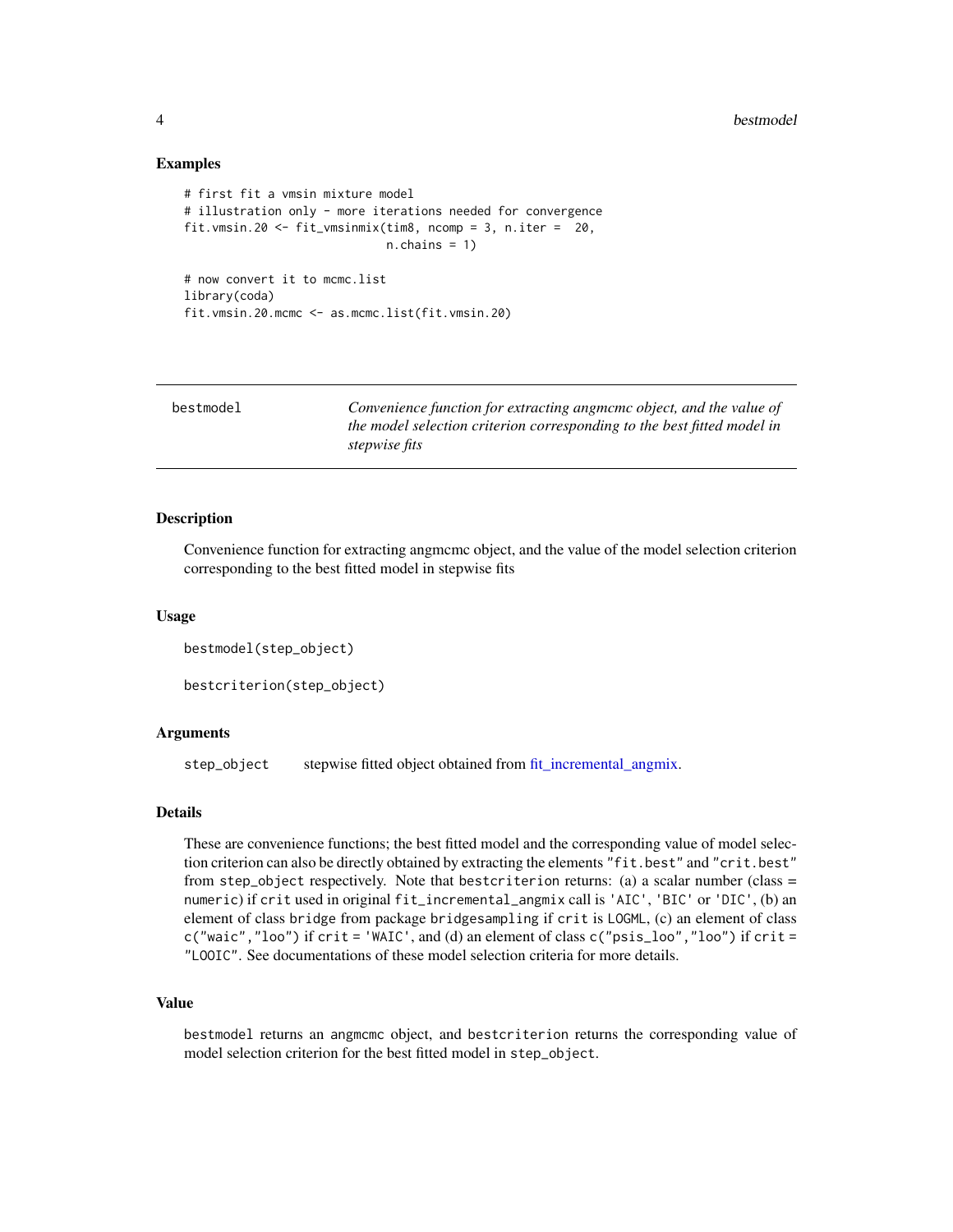#### <span id="page-3-0"></span>Examples

```
# first fit a vmsin mixture model
# illustration only - more iterations needed for convergence
fit.vmsin.20 <- fit_vmsinmix(tim8, ncomp = 3, n.iter = 20,
                             n.chains = 1)
# now convert it to mcmc.list
library(coda)
fit.vmsin.20.mcmc <- as.mcmc.list(fit.vmsin.20)
```

| bestmodel | Convenience function for extracting angmeme object, and the value of<br>the model selection criterion corresponding to the best fitted model in<br><i>stepwise fits</i> |
|-----------|-------------------------------------------------------------------------------------------------------------------------------------------------------------------------|
|           |                                                                                                                                                                         |

#### Description

Convenience function for extracting angmcmc object, and the value of the model selection criterion corresponding to the best fitted model in stepwise fits

#### Usage

```
bestmodel(step_object)
```

```
bestcriterion(step_object)
```
## Arguments

step\_object stepwise fitted object obtained from [fit\\_incremental\\_angmix.](#page-21-1)

#### Details

These are convenience functions; the best fitted model and the corresponding value of model selection criterion can also be directly obtained by extracting the elements "fit.best" and "crit.best" from step\_object respectively. Note that bestcriterion returns: (a) a scalar number (class = numeric) if crit used in original fit\_incremental\_angmix call is 'AIC', 'BIC' or 'DIC', (b) an element of class bridge from package bridgesampling if crit is LOGML, (c) an element of class c("waic","loo") if crit = 'WAIC', and (d) an element of class c("psis\_loo","loo") if crit = "LOOIC". See documentations of these model selection criteria for more details.

## Value

bestmodel returns an angmcmc object, and bestcriterion returns the corresponding value of model selection criterion for the best fitted model in step\_object.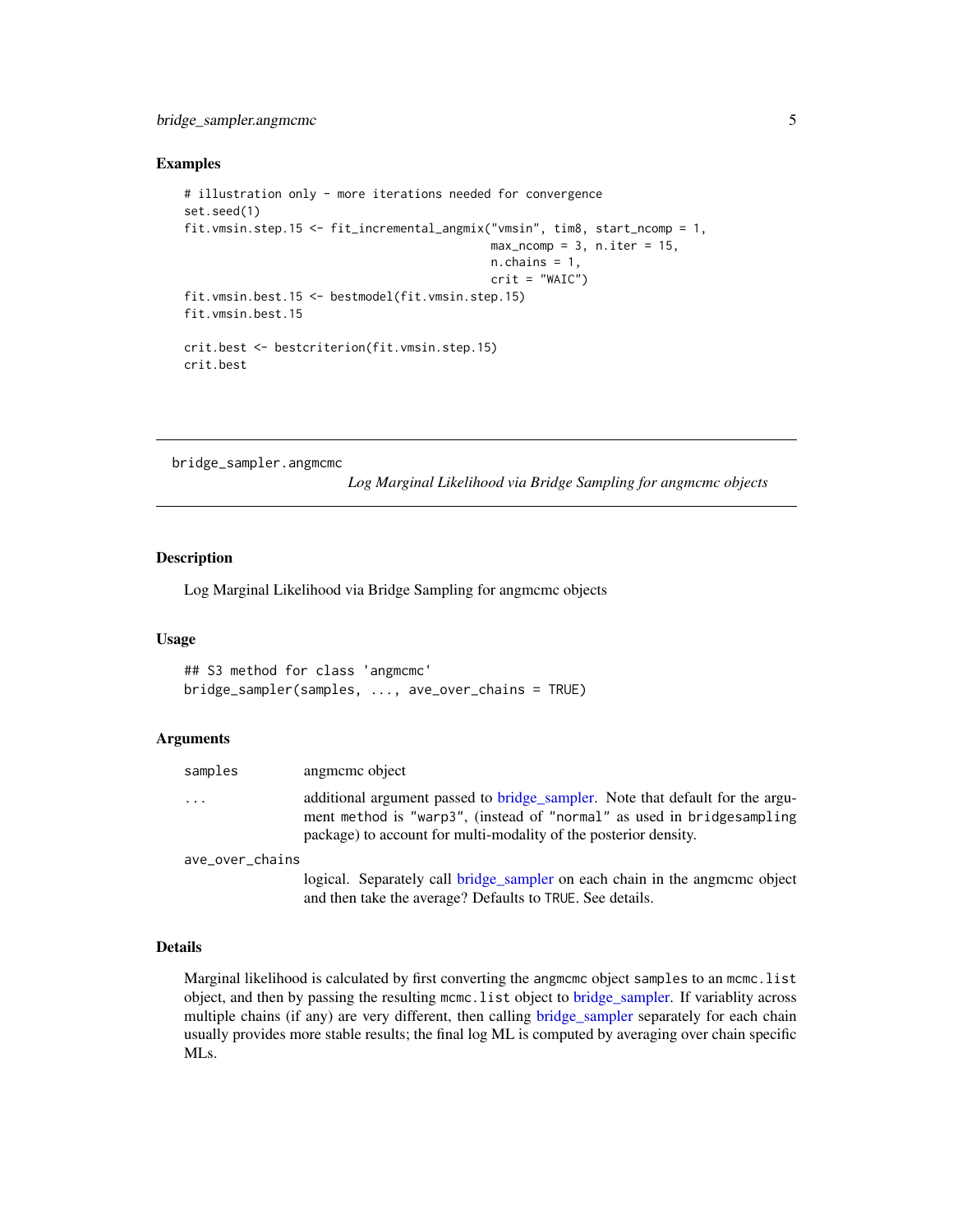## <span id="page-4-0"></span>bridge\_sampler.angmcmc 5

#### Examples

```
# illustration only - more iterations needed for convergence
set.seed(1)
fit.vmsin.step.15 <- fit_incremental_angmix("vmsin", tim8, start_ncomp = 1,
                                            max\_ncomp = 3, n.iter = 15,
                                            n.chains = 1,
                                            crit = "WAIC")fit.vmsin.best.15 <- bestmodel(fit.vmsin.step.15)
fit.vmsin.best.15
crit.best <- bestcriterion(fit.vmsin.step.15)
crit.best
```
bridge\_sampler.angmcmc

*Log Marginal Likelihood via Bridge Sampling for angmcmc objects*

#### Description

Log Marginal Likelihood via Bridge Sampling for angmcmc objects

#### Usage

```
## S3 method for class 'angmcmc'
bridge_sampler(samples, ..., ave_over_chains = TRUE)
```
#### **Arguments**

| samples         | angmeme object                                                                                                                                                                                                               |
|-----------------|------------------------------------------------------------------------------------------------------------------------------------------------------------------------------------------------------------------------------|
| .               | additional argument passed to bridge_sampler. Note that default for the argu-<br>ment method is "warp3", (instead of "normal" as used in bridges ampling<br>package) to account for multi-modality of the posterior density. |
| ave_over_chains |                                                                                                                                                                                                                              |
|                 | logical. Separately call bridge_sampler on each chain in the angmome object<br>and then take the average? Defaults to TRUE. See details.                                                                                     |

#### Details

Marginal likelihood is calculated by first converting the angmeme object samples to an meme. list object, and then by passing the resulting mcmc.list object to [bridge\\_sampler.](#page-0-0) If variablity across multiple chains (if any) are very different, then calling [bridge\\_sampler](#page-0-0) separately for each chain usually provides more stable results; the final log ML is computed by averaging over chain specific MLs.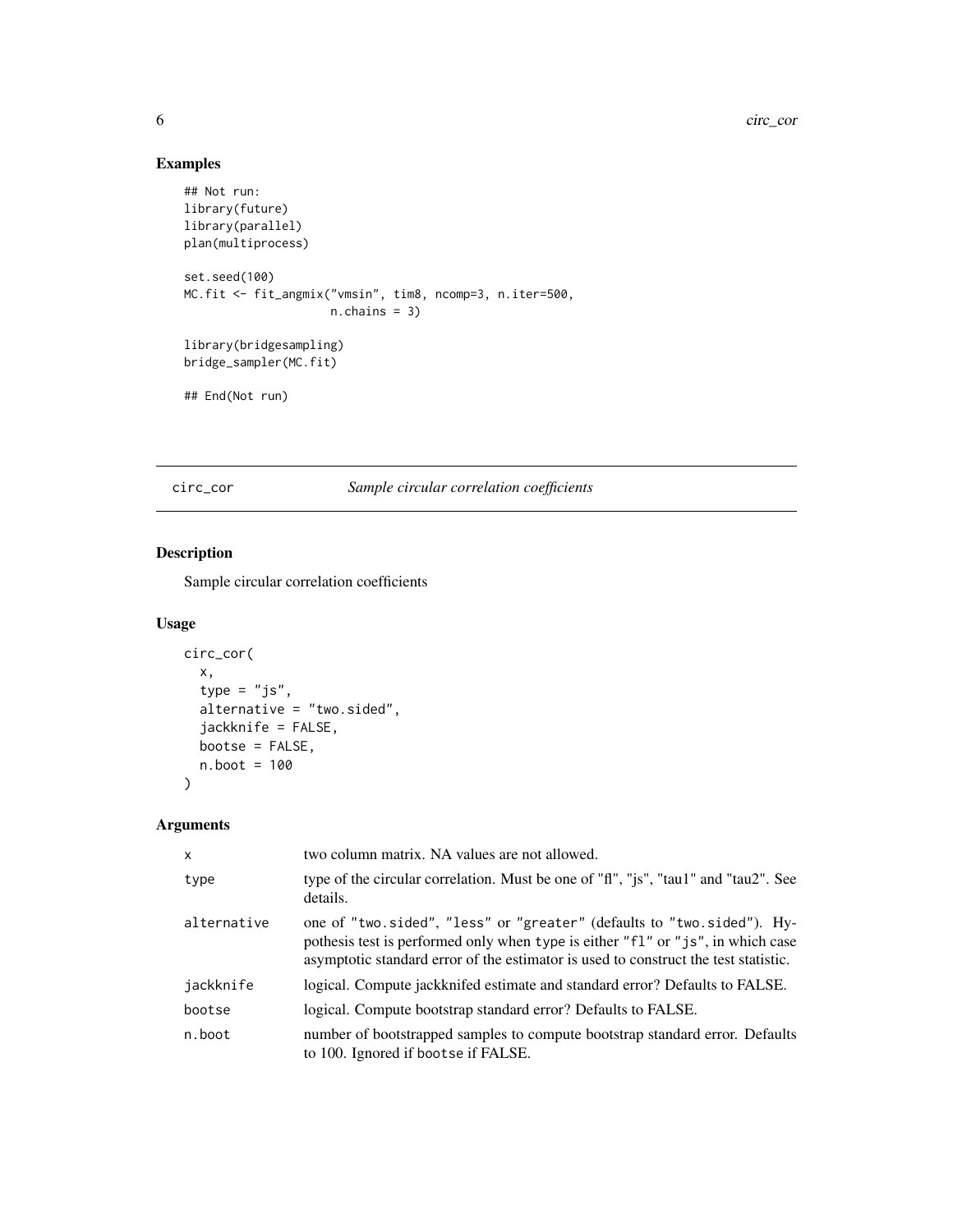## Examples

```
## Not run:
library(future)
library(parallel)
plan(multiprocess)
set.seed(100)
MC.fit <- fit_angmix("vmsin", tim8, ncomp=3, n.iter=500,
                    n.chains = 3)
library(bridgesampling)
bridge_sampler(MC.fit)
## End(Not run)
```
circ\_cor *Sample circular correlation coefficients*

## Description

Sample circular correlation coefficients

## Usage

```
circ_cor(
  x,
  type = "js",
  alternative = "two.sided",
  jackknife = FALSE,
 bootse = FALSE,
 n.boot = 100
)
```

| $\mathsf{x}$ | two column matrix. NA values are not allowed.                                                                                                                                                                                                    |
|--------------|--------------------------------------------------------------------------------------------------------------------------------------------------------------------------------------------------------------------------------------------------|
| type         | type of the circular correlation. Must be one of "fl", "js", "tau1" and "tau2". See<br>details.                                                                                                                                                  |
| alternative  | one of "two.sided", "less" or "greater" (defaults to "two.sided"). Hy-<br>pothesis test is performed only when type is either "f1" or "js", in which case<br>asymptotic standard error of the estimator is used to construct the test statistic. |
| jackknife    | logical. Compute jackknifed estimate and standard error? Defaults to FALSE.                                                                                                                                                                      |
| bootse       | logical. Compute bootstrap standard error? Defaults to FALSE.                                                                                                                                                                                    |
| n.boot       | number of bootstrapped samples to compute bootstrap standard error. Defaults<br>to 100. Ignored if bootse if FALSE.                                                                                                                              |

<span id="page-5-0"></span>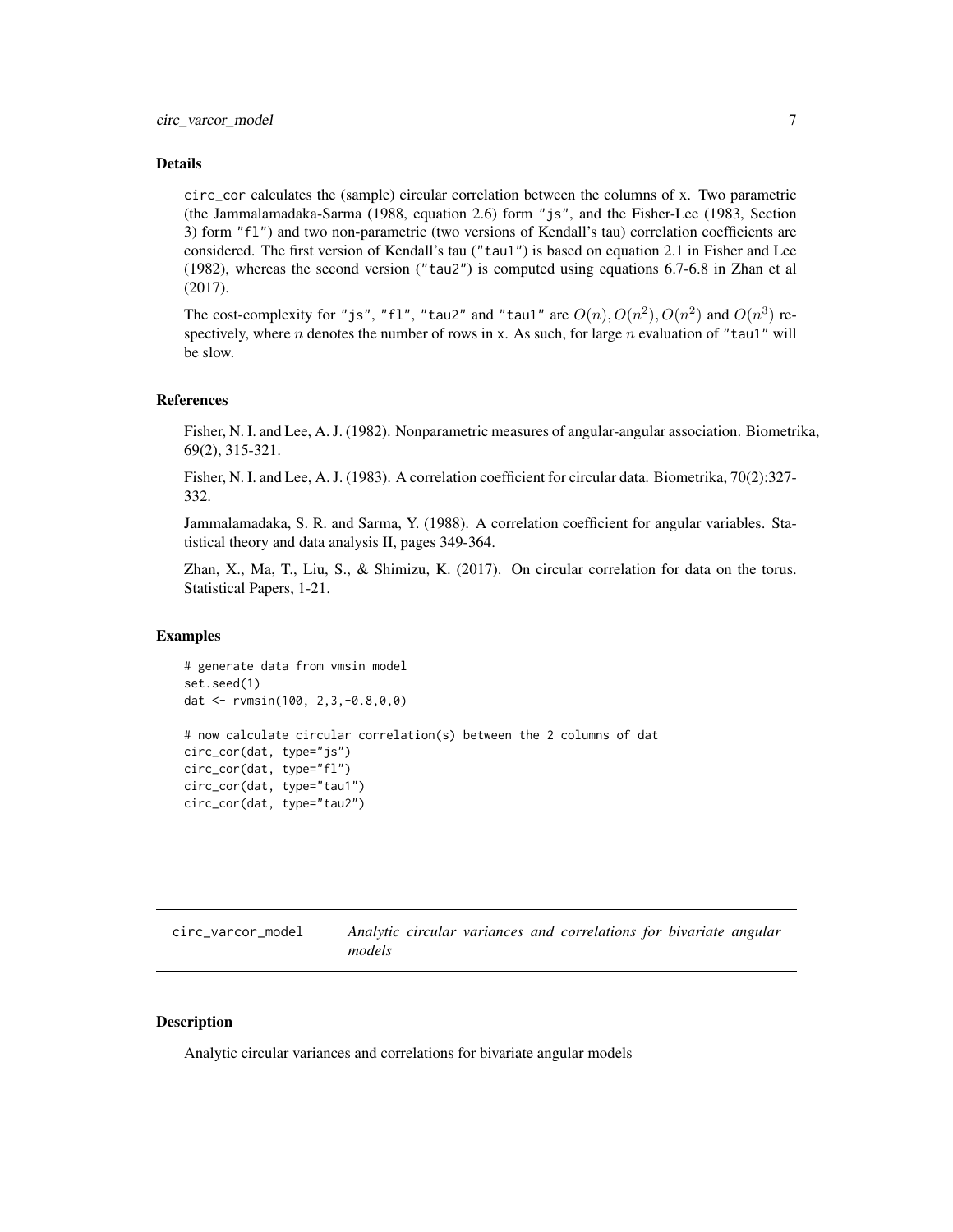#### <span id="page-6-0"></span>Details

circ\_cor calculates the (sample) circular correlation between the columns of x. Two parametric (the Jammalamadaka-Sarma (1988, equation 2.6) form "js", and the Fisher-Lee (1983, Section 3) form "fl") and two non-parametric (two versions of Kendall's tau) correlation coefficients are considered. The first version of Kendall's tau ("tau1") is based on equation 2.1 in Fisher and Lee (1982), whereas the second version ("tau2") is computed using equations 6.7-6.8 in Zhan et al (2017).

The cost-complexity for "js", "fl", "tau2" and "tau1" are  $O(n)$ ,  $O(n^2)$ ,  $O(n^2)$  and  $O(n^3)$  respectively, where n denotes the number of rows in x. As such, for large n evaluation of "tau1" will be slow.

#### References

Fisher, N. I. and Lee, A. J. (1982). Nonparametric measures of angular-angular association. Biometrika, 69(2), 315-321.

Fisher, N. I. and Lee, A. J. (1983). A correlation coefficient for circular data. Biometrika, 70(2):327- 332.

Jammalamadaka, S. R. and Sarma, Y. (1988). A correlation coefficient for angular variables. Statistical theory and data analysis II, pages 349-364.

Zhan, X., Ma, T., Liu, S., & Shimizu, K. (2017). On circular correlation for data on the torus. Statistical Papers, 1-21.

#### Examples

```
# generate data from vmsin model
set.seed(1)
dat <- rvmsin(100, 2,3,-0.8,0,0)
# now calculate circular correlation(s) between the 2 columns of dat
circ_cor(dat, type="js")
circ_cor(dat, type="fl")
circ_cor(dat, type="tau1")
circ_cor(dat, type="tau2")
```

| circ_varcor_model | Analytic circular variances and correlations for bivariate angular |  |  |  |
|-------------------|--------------------------------------------------------------------|--|--|--|
|                   | models                                                             |  |  |  |

#### **Description**

Analytic circular variances and correlations for bivariate angular models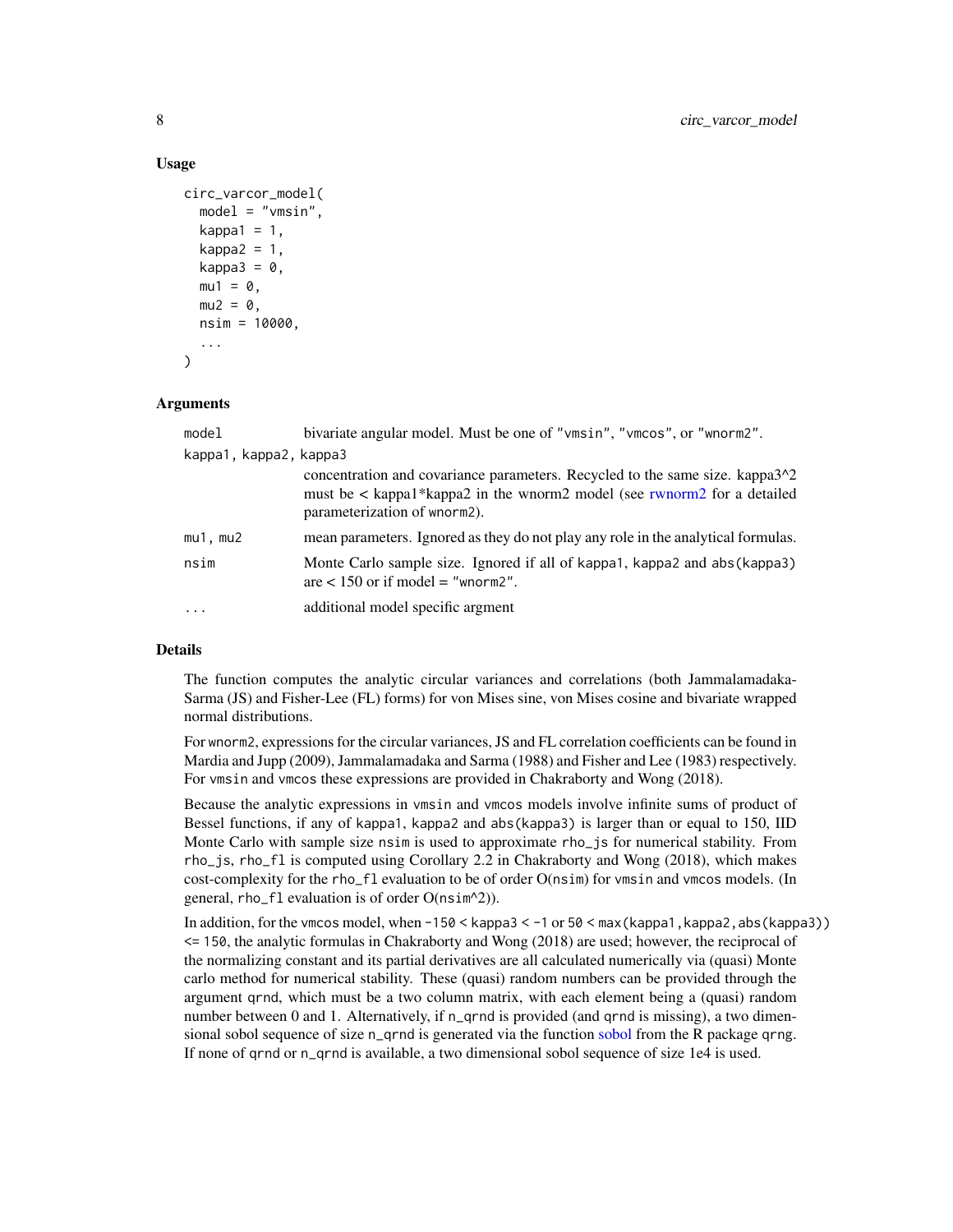#### Usage

```
circ_varcor_model(
 model = "vmsin",kappa1 = 1,
  kappa2 = 1,
  kappa3 = 0,
 mu1 = 0,
 mu2 = 0,
  nsim = 10000,
  ...
)
```
## Arguments

| model                  | bivariate angular model. Must be one of "vmsin", "vmcos", or "wnorm2".                                                                                                                      |
|------------------------|---------------------------------------------------------------------------------------------------------------------------------------------------------------------------------------------|
| kappa1, kappa2, kappa3 |                                                                                                                                                                                             |
|                        | concentration and covariance parameters. Recycled to the same size. kappa3^2<br>must be $\lt$ kappa1*kappa2 in the wnorm2 model (see rwnorm2 for a detailed<br>parameterization of wnorm2). |
| mu1, mu2               | mean parameters. Ignored as they do not play any role in the analytical formulas.                                                                                                           |
| nsim                   | Monte Carlo sample size. Ignored if all of kappa1, kappa2 and abs (kappa3)<br>are $< 150$ or if model = "whorm2".                                                                           |
| $\cdots$               | additional model specific argment                                                                                                                                                           |

## Details

The function computes the analytic circular variances and correlations (both Jammalamadaka-Sarma (JS) and Fisher-Lee (FL) forms) for von Mises sine, von Mises cosine and bivariate wrapped normal distributions.

For wnorm2, expressions for the circular variances, JS and FL correlation coefficients can be found in Mardia and Jupp (2009), Jammalamadaka and Sarma (1988) and Fisher and Lee (1983) respectively. For vmsin and vmcos these expressions are provided in Chakraborty and Wong (2018).

Because the analytic expressions in vmsin and vmcos models involve infinite sums of product of Bessel functions, if any of kappa1, kappa2 and abs(kappa3) is larger than or equal to 150, IID Monte Carlo with sample size nsim is used to approximate rho\_js for numerical stability. From rho\_js, rho\_fl is computed using Corollary 2.2 in Chakraborty and Wong (2018), which makes cost-complexity for the rho\_fl evaluation to be of order O(nsim) for vmsin and vmcos models. (In general, rho\_fl evaluation is of order O(nsim^2)).

In addition, for the vmcos model, when  $-150 \leq$  kappa3  $\leq -1$  or  $50 \leq$  max (kappa1, kappa2, abs (kappa3)) <= 150, the analytic formulas in Chakraborty and Wong (2018) are used; however, the reciprocal of the normalizing constant and its partial derivatives are all calculated numerically via (quasi) Monte carlo method for numerical stability. These (quasi) random numbers can be provided through the argument qrnd, which must be a two column matrix, with each element being a (quasi) random number between 0 and 1. Alternatively, if n\_qrnd is provided (and qrnd is missing), a two dimensional sobol sequence of size n\_qrnd is generated via the function [sobol](#page-0-0) from the R package qrng. If none of qrnd or n\_qrnd is available, a two dimensional sobol sequence of size 1e4 is used.

<span id="page-7-0"></span>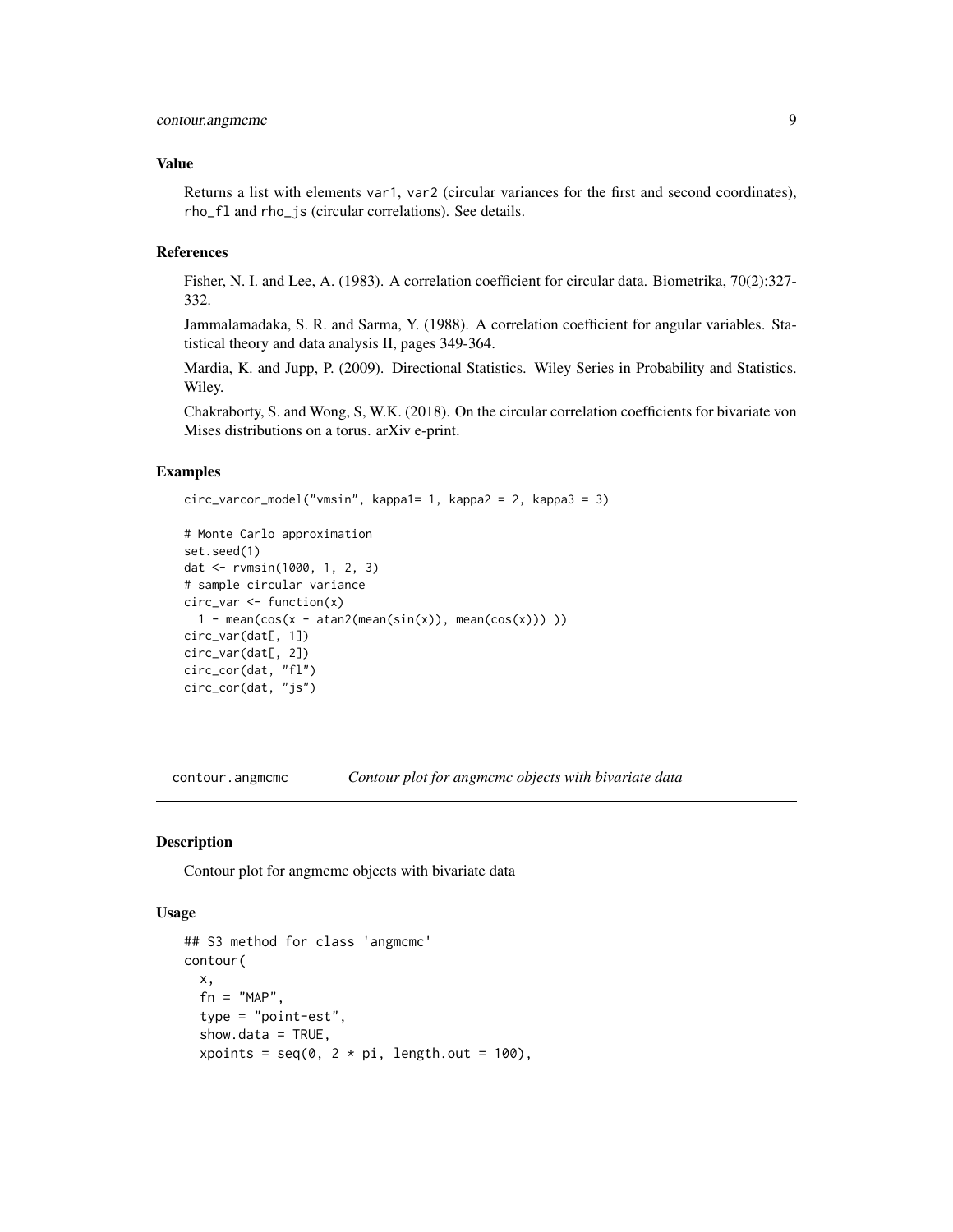## <span id="page-8-0"></span>contour.angmcmc 9

#### Value

Returns a list with elements var1, var2 (circular variances for the first and second coordinates), rho\_fl and rho\_js (circular correlations). See details.

## References

Fisher, N. I. and Lee, A. (1983). A correlation coefficient for circular data. Biometrika, 70(2):327- 332.

Jammalamadaka, S. R. and Sarma, Y. (1988). A correlation coefficient for angular variables. Statistical theory and data analysis II, pages 349-364.

Mardia, K. and Jupp, P. (2009). Directional Statistics. Wiley Series in Probability and Statistics. Wiley.

Chakraborty, S. and Wong, S, W.K. (2018). On the circular correlation coefficients for bivariate von Mises distributions on a torus. arXiv e-print.

## Examples

```
circ_varcor_model("vmsin", kappa1= 1, kappa2 = 2, kappa3 = 3)
```

```
# Monte Carlo approximation
set.seed(1)
dat <- rvmsin(1000, 1, 2, 3)
# sample circular variance
circ_var <- function(x)
  1 - \text{mean}(\cos(x - \text{atan2}(\text{mean}(\sin(x))), \text{mean}(\cos(x))))circ_var(dat[, 1])
circ_var(dat[, 2])
circ_cor(dat, "fl")
circ_cor(dat, "js")
```
contour.angmcmc *Contour plot for angmcmc objects with bivariate data*

#### Description

Contour plot for angmcmc objects with bivariate data

#### Usage

```
## S3 method for class 'angmcmc'
contour(
 x,
  fn = "MAP".type = "point-est",
  show.data = TRUE,
  xpoints = seq(0, 2 * pi, length.out = 100),
```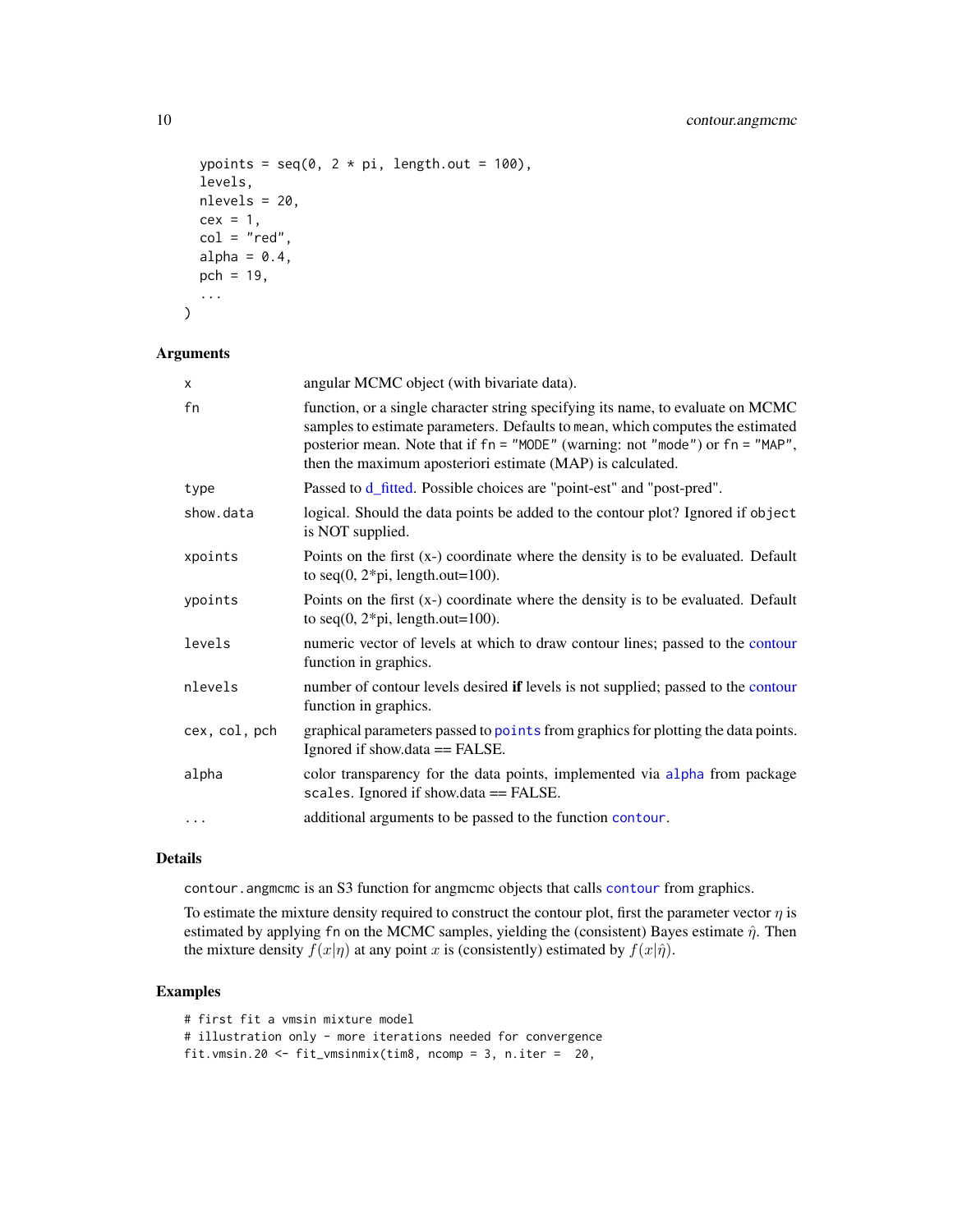```
ypoints = seq(0, 2 * pi, length.out = 100),
  levels,
 nlevels = 20,
 cex = 1,
 col = "red",alpha = 0.4,
 pch = 19,
  ...
)
```
#### Arguments

| X             | angular MCMC object (with bivariate data).                                                                                                                                                                                                                                                                       |
|---------------|------------------------------------------------------------------------------------------------------------------------------------------------------------------------------------------------------------------------------------------------------------------------------------------------------------------|
| fn            | function, or a single character string specifying its name, to evaluate on MCMC<br>samples to estimate parameters. Defaults to mean, which computes the estimated<br>posterior mean. Note that if fn = "MODE" (warning: not "mode") or fn = "MAP",<br>then the maximum aposteriori estimate (MAP) is calculated. |
| type          | Passed to d_fitted. Possible choices are "point-est" and "post-pred".                                                                                                                                                                                                                                            |
| show.data     | logical. Should the data points be added to the contour plot? Ignored if object<br>is NOT supplied.                                                                                                                                                                                                              |
| xpoints       | Points on the first $(x-)$ coordinate where the density is to be evaluated. Default<br>to seq $(0, 2 \cdot \pi)$ , length.out=100).                                                                                                                                                                              |
| ypoints       | Points on the first $(x-)$ coordinate where the density is to be evaluated. Default<br>to seq $(0, 2 \cdot \pi)$ , length.out=100).                                                                                                                                                                              |
| levels        | numeric vector of levels at which to draw contour lines; passed to the contour<br>function in graphics.                                                                                                                                                                                                          |
| nlevels       | number of contour levels desired if levels is not supplied; passed to the contour<br>function in graphics.                                                                                                                                                                                                       |
| cex, col, pch | graphical parameters passed to point from graphics for plotting the data points.<br>Ignored if show.data $==$ FALSE.                                                                                                                                                                                             |
| alpha         | color transparency for the data points, implemented via alpha from package<br>scales. Ignored if show.data == FALSE.                                                                                                                                                                                             |
| $\cdots$      | additional arguments to be passed to the function contour.                                                                                                                                                                                                                                                       |

## Details

contour.angmcmc is an S3 function for angmcmc objects that calls [contour](#page-0-0) from graphics.

To estimate the mixture density required to construct the contour plot, first the parameter vector  $\eta$  is estimated by applying fn on the MCMC samples, yielding the (consistent) Bayes estimate  $\hat{\eta}$ . Then the mixture density  $f(x|\eta)$  at any point x is (consistently) estimated by  $f(x|\hat{\eta})$ .

## Examples

# first fit a vmsin mixture model # illustration only - more iterations needed for convergence fit.vmsin.20 <- fit\_vmsinmix(tim8, ncomp = 3, n.iter = 20,

<span id="page-9-0"></span>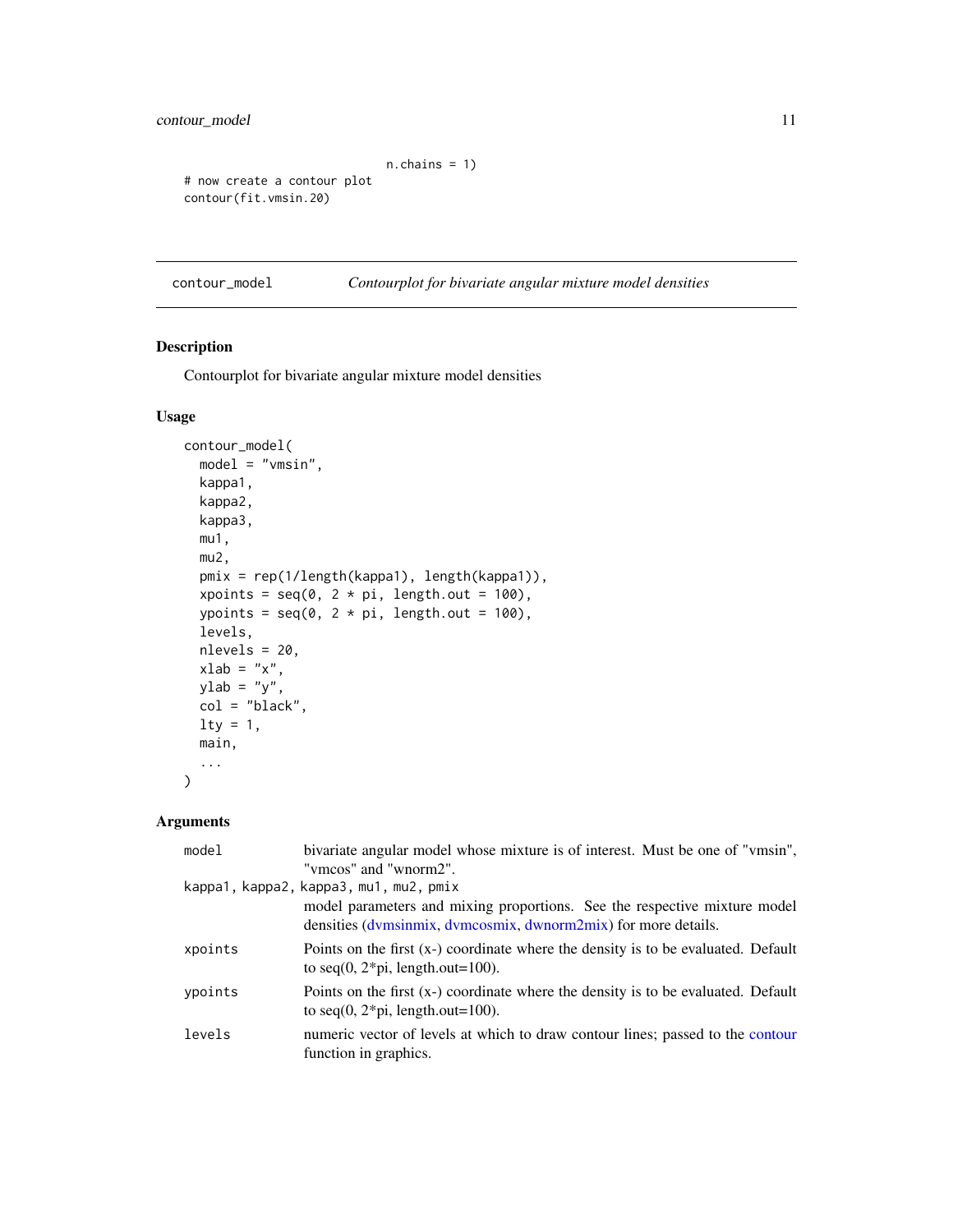```
n.chains = 1)
# now create a contour plot
contour(fit.vmsin.20)
```
contour\_model *Contourplot for bivariate angular mixture model densities*

## Description

Contourplot for bivariate angular mixture model densities

## Usage

```
contour_model(
 model = "vmsin",
 kappa1,
 kappa2,
 kappa3,
 mu1,
 mu2,
 pmix = rep(1/length(kappa1), length(kappa1)),
  xpoints = seq(0, 2 * pi, length.out = 100),ypoints = seq(0, 2 * pi, length.out = 100),
  levels,
 nlevels = 20,
  xlab = "x",
 ylab = "y",
 col = "black",1ty = 1,main,
  ...
\mathcal{L}
```

| model   | bivariate angular model whose mixture is of interest. Must be one of "vmsin",                                                               |
|---------|---------------------------------------------------------------------------------------------------------------------------------------------|
|         | "vmcos" and "wnorm2".                                                                                                                       |
|         | kappa1, kappa2, kappa3, mu1, mu2, pmix                                                                                                      |
|         | model parameters and mixing proportions. See the respective mixture model<br>densities (dymsinmix, dymcosmix, dwnorm2mix) for more details. |
| xpoints | Points on the first $(x-)$ coordinate where the density is to be evaluated. Default<br>to seq(0, $2 \times pi$ , length.out=100).           |
| ypoints | Points on the first (x-) coordinate where the density is to be evaluated. Default<br>to seq $(0, 2 \cdot \pi)$ , length.out=100).           |
| levels  | numeric vector of levels at which to draw contour lines; passed to the contour<br>function in graphics.                                     |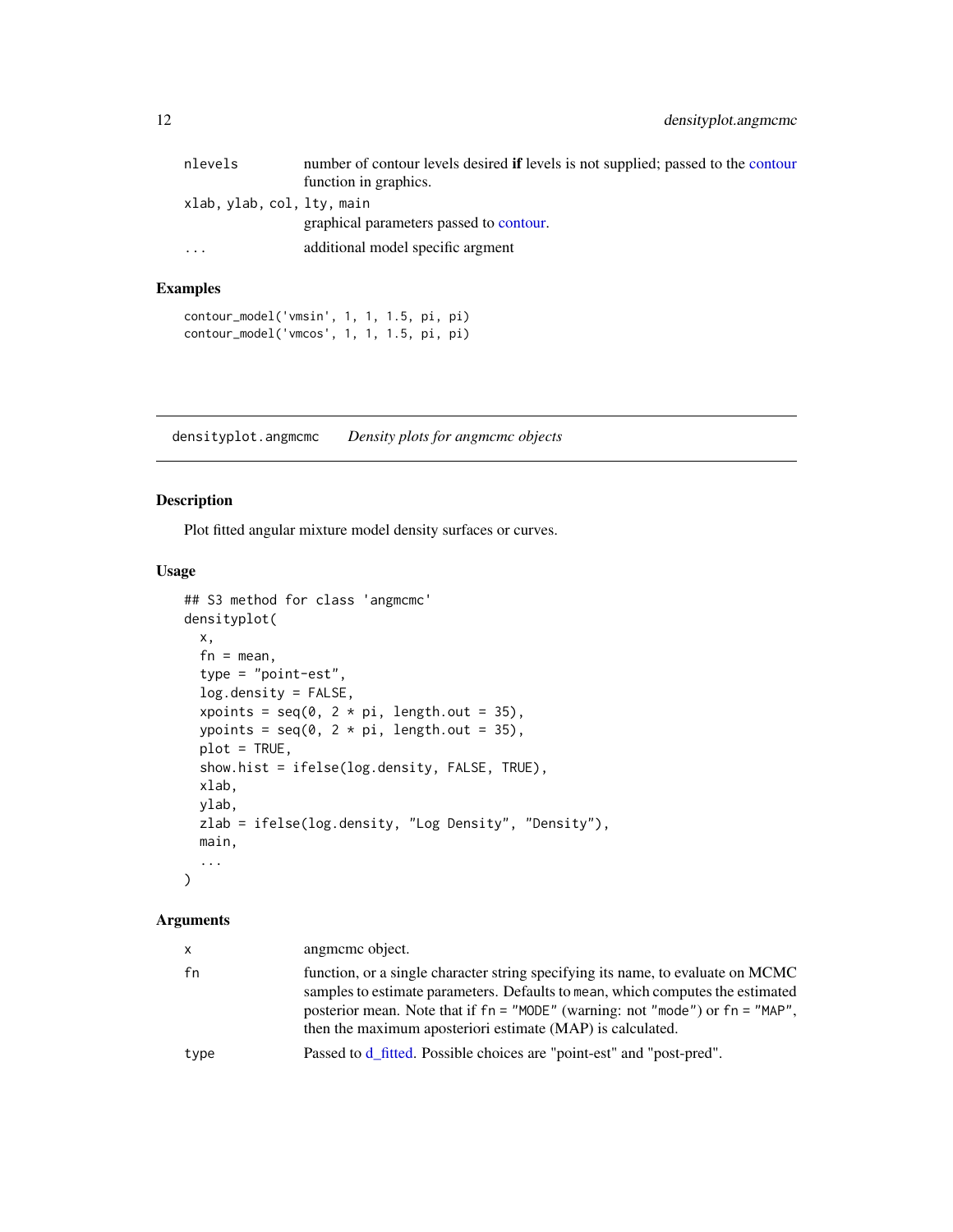<span id="page-11-0"></span>

| nlevels                    | number of contour levels desired <b>if</b> levels is not supplied; passed to the contour |
|----------------------------|------------------------------------------------------------------------------------------|
|                            | function in graphics.                                                                    |
| xlab, ylab, col, lty, main |                                                                                          |
|                            | graphical parameters passed to contour.                                                  |
| $\ddotsc$                  | additional model specific argment                                                        |

## Examples

```
contour_model('vmsin', 1, 1, 1.5, pi, pi)
contour_model('vmcos', 1, 1, 1.5, pi, pi)
```
densityplot.angmcmc *Density plots for angmcmc objects*

## Description

Plot fitted angular mixture model density surfaces or curves.

#### Usage

```
## S3 method for class 'angmcmc'
densityplot(
 x,
  fn = mean,type = "point-est",
  log.density = FALSE,
  xpoints = seq(0, 2 * pi, length.out = 35),
  ypoints = seq(0, 2 * pi, length.out = 35),
 plot = TRUE,
  show.hist = ifelse(log.density, FALSE, TRUE),
 xlab,
 ylab,
 zlab = ifelse(log.density, "Log Density", "Density"),
 main,
  ...
\mathcal{L}
```

| x.   | angmeme object.                                                                                                                                                                                                                                                                                                  |
|------|------------------------------------------------------------------------------------------------------------------------------------------------------------------------------------------------------------------------------------------------------------------------------------------------------------------|
| fn   | function, or a single character string specifying its name, to evaluate on MCMC<br>samples to estimate parameters. Defaults to mean, which computes the estimated<br>posterior mean. Note that if fn = "MODE" (warning: not "mode") or fn = "MAP",<br>then the maximum aposteriori estimate (MAP) is calculated. |
| type | Passed to d_fitted. Possible choices are "point-est" and "post-pred".                                                                                                                                                                                                                                            |
|      |                                                                                                                                                                                                                                                                                                                  |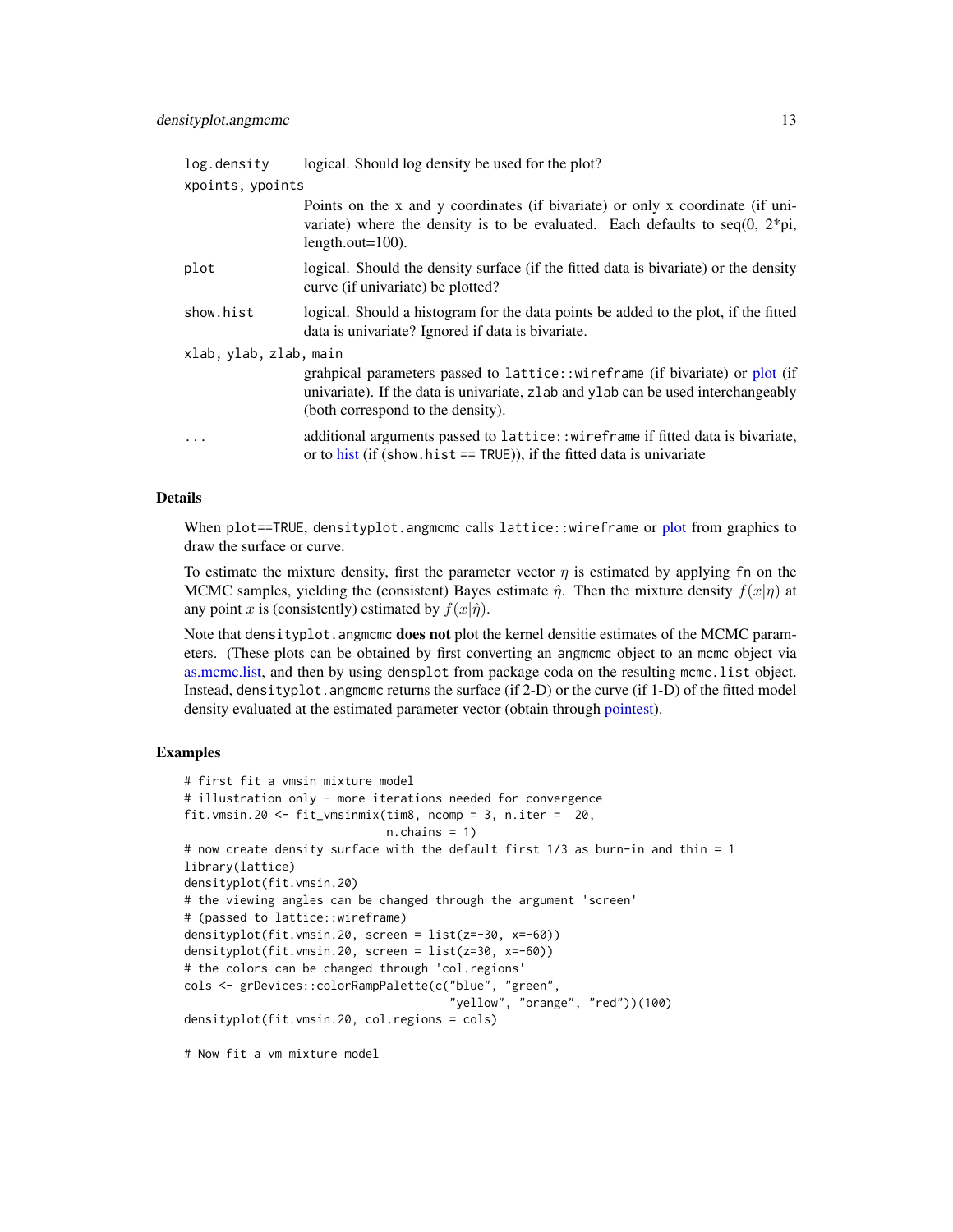<span id="page-12-0"></span>

| log.density            | logical. Should log density be used for the plot?                                                                                                                                                        |  |
|------------------------|----------------------------------------------------------------------------------------------------------------------------------------------------------------------------------------------------------|--|
| xpoints, ypoints       |                                                                                                                                                                                                          |  |
|                        | Points on the x and y coordinates (if bivariate) or only x coordinate (if uni-<br>variate) where the density is to be evaluated. Each defaults to $seq(0, 2*pi)$ ,<br>length.out= $100$ ).               |  |
| plot                   | logical. Should the density surface (if the fitted data is bivariate) or the density<br>curve (if univariate) be plotted?                                                                                |  |
| show.hist              | logical. Should a histogram for the data points be added to the plot, if the fitted<br>data is univariate? Ignored if data is bivariate.                                                                 |  |
| xlab, ylab, zlab, main |                                                                                                                                                                                                          |  |
|                        | grahpical parameters passed to lattice::wireframe (if bivariate) or plot (if<br>univariate). If the data is univariate, z lab and y lab can be used interchangeably<br>(both correspond to the density). |  |
| .                      | additional arguments passed to lattice: : wireframe if fitted data is bivariate,<br>or to hist (if (show hist $==$ TRUE)), if the fitted data is univariate                                              |  |

### Details

When [plot](#page-0-0)==TRUE, densityplot.angmcmc calls lattice::wireframe or plot from graphics to draw the surface or curve.

To estimate the mixture density, first the parameter vector  $\eta$  is estimated by applying fn on the MCMC samples, yielding the (consistent) Bayes estimate  $\hat{\eta}$ . Then the mixture density  $f(x|\eta)$  at any point x is (consistently) estimated by  $f(x|\hat{\eta})$ .

Note that densityplot. angmcmc **does not** plot the kernel densitie estimates of the MCMC parameters. (These plots can be obtained by first converting an angmcmc object to an mcmc object via [as.mcmc.list,](#page-0-0) and then by using densplot from package coda on the resulting mcmc.list object. Instead, densityplot.angmcmc returns the surface (if 2-D) or the curve (if 1-D) of the fitted model density evaluated at the estimated parameter vector (obtain through [pointest\)](#page-35-1).

## Examples

```
# first fit a vmsin mixture model
# illustration only - more iterations needed for convergence
fit.vmsin.20 <- fit_vmsinmix(tim8, ncomp = 3, n.iter = 20,
                             n.chains = 1)
# now create density surface with the default first 1/3 as burn-in and thin = 1
library(lattice)
densityplot(fit.vmsin.20)
# the viewing angles can be changed through the argument 'screen'
# (passed to lattice::wireframe)
densityplot(fit.vmsin.20, screen = list(z=-30, x=-60))
densityplot(fit.vmsin.20, screen = list(z=30, x=-60))
# the colors can be changed through 'col.regions'
cols <- grDevices::colorRampPalette(c("blue", "green",
                                      "yellow", "orange", "red"))(100)
densityplot(fit.vmsin.20, col.regions = cols)
# Now fit a vm mixture model
```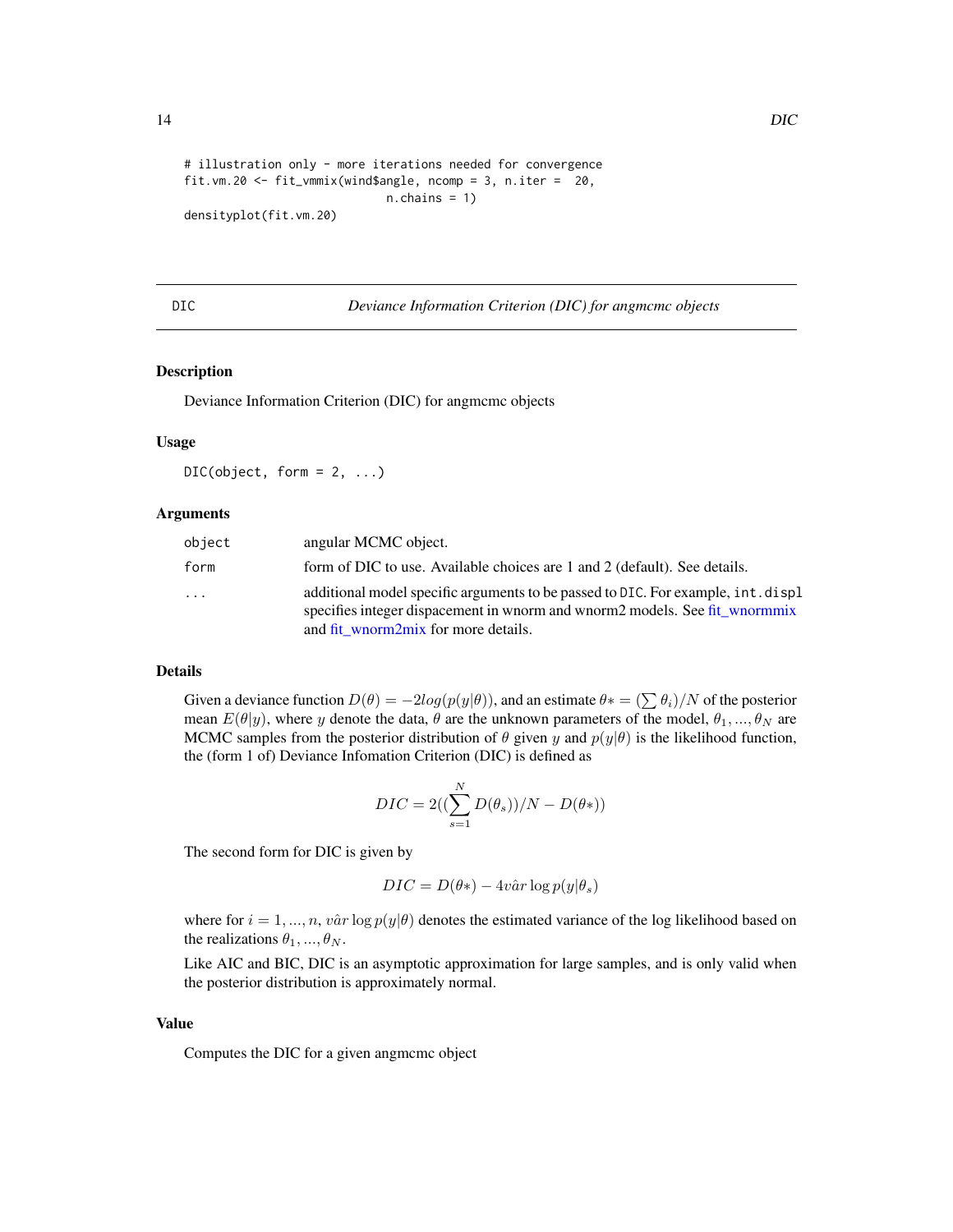```
# illustration only - more iterations needed for convergence
fit.vm.20 <- fit_vmmix(wind$angle, ncomp = 3, n.iter = 20,
                            n.chains = 1)
densityplot(fit.vm.20)
```
DIC *Deviance Information Criterion (DIC) for angmcmc objects*

#### Description

Deviance Information Criterion (DIC) for angmcmc objects

## Usage

 $DIC(object, form = 2, ...)$ 

#### Arguments

| object                  | angular MCMC object.                                                                                                                                                                                  |
|-------------------------|-------------------------------------------------------------------------------------------------------------------------------------------------------------------------------------------------------|
| form                    | form of DIC to use. Available choices are 1 and 2 (default). See details.                                                                                                                             |
| $\cdot$ $\cdot$ $\cdot$ | additional model specific arguments to be passed to DIC. For example, int. displ<br>specifies integer dispacement in whorm and whorm2 models. See fit whormmix<br>and fit wnorm2mix for more details. |

## Details

Given a deviance function  $D(\theta) = -2log(p(y|\theta))$ , and an estimate  $\theta* = (\sum \theta_i)/N$  of the posterior mean  $E(\theta|y)$ , where y denote the data,  $\theta$  are the unknown parameters of the model,  $\theta_1, ..., \theta_N$  are MCMC samples from the posterior distribution of  $\theta$  given y and  $p(y|\theta)$  is the likelihood function, the (form 1 of) Deviance Infomation Criterion (DIC) is defined as

$$
DIC = 2\left(\left(\sum_{s=1}^{N} D(\theta_s)\right)/N - D(\theta*)\right)
$$

The second form for DIC is given by

$$
DIC = D(\theta*) - 4v\hat{a}r \log p(y|\theta_s)
$$

where for  $i = 1, ..., n$ ,  $v\hat{a}r \log p(y|\theta)$  denotes the estimated variance of the log likelihood based on the realizations  $\theta_1, ..., \theta_N$ .

Like AIC and BIC, DIC is an asymptotic approximation for large samples, and is only valid when the posterior distribution is approximately normal.

#### Value

Computes the DIC for a given angmcmc object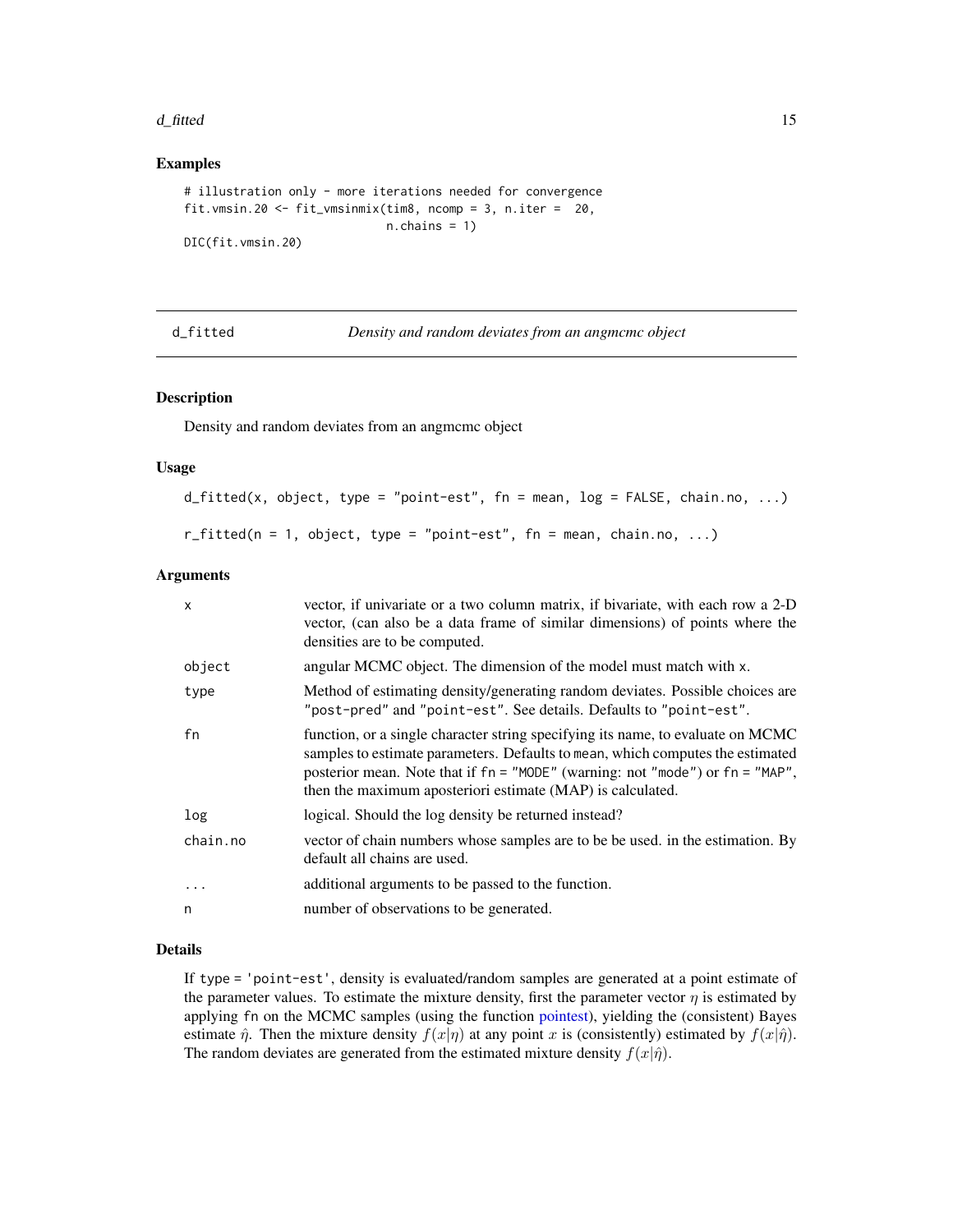#### <span id="page-14-0"></span>d\_fitted 15

#### Examples

```
# illustration only - more iterations needed for convergence
fit.vmsin.20 <- fit_vmsinmix(tim8, ncomp = 3, n.iter = 20,
                            n.chains = 1)
DIC(fit.vmsin.20)
```
<span id="page-14-1"></span>d\_fitted *Density and random deviates from an angmcmc object*

#### Description

Density and random deviates from an angmcmc object

#### Usage

```
d_fitted(x, object, type = "point-est", fn = mean, log = FALSE, chain.no, ...)r_fitted(n = 1, object, type = "point-est", fn = mean, chain.no, ...)
```
#### Arguments

| $\mathsf{x}$ | vector, if univariate or a two column matrix, if bivariate, with each row a 2-D<br>vector, (can also be a data frame of similar dimensions) of points where the<br>densities are to be computed.                                                                                                                 |  |
|--------------|------------------------------------------------------------------------------------------------------------------------------------------------------------------------------------------------------------------------------------------------------------------------------------------------------------------|--|
| object       | angular MCMC object. The dimension of the model must match with x.                                                                                                                                                                                                                                               |  |
| type         | Method of estimating density/generating random deviates. Possible choices are<br>"post-pred" and "point-est". See details. Defaults to "point-est".                                                                                                                                                              |  |
| fn           | function, or a single character string specifying its name, to evaluate on MCMC<br>samples to estimate parameters. Defaults to mean, which computes the estimated<br>posterior mean. Note that if fn = "MODE" (warning: not "mode") or fn = "MAP",<br>then the maximum aposteriori estimate (MAP) is calculated. |  |
| log          | logical. Should the log density be returned instead?                                                                                                                                                                                                                                                             |  |
| chain.no     | vector of chain numbers whose samples are to be be used. in the estimation. By<br>default all chains are used.                                                                                                                                                                                                   |  |
| $\cdot$      | additional arguments to be passed to the function.                                                                                                                                                                                                                                                               |  |
| n            | number of observations to be generated.                                                                                                                                                                                                                                                                          |  |

## Details

If type = 'point-est', density is evaluated/random samples are generated at a point estimate of the parameter values. To estimate the mixture density, first the parameter vector  $\eta$  is estimated by applying fn on the MCMC samples (using the function [pointest\)](#page-35-1), yielding the (consistent) Bayes estimate  $\hat{\eta}$ . Then the mixture density  $f(x|\eta)$  at any point x is (consistently) estimated by  $f(x|\hat{\eta})$ . The random deviates are generated from the estimated mixture density  $f(x|\hat{\eta})$ .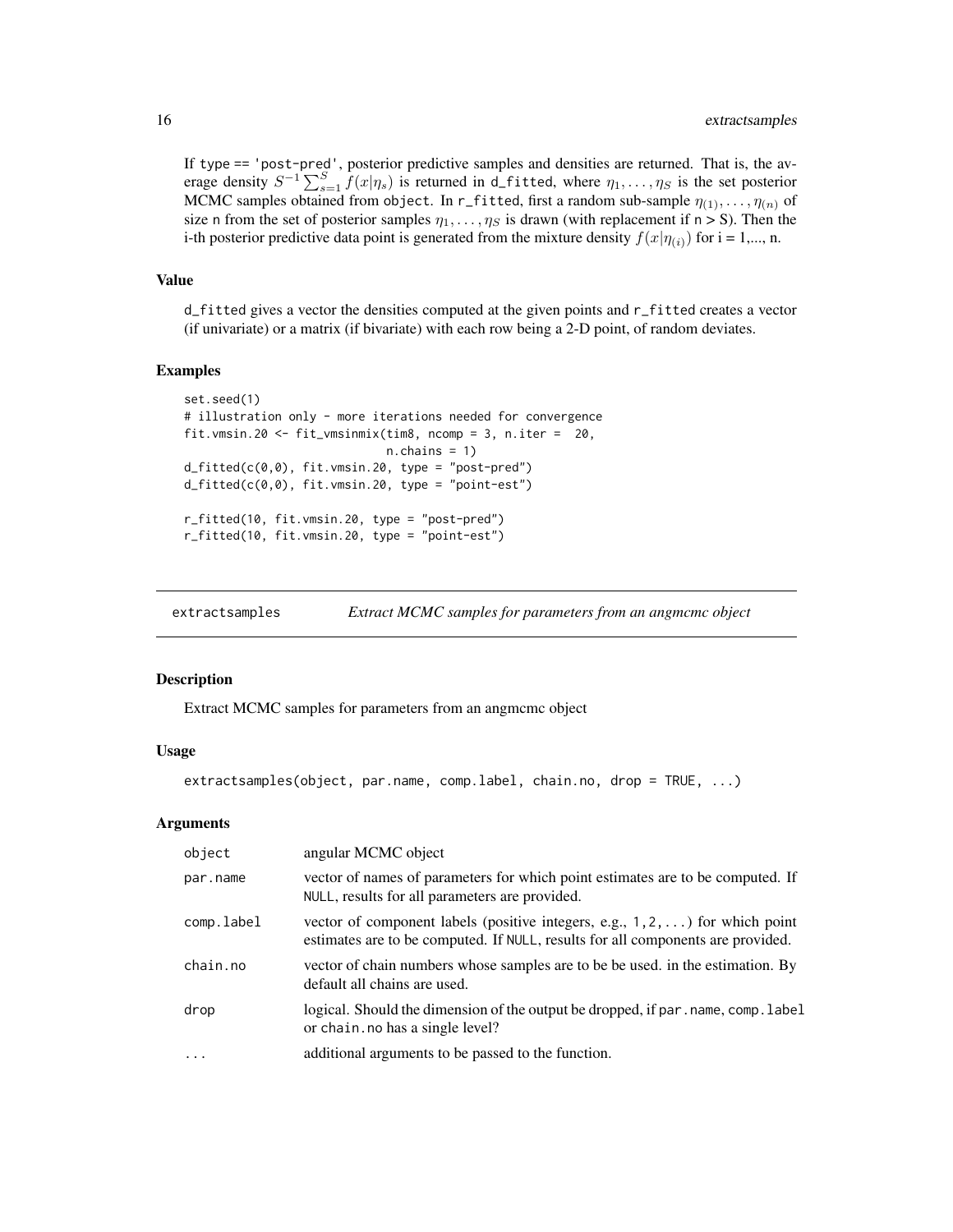If type == 'post-pred', posterior predictive samples and densities are returned. That is, the average density  $S^{-1}\sum_{s=1}^{S}f(x|\eta_s)$  is returned in d\_fitted, where  $\eta_1,\ldots,\eta_S$  is the set posterior MCMC samples obtained from object. In r\_fitted, first a random sub-sample  $\eta_{(1)}, \ldots, \eta_{(n)}$  of size n from the set of posterior samples  $\eta_1, \ldots, \eta_s$  is drawn (with replacement if  $n > S$ ). Then the i-th posterior predictive data point is generated from the mixture density  $f(x|\eta_{(i)})$  for  $i = 1,..., n$ .

## Value

d\_fitted gives a vector the densities computed at the given points and r\_fitted creates a vector (if univariate) or a matrix (if bivariate) with each row being a 2-D point, of random deviates.

#### Examples

```
set.seed(1)
# illustration only - more iterations needed for convergence
fit.vmsin.20 <- fit_vmsinmix(tim8, ncomp = 3, n.iter = 20,
                              n.chains = 1)
d_fitted(c(0,0), fit.vmsin.20, type = "post-pred")
d_fitted(c(\theta, \theta), fit.vmsin.2\theta, type = "point-est")r_fitted(10, fit.vmsin.20, type = "post-pred")
r_fitted(10, fit.vmsin.20, type = "point-est")
```
extractsamples *Extract MCMC samples for parameters from an angmcmc object*

#### Description

Extract MCMC samples for parameters from an angmcmc object

#### Usage

```
extractsamples(object, par.name, comp.label, chain.no, drop = TRUE, ...)
```

| object     | angular MCMC object                                                                                                                                                      |  |
|------------|--------------------------------------------------------------------------------------------------------------------------------------------------------------------------|--|
| par.name   | vector of names of parameters for which point estimates are to be computed. If<br>NULL, results for all parameters are provided.                                         |  |
| comp.label | vector of component labels (positive integers, e.g., $1, 2, \ldots$ ) for which point<br>estimates are to be computed. If NULL, results for all components are provided. |  |
| chain.no   | vector of chain numbers whose samples are to be be used. in the estimation. By<br>default all chains are used.                                                           |  |
| drop       | logical. Should the dimension of the output be dropped, if par . name, comp. label<br>or chain. no has a single level?                                                   |  |
| $\cdots$   | additional arguments to be passed to the function.                                                                                                                       |  |

<span id="page-15-0"></span>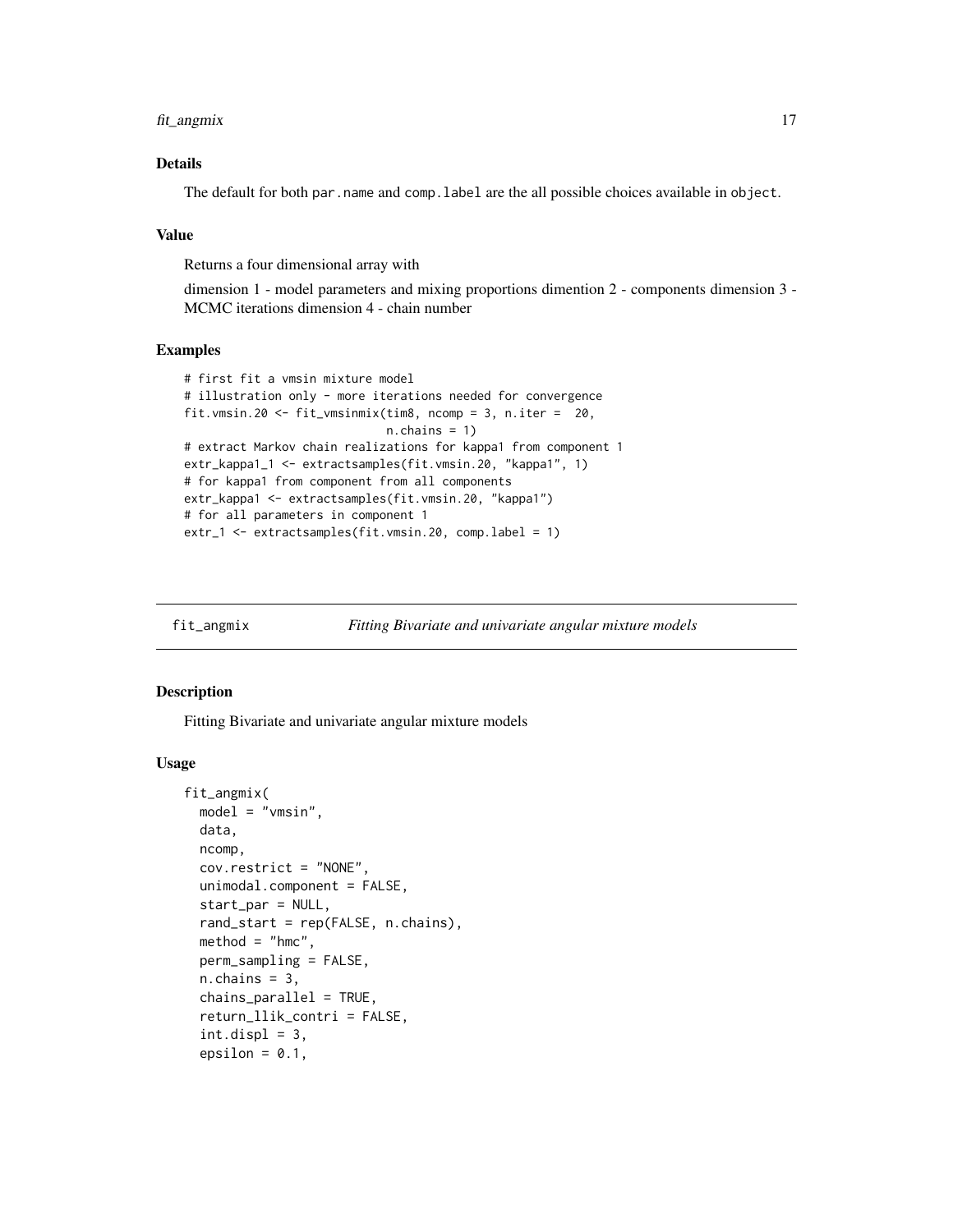<span id="page-16-0"></span>fit\_angmix 17

## Details

The default for both par.name and comp.label are the all possible choices available in object.

#### Value

Returns a four dimensional array with

dimension 1 - model parameters and mixing proportions dimention 2 - components dimension 3 - MCMC iterations dimension 4 - chain number

#### Examples

```
# first fit a vmsin mixture model
# illustration only - more iterations needed for convergence
fit.vmsin.20 <- fit_vmsinmix(tim8, ncomp = 3, n.iter = 20,
                             n.chains = 1)
# extract Markov chain realizations for kappa1 from component 1
extr_kappa1_1 <- extractsamples(fit.vmsin.20, "kappa1", 1)
# for kappa1 from component from all components
extr_kappa1 <- extractsamples(fit.vmsin.20, "kappa1")
# for all parameters in component 1
extr_1 <- extractsamples(fit.vmsin.20, comp.label = 1)
```
<span id="page-16-1"></span>

## Description

Fitting Bivariate and univariate angular mixture models

#### Usage

```
fit_angmix(
 model = "vmsin",
 data,
 ncomp,
  cov.restrict = "NONE",
  unimodal.component = FALSE,start_par = NULL,
  rand_start = rep(FALSE, n.chains),
 method = "hmc",perm_sampling = FALSE,
  n.chains = 3,
  chains\_parallel = TRUE,
  return_llik_contri = FALSE,
  int.displ = 3,epsilon = 0.1,
```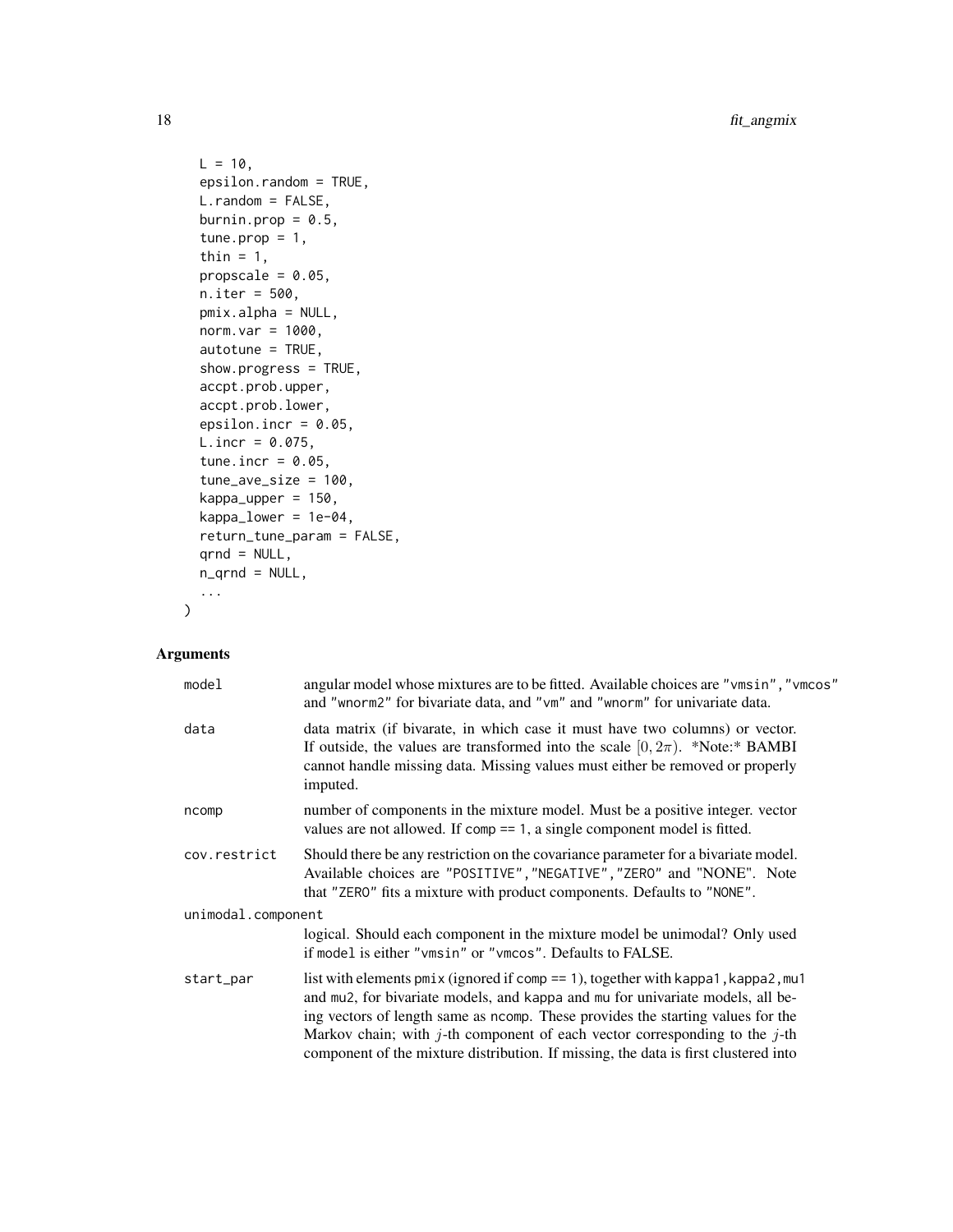18 fit\_angmix

```
L = 10,
 epsilon.random = TRUE,
 L.random = FALSE,
 burnin.prop = 0.5,
  tune.prop = 1,
  thin = 1,
  propscale = 0.05,
 n.iter = 500,
  pmix.alpha = NULL,
  norm.var = 1000,
  autotune = TRUE,
  show.progress = TRUE,
  accpt.prob.upper,
  accpt.prob.lower,
  epsilon.incr = 0.05,
  L.incr = 0.075,tune.incr = 0.05,
  tune_ave_size = 100,
  kappa_upper = 150,
  kappa\_lower = 1e-04,return_tune_param = FALSE,
  qrnd = NULL,n_qrnd = NULL,...
\mathcal{L}
```

| model              | angular model whose mixtures are to be fitted. Available choices are "vmsin", "vmcos"<br>and "wnorm2" for bivariate data, and "vm" and "wnorm" for univariate data.                                                                                                                                                                                                                                                           |  |
|--------------------|-------------------------------------------------------------------------------------------------------------------------------------------------------------------------------------------------------------------------------------------------------------------------------------------------------------------------------------------------------------------------------------------------------------------------------|--|
| data               | data matrix (if bivarate, in which case it must have two columns) or vector.<br>If outside, the values are transformed into the scale $[0, 2\pi)$ . *Note:* BAMBI<br>cannot handle missing data. Missing values must either be removed or properly<br>imputed.                                                                                                                                                                |  |
| ncomp              | number of components in the mixture model. Must be a positive integer, vector<br>values are not allowed. If comp $== 1$ , a single component model is fitted.                                                                                                                                                                                                                                                                 |  |
| cov.restrict       | Should there be any restriction on the covariance parameter for a bivariate model.<br>Available choices are "POSITIVE", "NEGATIVE", "ZERO" and "NONE". Note<br>that "ZERO" fits a mixture with product components. Defaults to "NONE".                                                                                                                                                                                        |  |
| unimodal.component |                                                                                                                                                                                                                                                                                                                                                                                                                               |  |
|                    | logical. Should each component in the mixture model be unimodal? Only used<br>if model is either "vmsin" or "vmcos". Defaults to FALSE.                                                                                                                                                                                                                                                                                       |  |
| start_par          | list with elements $pmix$ (ignored if comp == 1), together with kappa1, kappa2, mu1<br>and mu2, for bivariate models, and kappa and mu for univariate models, all be-<br>ing vectors of length same as ncomp. These provides the starting values for the<br>Markov chain; with j-th component of each vector corresponding to the j-th<br>component of the mixture distribution. If missing, the data is first clustered into |  |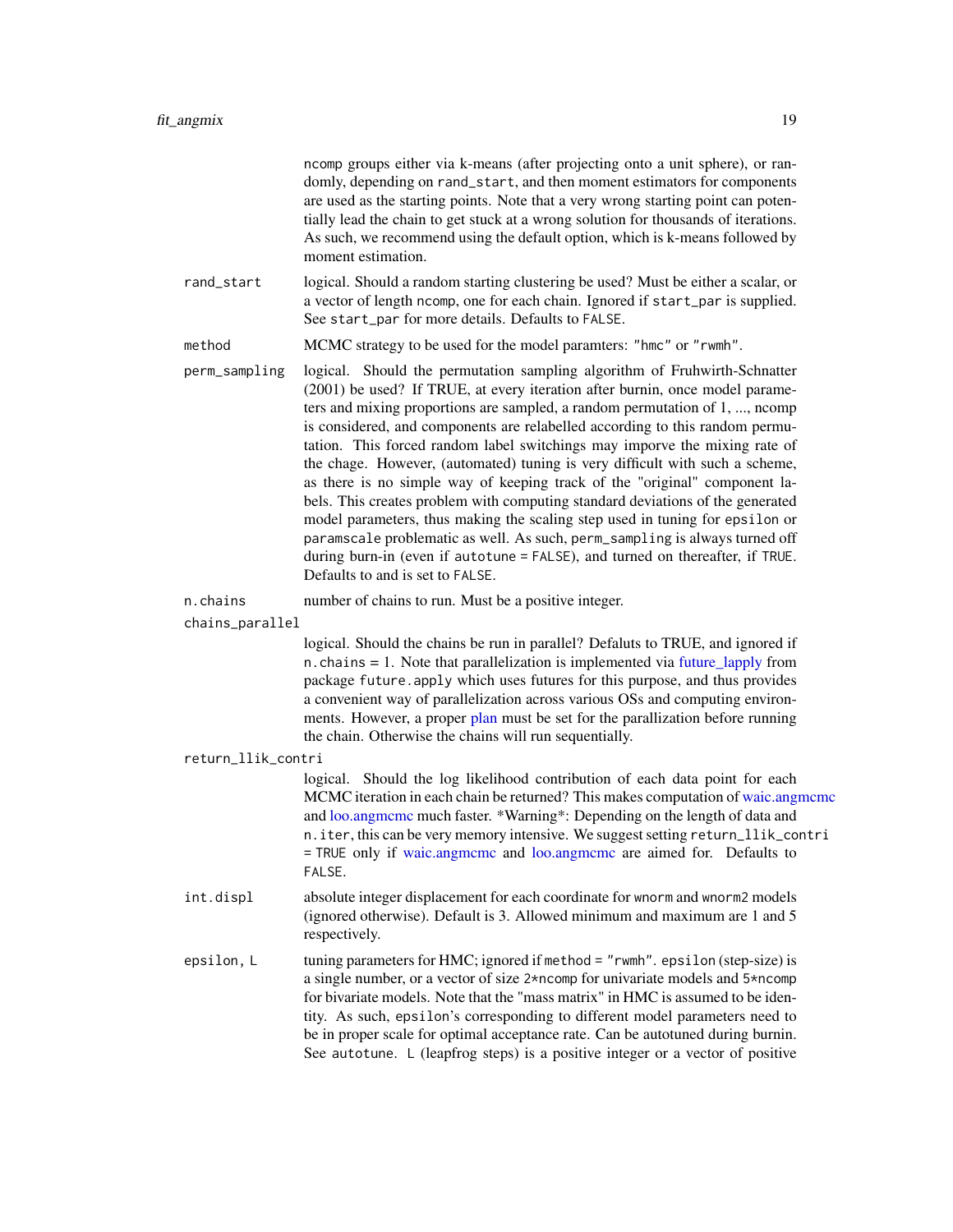<span id="page-18-0"></span>

|                 |                    | ncomp groups either via k-means (after projecting onto a unit sphere), or ran-<br>domly, depending on rand_start, and then moment estimators for components<br>are used as the starting points. Note that a very wrong starting point can poten-<br>tially lead the chain to get stuck at a wrong solution for thousands of iterations.<br>As such, we recommend using the default option, which is k-means followed by<br>moment estimation.                                                                                                                                                                                                                                                                                                                                                                                                                                                                                              |
|-----------------|--------------------|--------------------------------------------------------------------------------------------------------------------------------------------------------------------------------------------------------------------------------------------------------------------------------------------------------------------------------------------------------------------------------------------------------------------------------------------------------------------------------------------------------------------------------------------------------------------------------------------------------------------------------------------------------------------------------------------------------------------------------------------------------------------------------------------------------------------------------------------------------------------------------------------------------------------------------------------|
|                 | rand_start         | logical. Should a random starting clustering be used? Must be either a scalar, or<br>a vector of length ncomp, one for each chain. Ignored if start_par is supplied.<br>See start_par for more details. Defaults to FALSE.                                                                                                                                                                                                                                                                                                                                                                                                                                                                                                                                                                                                                                                                                                                 |
|                 | method             | MCMC strategy to be used for the model paramters: "hmc" or "rwmh".                                                                                                                                                                                                                                                                                                                                                                                                                                                                                                                                                                                                                                                                                                                                                                                                                                                                         |
|                 | perm_sampling      | logical. Should the permutation sampling algorithm of Fruhwirth-Schnatter<br>(2001) be used? If TRUE, at every iteration after burnin, once model parame-<br>ters and mixing proportions are sampled, a random permutation of 1, , ncomp<br>is considered, and components are relabelled according to this random permu-<br>tation. This forced random label switchings may imporve the mixing rate of<br>the chage. However, (automated) tuning is very difficult with such a scheme,<br>as there is no simple way of keeping track of the "original" component la-<br>bels. This creates problem with computing standard deviations of the generated<br>model parameters, thus making the scaling step used in tuning for epsilon or<br>paramscale problematic as well. As such, perm_sampling is always turned off<br>during burn-in (even if autotune = FALSE), and turned on thereafter, if TRUE.<br>Defaults to and is set to FALSE. |
|                 | n.chains           | number of chains to run. Must be a positive integer.                                                                                                                                                                                                                                                                                                                                                                                                                                                                                                                                                                                                                                                                                                                                                                                                                                                                                       |
| chains_parallel |                    |                                                                                                                                                                                                                                                                                                                                                                                                                                                                                                                                                                                                                                                                                                                                                                                                                                                                                                                                            |
|                 |                    | logical. Should the chains be run in parallel? Defaluts to TRUE, and ignored if<br>n.chains = 1. Note that parallelization is implemented via future_lapply from<br>package future. apply which uses futures for this purpose, and thus provides<br>a convenient way of parallelization across various OSs and computing environ-<br>ments. However, a proper plan must be set for the parallization before running<br>the chain. Otherwise the chains will run sequentially.                                                                                                                                                                                                                                                                                                                                                                                                                                                              |
|                 | return_llik_contri |                                                                                                                                                                                                                                                                                                                                                                                                                                                                                                                                                                                                                                                                                                                                                                                                                                                                                                                                            |
|                 |                    | logical. Should the log likelihood contribution of each data point for each<br>MCMC iteration in each chain be returned? This makes computation of waic.angmcmc<br>and loo.angmcmc much faster. *Warning*: Depending on the length of data and<br>n. iter, this can be very memory intensive. We suggest setting return_llik_contri<br>= TRUE only if waic.angmcmc and loo.angmcmc are aimed for. Defaults to<br>FALSE.                                                                                                                                                                                                                                                                                                                                                                                                                                                                                                                    |
|                 | int.displ          | absolute integer displacement for each coordinate for wnorm and wnorm2 models<br>(ignored otherwise). Default is 3. Allowed minimum and maximum are 1 and 5                                                                                                                                                                                                                                                                                                                                                                                                                                                                                                                                                                                                                                                                                                                                                                                |

epsilon, L tuning parameters for HMC; ignored if method = "rwmh". epsilon (step-size) is a single number, or a vector of size 2\*ncomp for univariate models and 5\*ncomp for bivariate models. Note that the "mass matrix" in HMC is assumed to be identity. As such, epsilon's corresponding to different model parameters need to be in proper scale for optimal acceptance rate. Can be autotuned during burnin. See autotune. L (leapfrog steps) is a positive integer or a vector of positive

respectively.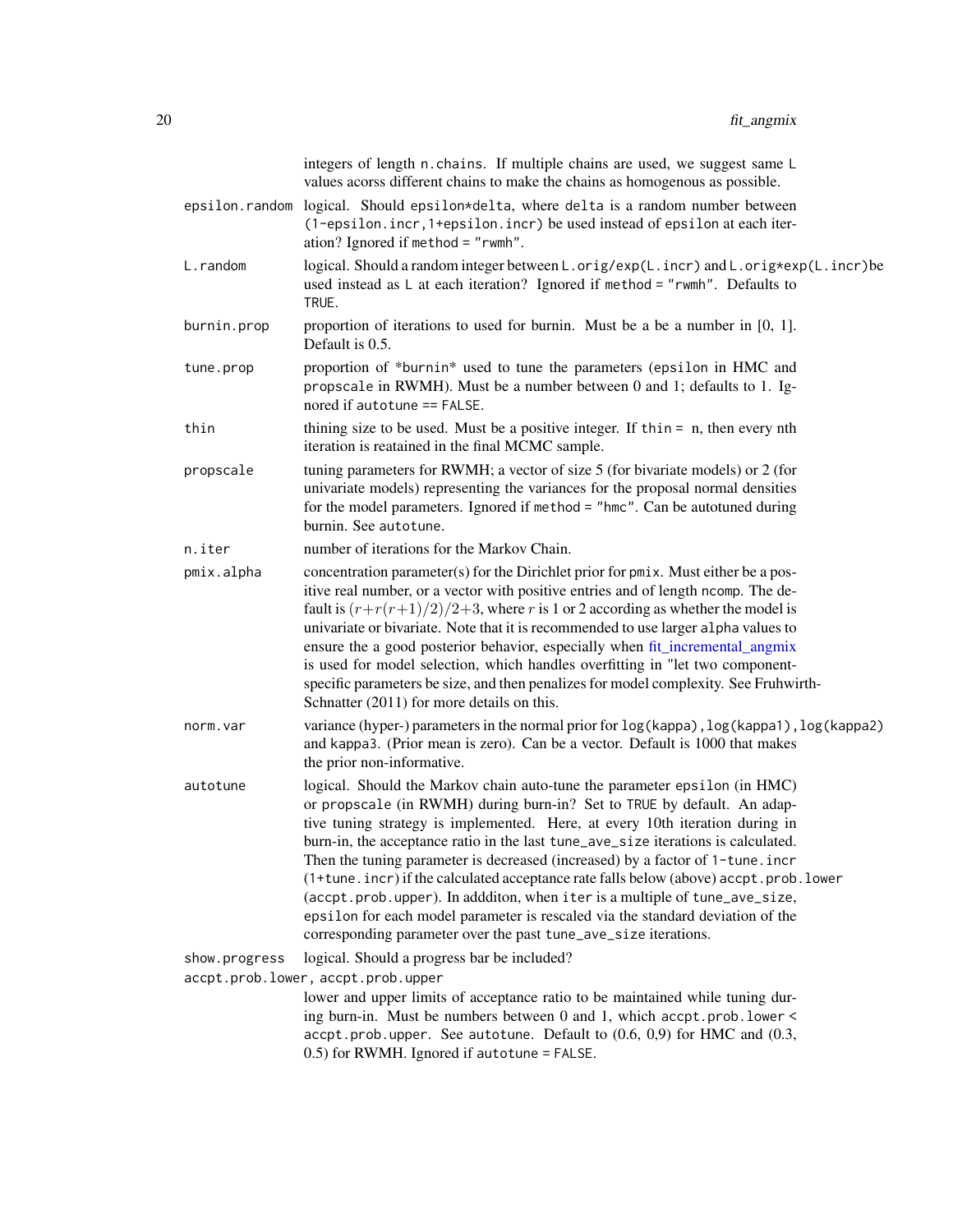<span id="page-19-0"></span>

|                                    | integers of length n. chains. If multiple chains are used, we suggest same L<br>values acorss different chains to make the chains as homogenous as possible.                                                                                                                                                                                                                                                                                                                                                                                                                                                                                                                                                                           |  |
|------------------------------------|----------------------------------------------------------------------------------------------------------------------------------------------------------------------------------------------------------------------------------------------------------------------------------------------------------------------------------------------------------------------------------------------------------------------------------------------------------------------------------------------------------------------------------------------------------------------------------------------------------------------------------------------------------------------------------------------------------------------------------------|--|
| epsilon.random                     | logical. Should epsilon*delta, where delta is a random number between<br>(1-epsilon.incr, 1+epsilon.incr) be used instead of epsilon at each iter-<br>ation? Ignored if method = $"$ rwmh".                                                                                                                                                                                                                                                                                                                                                                                                                                                                                                                                            |  |
| L.random                           | logical. Should a random integer between L.orig/exp(L.incr) and L.orig*exp(L.incr)be<br>used instead as $\mathsf{L}$ at each iteration? Ignored if method = "rwmh". Defaults to<br>TRUE.                                                                                                                                                                                                                                                                                                                                                                                                                                                                                                                                               |  |
| burnin.prop                        | proportion of iterations to used for burnin. Must be a be a number in $[0, 1]$ .<br>Default is 0.5.                                                                                                                                                                                                                                                                                                                                                                                                                                                                                                                                                                                                                                    |  |
| tune.prop                          | proportion of *burnin* used to tune the parameters (epsilon in HMC and<br>propscale in RWMH). Must be a number between 0 and 1; defaults to 1. Ig-<br>nored if autotune == FALSE.                                                                                                                                                                                                                                                                                                                                                                                                                                                                                                                                                      |  |
| thin                               | thining size to be used. Must be a positive integer. If thin $=$ n, then every nth<br>iteration is reatained in the final MCMC sample.                                                                                                                                                                                                                                                                                                                                                                                                                                                                                                                                                                                                 |  |
| propscale                          | tuning parameters for RWMH; a vector of size 5 (for bivariate models) or 2 (for<br>univariate models) representing the variances for the proposal normal densities<br>for the model parameters. Ignored if method = "hmc". Can be autotuned during<br>burnin. See autotune.                                                                                                                                                                                                                                                                                                                                                                                                                                                            |  |
| n.iter                             | number of iterations for the Markov Chain.                                                                                                                                                                                                                                                                                                                                                                                                                                                                                                                                                                                                                                                                                             |  |
| pmix.alpha                         | concentration parameter(s) for the Dirichlet prior for pmix. Must either be a pos-<br>itive real number, or a vector with positive entries and of length ncomp. The de-<br>fault is $(r+r(r+1)/2)/2+3$ , where r is 1 or 2 according as whether the model is<br>univariate or bivariate. Note that it is recommended to use larger alpha values to<br>ensure the a good posterior behavior, especially when fit_incremental_angmix<br>is used for model selection, which handles overfitting in "let two component-<br>specific parameters be size, and then penalizes for model complexity. See Fruhwirth-<br>Schnatter (2011) for more details on this.                                                                              |  |
| norm.var                           | variance (hyper-) parameters in the normal prior for $log(kappa)$ , $log(kappa)$ , $log(kappa)$ , $log(kappa)$<br>and kappa3. (Prior mean is zero). Can be a vector. Default is 1000 that makes<br>the prior non-informative.                                                                                                                                                                                                                                                                                                                                                                                                                                                                                                          |  |
| autotune                           | logical. Should the Markov chain auto-tune the parameter epsilon (in HMC)<br>or propscale (in RWMH) during burn-in? Set to TRUE by default. An adap-<br>tive tuning strategy is implemented. Here, at every 10th iteration during in<br>burn-in, the acceptance ratio in the last tune_ave_size iterations is calculated.<br>Then the tuning parameter is decreased (increased) by a factor of 1-tune. incr<br>(1+tune.incr) if the calculated acceptance rate falls below (above) accpt.prob.lower<br>(accpt.prob.upper). In addditon, when iter is a multiple of tune_ave_size,<br>epsilon for each model parameter is rescaled via the standard deviation of the<br>corresponding parameter over the past tune_ave_size iterations. |  |
| show.progress                      | logical. Should a progress bar be included?                                                                                                                                                                                                                                                                                                                                                                                                                                                                                                                                                                                                                                                                                            |  |
| accpt.prob.lower, accpt.prob.upper |                                                                                                                                                                                                                                                                                                                                                                                                                                                                                                                                                                                                                                                                                                                                        |  |
|                                    | lower and upper limits of acceptance ratio to be maintained while tuning dur-<br>ing burn-in. Must be numbers between 0 and 1, which accpt.prob.lower <<br>$accept.prob.upper. See autotune. Default to (0.6, 0.9) for HMC and (0.3,$<br>0.5) for RWMH. Ignored if autotune = FALSE.                                                                                                                                                                                                                                                                                                                                                                                                                                                   |  |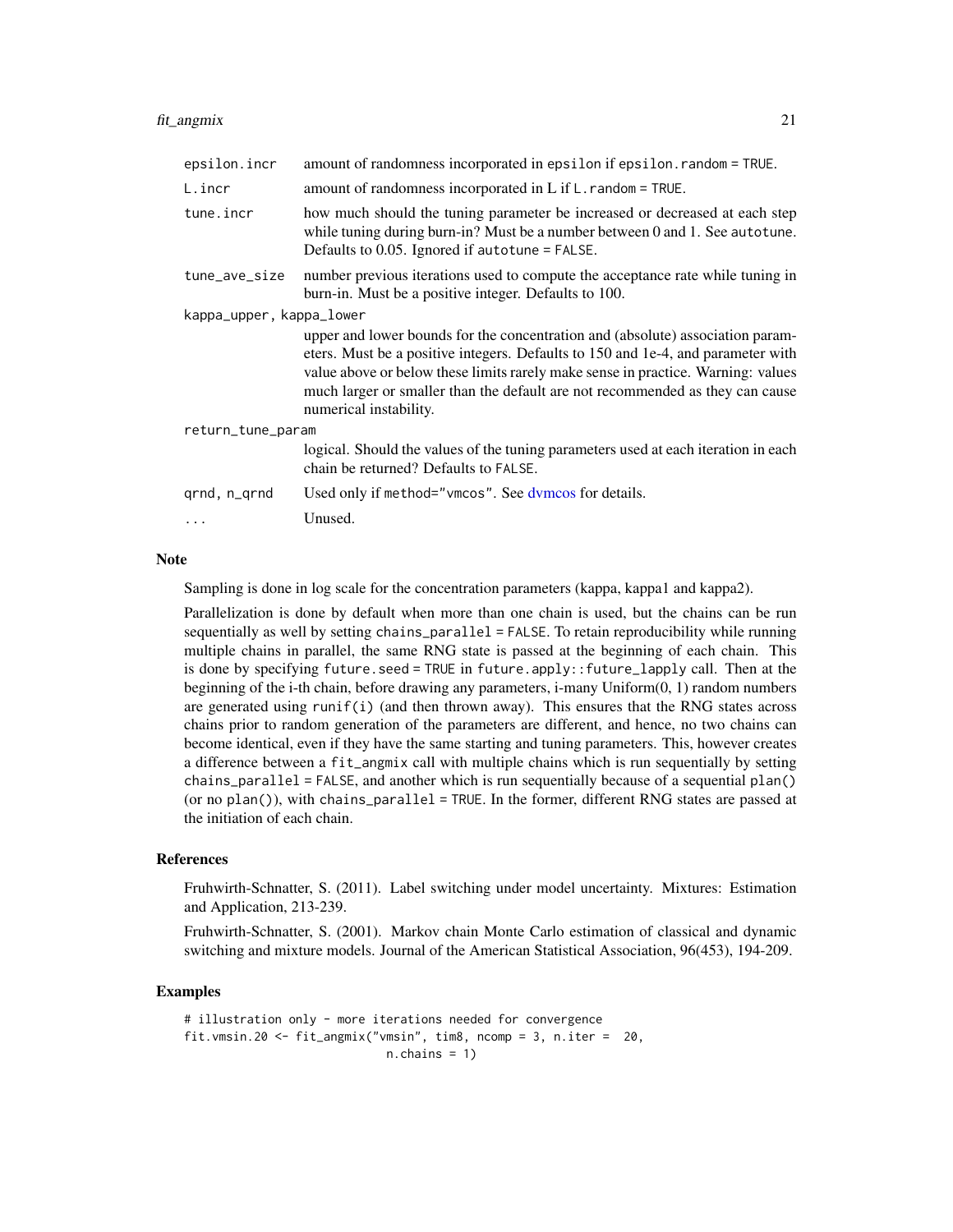#### <span id="page-20-0"></span>fit\_angmix 21

| epsilon.incr             | amount of randomness incorporated in epsilon if epsilon. random = TRUE.                                                                                                                                                                                                                                                                                           |  |
|--------------------------|-------------------------------------------------------------------------------------------------------------------------------------------------------------------------------------------------------------------------------------------------------------------------------------------------------------------------------------------------------------------|--|
| L.incr                   | amount of randomness incorporated in $L$ if $L$ . random = TRUE.                                                                                                                                                                                                                                                                                                  |  |
| tune.incr                | how much should the tuning parameter be increased or decreased at each step<br>while tuning during burn-in? Must be a number between 0 and 1. See autotune.<br>Defaults to $0.05$ . Ignored if autotune = FALSE.                                                                                                                                                  |  |
| tune_ave_size            | number previous iterations used to compute the acceptance rate while tuning in<br>burn-in. Must be a positive integer. Defaults to 100.                                                                                                                                                                                                                           |  |
| kappa_upper, kappa_lower |                                                                                                                                                                                                                                                                                                                                                                   |  |
|                          | upper and lower bounds for the concentration and (absolute) association param-<br>eters. Must be a positive integers. Defaults to 150 and 1e-4, and parameter with<br>value above or below these limits rarely make sense in practice. Warning: values<br>much larger or smaller than the default are not recommended as they can cause<br>numerical instability. |  |
| return_tune_param        |                                                                                                                                                                                                                                                                                                                                                                   |  |
|                          | logical. Should the values of the tuning parameters used at each iteration in each<br>chain be returned? Defaults to FALSE.                                                                                                                                                                                                                                       |  |
| grnd, n_grnd             | Used only if method="vmcos". See dymcos for details.                                                                                                                                                                                                                                                                                                              |  |
|                          | Unused.                                                                                                                                                                                                                                                                                                                                                           |  |

#### **Note**

Sampling is done in log scale for the concentration parameters (kappa, kappa1 and kappa2).

Parallelization is done by default when more than one chain is used, but the chains can be run sequentially as well by setting chains\_parallel = FALSE. To retain reproducibility while running multiple chains in parallel, the same RNG state is passed at the beginning of each chain. This is done by specifying future.seed = TRUE in future.apply::future\_lapply call. Then at the beginning of the i-th chain, before drawing any parameters, i-many Uniform(0, 1) random numbers are generated using runif(i) (and then thrown away). This ensures that the RNG states across chains prior to random generation of the parameters are different, and hence, no two chains can become identical, even if they have the same starting and tuning parameters. This, however creates a difference between a fit\_angmix call with multiple chains which is run sequentially by setting chains\_parallel = FALSE, and another which is run sequentially because of a sequential plan() (or no  $plan()$ ), with chains\_parallel = TRUE. In the former, different RNG states are passed at the initiation of each chain.

#### References

Fruhwirth-Schnatter, S. (2011). Label switching under model uncertainty. Mixtures: Estimation and Application, 213-239.

Fruhwirth-Schnatter, S. (2001). Markov chain Monte Carlo estimation of classical and dynamic switching and mixture models. Journal of the American Statistical Association, 96(453), 194-209.

## Examples

```
# illustration only - more iterations needed for convergence
fit.vmsin.20 <- fit_angmix("vmsin", tim8, ncomp = 3, n.iter = 20,
                            n.chains = 1)
```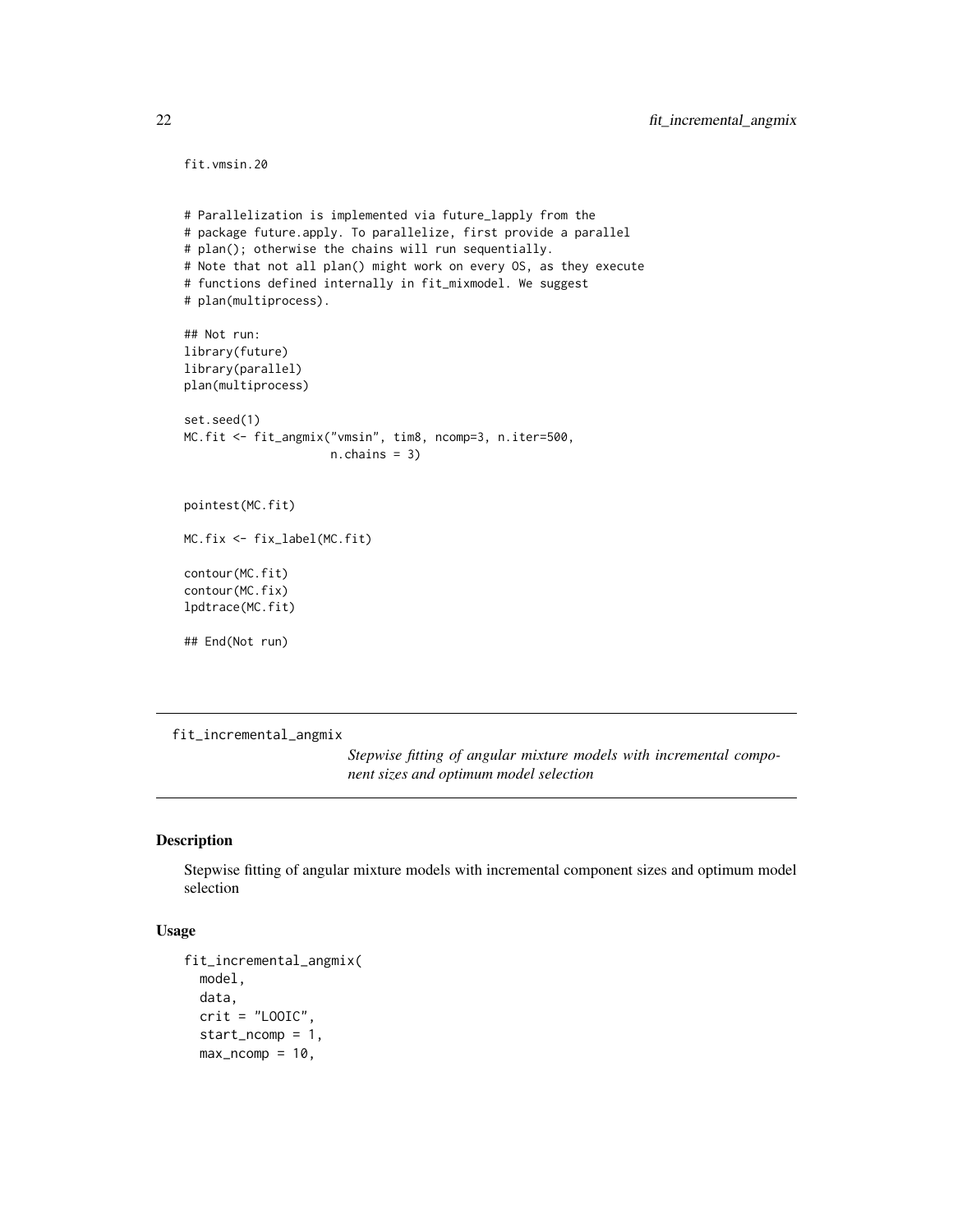```
fit.vmsin.20
```

```
# Parallelization is implemented via future_lapply from the
# package future.apply. To parallelize, first provide a parallel
# plan(); otherwise the chains will run sequentially.
# Note that not all plan() might work on every OS, as they execute
# functions defined internally in fit_mixmodel. We suggest
# plan(multiprocess).
## Not run:
library(future)
library(parallel)
plan(multiprocess)
set.seed(1)
MC.fit <- fit_angmix("vmsin", tim8, ncomp=3, n.iter=500,
                     n.chains = 3)
pointest(MC.fit)
MC.fix <- fix_label(MC.fit)
contour(MC.fit)
contour(MC.fix)
lpdtrace(MC.fit)
## End(Not run)
```
<span id="page-21-1"></span>fit\_incremental\_angmix

*Stepwise fitting of angular mixture models with incremental component sizes and optimum model selection*

#### Description

Stepwise fitting of angular mixture models with incremental component sizes and optimum model selection

#### Usage

```
fit_incremental_angmix(
 model,
  data,
  crit = "LOOIC",start_ncomp = 1,
 max\_ncomp = 10,
```
<span id="page-21-0"></span>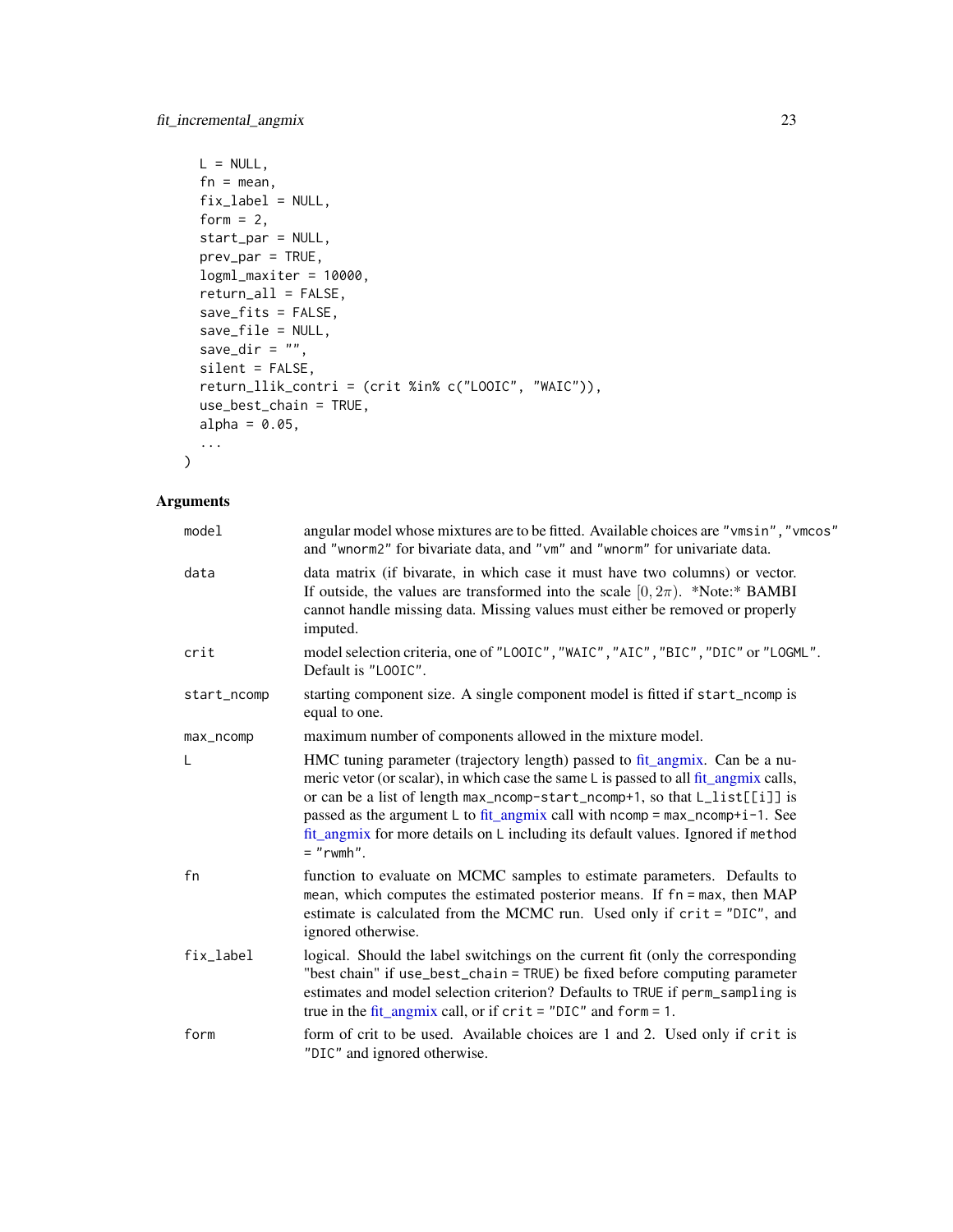```
L = NULL,fn = mean,fix_label = NULL,
form = 2,
start_par = NULL,
prev_par = TRUE,
logml_maxiter = 10000,
return_all = FALSE,
save_fits = FALSE,
save_file = NULL,
save_dir = ",
silent = FALSE,
return_llik_contri = (crit %in% c("LOOIC", "WAIC")),
use_best_chain = TRUE,
alpha = 0.05,
...
```
## Arguments

 $\mathcal{L}$ 

| model       | angular model whose mixtures are to be fitted. Available choices are "vmsin", "vmcos"<br>and "wnorm2" for bivariate data, and "vm" and "wnorm" for univariate data.                                                                                                                                                                                                                                                                        |  |
|-------------|--------------------------------------------------------------------------------------------------------------------------------------------------------------------------------------------------------------------------------------------------------------------------------------------------------------------------------------------------------------------------------------------------------------------------------------------|--|
| data        | data matrix (if bivarate, in which case it must have two columns) or vector.<br>If outside, the values are transformed into the scale $[0, 2\pi)$ . *Note:* BAMBI<br>cannot handle missing data. Missing values must either be removed or properly<br>imputed.                                                                                                                                                                             |  |
| crit        | model selection criteria, one of "LOOIC", "WAIC", "AIC", "BIC", "DIC" or "LOGML".<br>Default is "LOOIC".                                                                                                                                                                                                                                                                                                                                   |  |
| start_ncomp | starting component size. A single component model is fitted if start_ncomp is<br>equal to one.                                                                                                                                                                                                                                                                                                                                             |  |
| max_ncomp   | maximum number of components allowed in the mixture model.                                                                                                                                                                                                                                                                                                                                                                                 |  |
| L           | HMC tuning parameter (trajectory length) passed to fit_angmix. Can be a nu-<br>meric vetor (or scalar), in which case the same L is passed to all fit_angmix calls,<br>or can be a list of length max_ncomp-start_ncomp+1, so that L_list[[i]] is<br>passed as the argument L to fit_angmix call with $ncomp = max_ncomp + i - 1$ . See<br>fit_angmix for more details on L including its default values. Ignored if method<br>$=$ "rwmh". |  |
| fn          | function to evaluate on MCMC samples to estimate parameters. Defaults to<br>mean, which computes the estimated posterior means. If fn = max, then MAP<br>estimate is calculated from the MCMC run. Used only if crit = "DIC", and<br>ignored otherwise.                                                                                                                                                                                    |  |
| fix_label   | logical. Should the label switchings on the current fit (only the corresponding<br>"best chain" if use_best_chain = TRUE) be fixed before computing parameter<br>estimates and model selection criterion? Defaults to TRUE if perm_sampling is<br>true in the fit_angmix call, or if $crit = "DIC"$ and $form = 1$ .                                                                                                                       |  |
| form        | form of crit to be used. Available choices are 1 and 2. Used only if crit is<br>"DIC" and ignored otherwise.                                                                                                                                                                                                                                                                                                                               |  |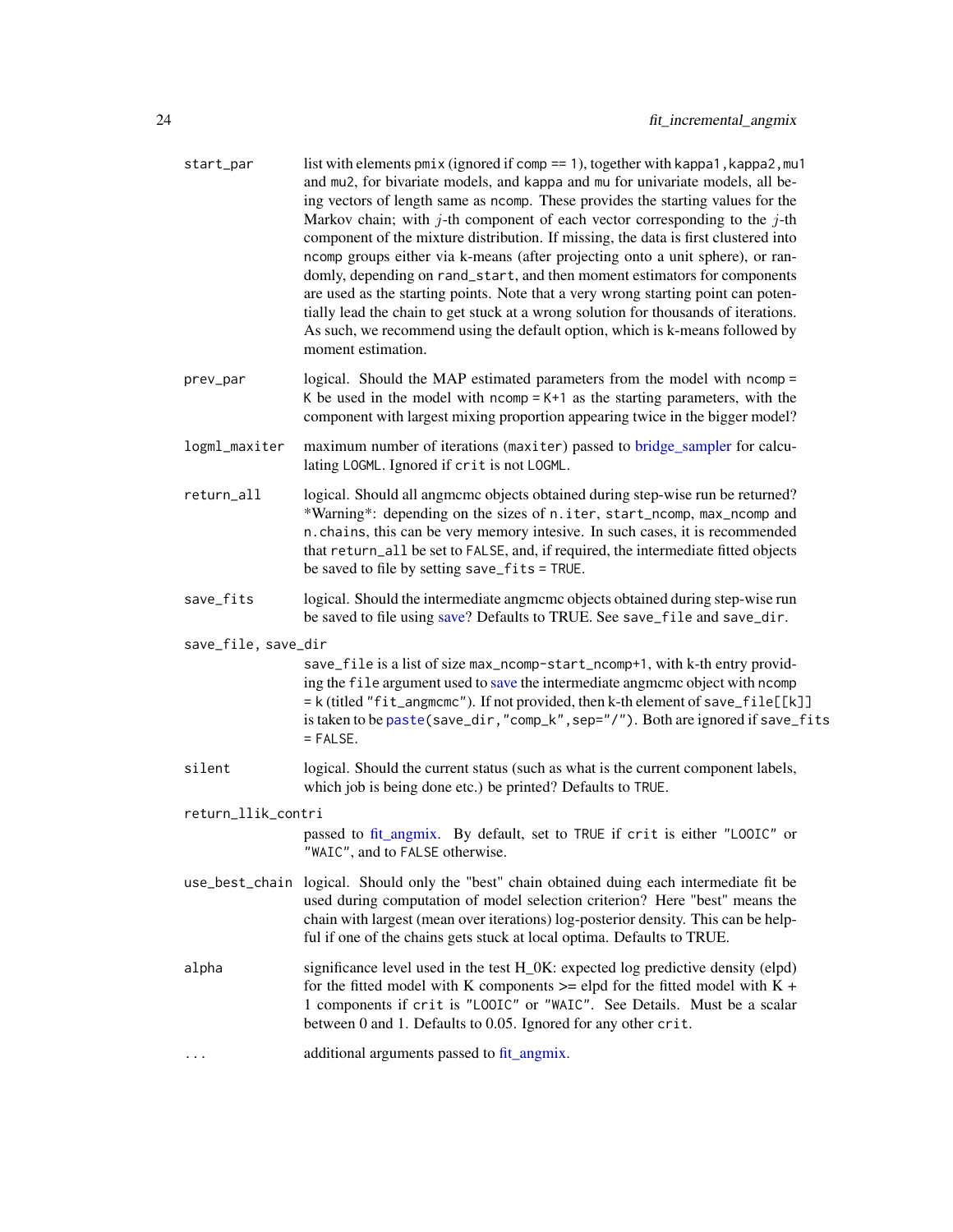<span id="page-23-0"></span>

| start_par           | list with elements $pmix$ (ignored if comp == 1), together with kappa1, kappa2, mu1<br>and mu2, for bivariate models, and kappa and mu for univariate models, all be-<br>ing vectors of length same as ncomp. These provides the starting values for the<br>Markov chain; with $j$ -th component of each vector corresponding to the $j$ -th<br>component of the mixture distribution. If missing, the data is first clustered into<br>ncomp groups either via k-means (after projecting onto a unit sphere), or ran-<br>domly, depending on rand_start, and then moment estimators for components<br>are used as the starting points. Note that a very wrong starting point can poten-<br>tially lead the chain to get stuck at a wrong solution for thousands of iterations.<br>As such, we recommend using the default option, which is k-means followed by<br>moment estimation. |  |
|---------------------|--------------------------------------------------------------------------------------------------------------------------------------------------------------------------------------------------------------------------------------------------------------------------------------------------------------------------------------------------------------------------------------------------------------------------------------------------------------------------------------------------------------------------------------------------------------------------------------------------------------------------------------------------------------------------------------------------------------------------------------------------------------------------------------------------------------------------------------------------------------------------------------|--|
| prev_par            | logical. Should the MAP estimated parameters from the model with ncomp =<br>K be used in the model with $ncomp = K+1$ as the starting parameters, with the<br>component with largest mixing proportion appearing twice in the bigger model?                                                                                                                                                                                                                                                                                                                                                                                                                                                                                                                                                                                                                                          |  |
| logml_maxiter       | maximum number of iterations (maxiter) passed to bridge_sampler for calcu-<br>lating LOGML. Ignored if crit is not LOGML.                                                                                                                                                                                                                                                                                                                                                                                                                                                                                                                                                                                                                                                                                                                                                            |  |
| return_all          | logical. Should all angmcmc objects obtained during step-wise run be returned?<br>*Warning*: depending on the sizes of n.iter, start_ncomp, max_ncomp and<br>n. chains, this can be very memory intesive. In such cases, it is recommended<br>that return_all be set to FALSE, and, if required, the intermediate fitted objects<br>be saved to file by setting save_fits = TRUE.                                                                                                                                                                                                                                                                                                                                                                                                                                                                                                    |  |
| save_fits           | logical. Should the intermediate angmcmc objects obtained during step-wise run<br>be saved to file using save? Defaults to TRUE. See save_file and save_dir.                                                                                                                                                                                                                                                                                                                                                                                                                                                                                                                                                                                                                                                                                                                         |  |
| save_file, save_dir | save_file is a list of size max_ncomp-start_ncomp+1, with k-th entry provid-<br>ing the file argument used to save the intermediate angmcmc object with ncomp<br>= k (titled "fit_angmcmc"). If not provided, then k-th element of save_file[[k]]<br>is taken to be paste (save_dir, "comp_k", sep="/"). Both are ignored if save_fits                                                                                                                                                                                                                                                                                                                                                                                                                                                                                                                                               |  |
|                     | $=$ FALSE.                                                                                                                                                                                                                                                                                                                                                                                                                                                                                                                                                                                                                                                                                                                                                                                                                                                                           |  |
| silent              | logical. Should the current status (such as what is the current component labels,<br>which job is being done etc.) be printed? Defaults to TRUE.                                                                                                                                                                                                                                                                                                                                                                                                                                                                                                                                                                                                                                                                                                                                     |  |
| return_llik_contri  |                                                                                                                                                                                                                                                                                                                                                                                                                                                                                                                                                                                                                                                                                                                                                                                                                                                                                      |  |
|                     | passed to fit_angmix. By default, set to TRUE if crit is either "LOOIC" or<br>"WAIC", and to FALSE otherwise.                                                                                                                                                                                                                                                                                                                                                                                                                                                                                                                                                                                                                                                                                                                                                                        |  |
|                     | use_best_chain logical. Should only the "best" chain obtained duing each intermediate fit be<br>used during computation of model selection criterion? Here "best" means the<br>chain with largest (mean over iterations) log-posterior density. This can be help-<br>ful if one of the chains gets stuck at local optima. Defaults to TRUE.                                                                                                                                                                                                                                                                                                                                                                                                                                                                                                                                          |  |
| alpha               | significance level used in the test H_0K: expected log predictive density (elpd)<br>for the fitted model with K components $\ge$ elpd for the fitted model with K +<br>1 components if crit is "LOOIC" or "WAIC". See Details. Must be a scalar<br>between 0 and 1. Defaults to 0.05. Ignored for any other crit.                                                                                                                                                                                                                                                                                                                                                                                                                                                                                                                                                                    |  |
| .                   | additional arguments passed to fit_angmix.                                                                                                                                                                                                                                                                                                                                                                                                                                                                                                                                                                                                                                                                                                                                                                                                                                           |  |
|                     |                                                                                                                                                                                                                                                                                                                                                                                                                                                                                                                                                                                                                                                                                                                                                                                                                                                                                      |  |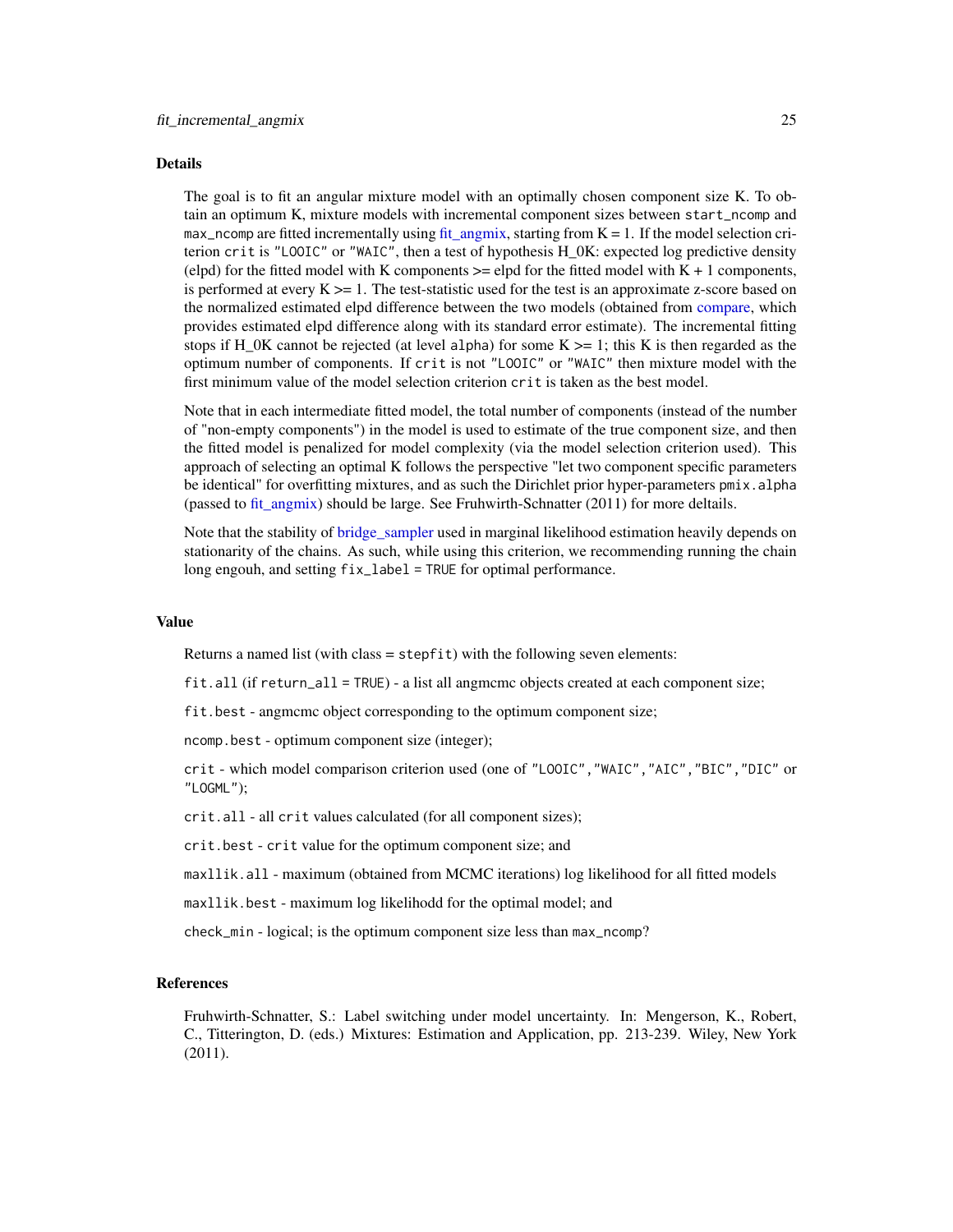#### <span id="page-24-0"></span>Details

The goal is to fit an angular mixture model with an optimally chosen component size K. To obtain an optimum K, mixture models with incremental component sizes between start\_ncomp and max\_ncomp are fitted incrementally using fit angmix, starting from  $K = 1$ . If the model selection criterion crit is "LOOIC" or "WAIC", then a test of hypothesis  $H_0K$ : expected log predictive density (elpd) for the fitted model with K components  $\ge$  = elpd for the fitted model with K + 1 components, is performed at every  $K \geq 1$ . The test-statistic used for the test is an approximate z-score based on the normalized estimated elpd difference between the two models (obtained from [compare,](#page-0-0) which provides estimated elpd difference along with its standard error estimate). The incremental fitting stops if H\_0K cannot be rejected (at level alpha) for some  $K \ge 1$ ; this K is then regarded as the optimum number of components. If crit is not "LOOIC" or "WAIC" then mixture model with the first minimum value of the model selection criterion crit is taken as the best model.

Note that in each intermediate fitted model, the total number of components (instead of the number of "non-empty components") in the model is used to estimate of the true component size, and then the fitted model is penalized for model complexity (via the model selection criterion used). This approach of selecting an optimal K follows the perspective "let two component specific parameters be identical" for overfitting mixtures, and as such the Dirichlet prior hyper-parameters pmix.alpha (passed to [fit\\_angmix\)](#page-16-1) should be large. See Fruhwirth-Schnatter (2011) for more deltails.

Note that the stability of bridge sampler used in marginal likelihood estimation heavily depends on stationarity of the chains. As such, while using this criterion, we recommending running the chain long engouh, and setting fix\_label = TRUE for optimal performance.

#### Value

Returns a named list (with class = stepfit) with the following seven elements:

fit.all (if return\_all = TRUE) - a list all angmcmc objects created at each component size;

fit.best - angmcmc object corresponding to the optimum component size;

ncomp.best - optimum component size (integer);

crit - which model comparison criterion used (one of "LOOIC","WAIC","AIC","BIC","DIC" or "LOGML");

crit.all - all crit values calculated (for all component sizes);

crit.best - crit value for the optimum component size; and

maxllik.all - maximum (obtained from MCMC iterations) log likelihood for all fitted models

maxllik.best - maximum log likelihodd for the optimal model; and

check\_min - logical; is the optimum component size less than max\_ncomp?

## References

Fruhwirth-Schnatter, S.: Label switching under model uncertainty. In: Mengerson, K., Robert, C., Titterington, D. (eds.) Mixtures: Estimation and Application, pp. 213-239. Wiley, New York (2011).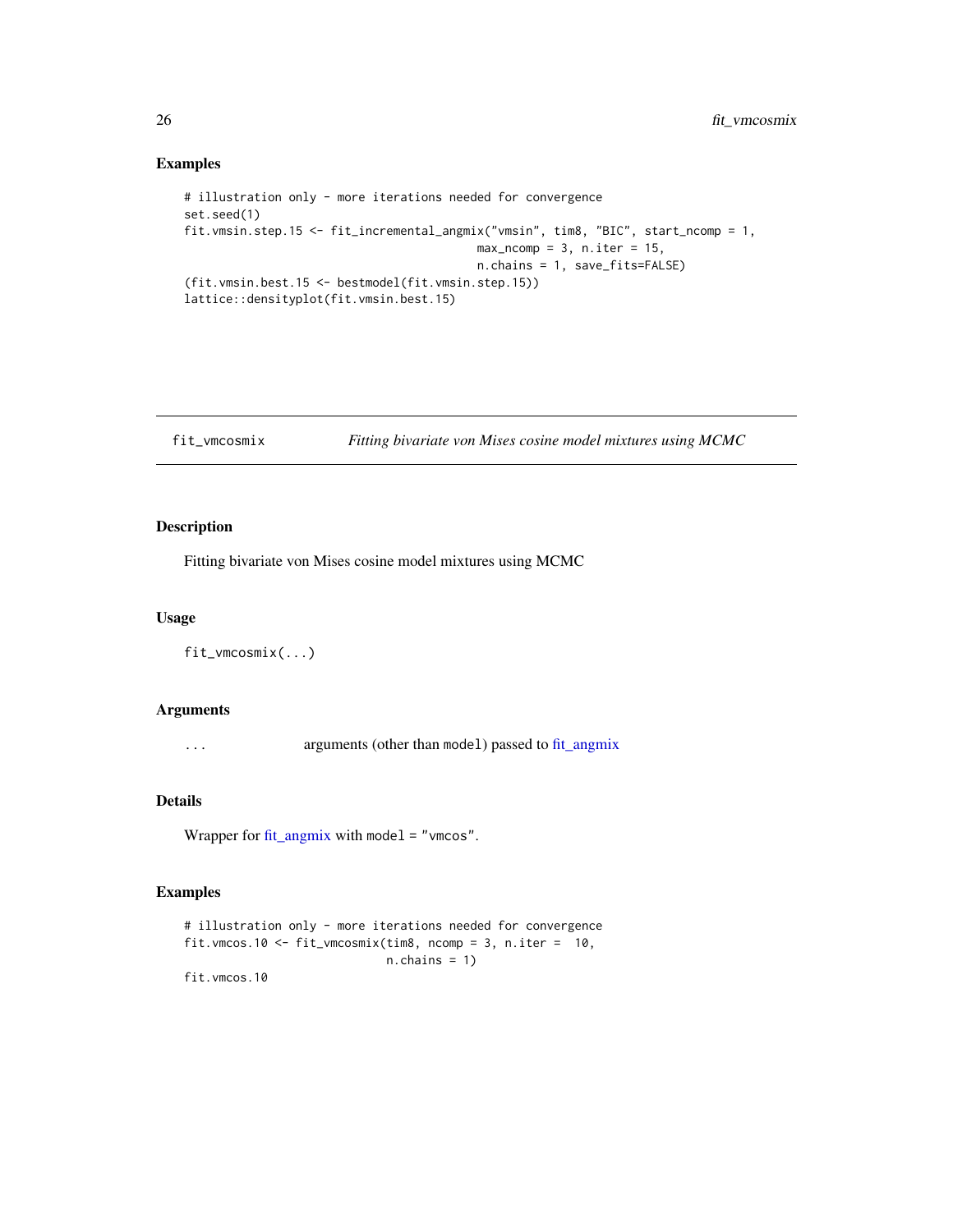## Examples

```
# illustration only - more iterations needed for convergence
set.seed(1)
fit.vmsin.step.15 <- fit_incremental_angmix("vmsin", tim8, "BIC", start_ncomp = 1,
                                          max\_ncomp = 3, n.iter = 15,n.chains = 1, save_fits=FALSE)
(fit.vmsin.best.15 <- bestmodel(fit.vmsin.step.15))
lattice::densityplot(fit.vmsin.best.15)
```

```
fit_vmcosmix Fitting bivariate von Mises cosine model mixtures using MCMC
```
## Description

Fitting bivariate von Mises cosine model mixtures using MCMC

## Usage

fit\_vmcosmix(...)

## Arguments

... arguments (other than model) passed to [fit\\_angmix](#page-16-1)

## Details

Wrapper for [fit\\_angmix](#page-16-1) with model = "vmcos".

#### Examples

```
# illustration only - more iterations needed for convergence
fit.vmcos.10 <- fit_vmcosmix(tim8, ncomp = 3, n.iter = 10,
                            n.chains = 1)
fit.vmcos.10
```
<span id="page-25-0"></span>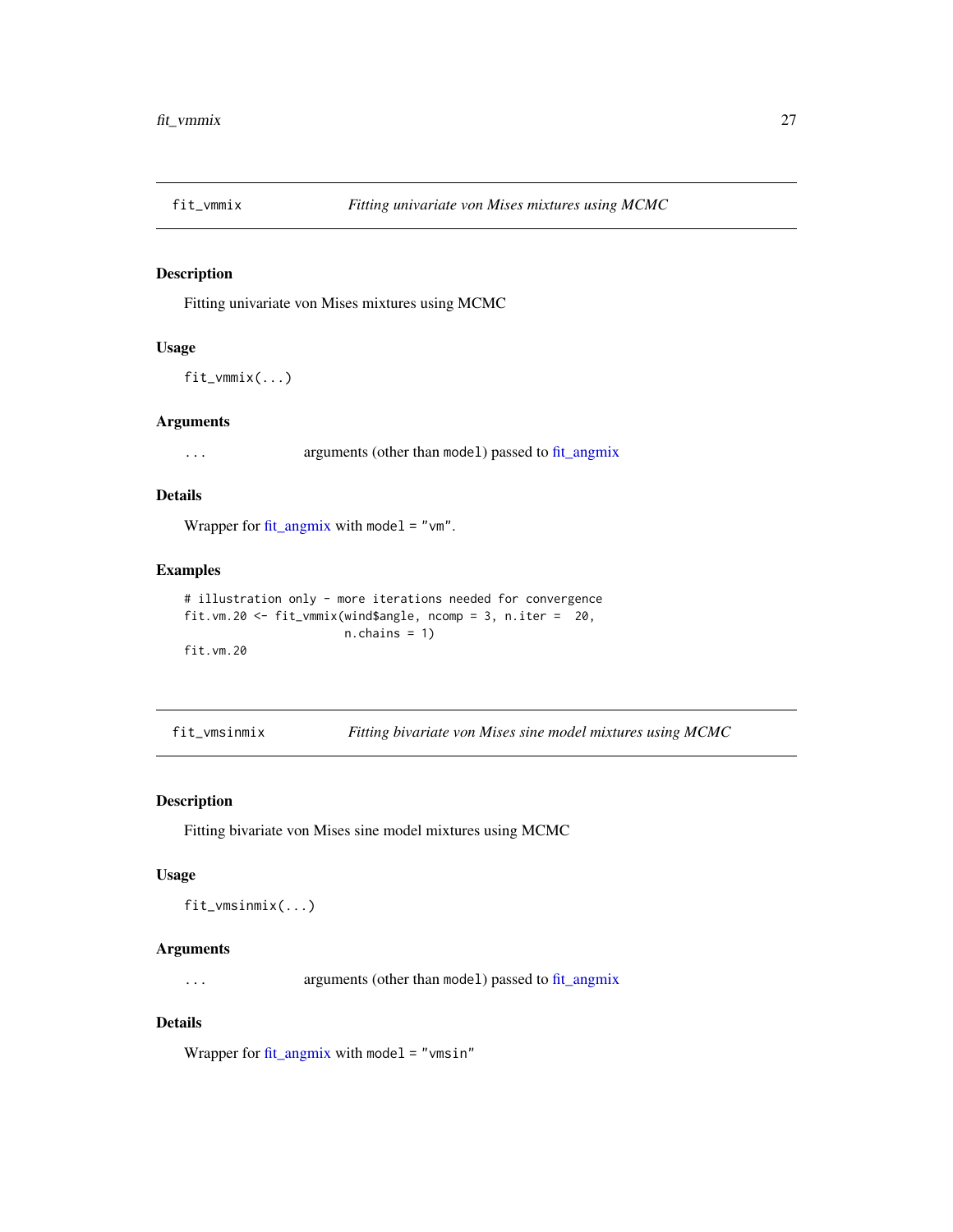<span id="page-26-0"></span>

## Description

Fitting univariate von Mises mixtures using MCMC

## Usage

fit\_vmmix(...)

## Arguments

... arguments (other than model) passed to [fit\\_angmix](#page-16-1)

## Details

Wrapper for [fit\\_angmix](#page-16-1) with model = " $vm$ ".

#### Examples

```
# illustration only - more iterations needed for convergence
fit.vm.20 <- fit_vmmix(wind$angle, ncomp = 3, n.iter = 20,
                      n.chains = 1)
fit.vm.20
```
fit\_vmsinmix *Fitting bivariate von Mises sine model mixtures using MCMC*

#### Description

Fitting bivariate von Mises sine model mixtures using MCMC

#### Usage

fit\_vmsinmix(...)

## Arguments

... arguments (other than model) passed to [fit\\_angmix](#page-16-1)

#### Details

Wrapper for  $fit\_angmix$  with model = "vmsin"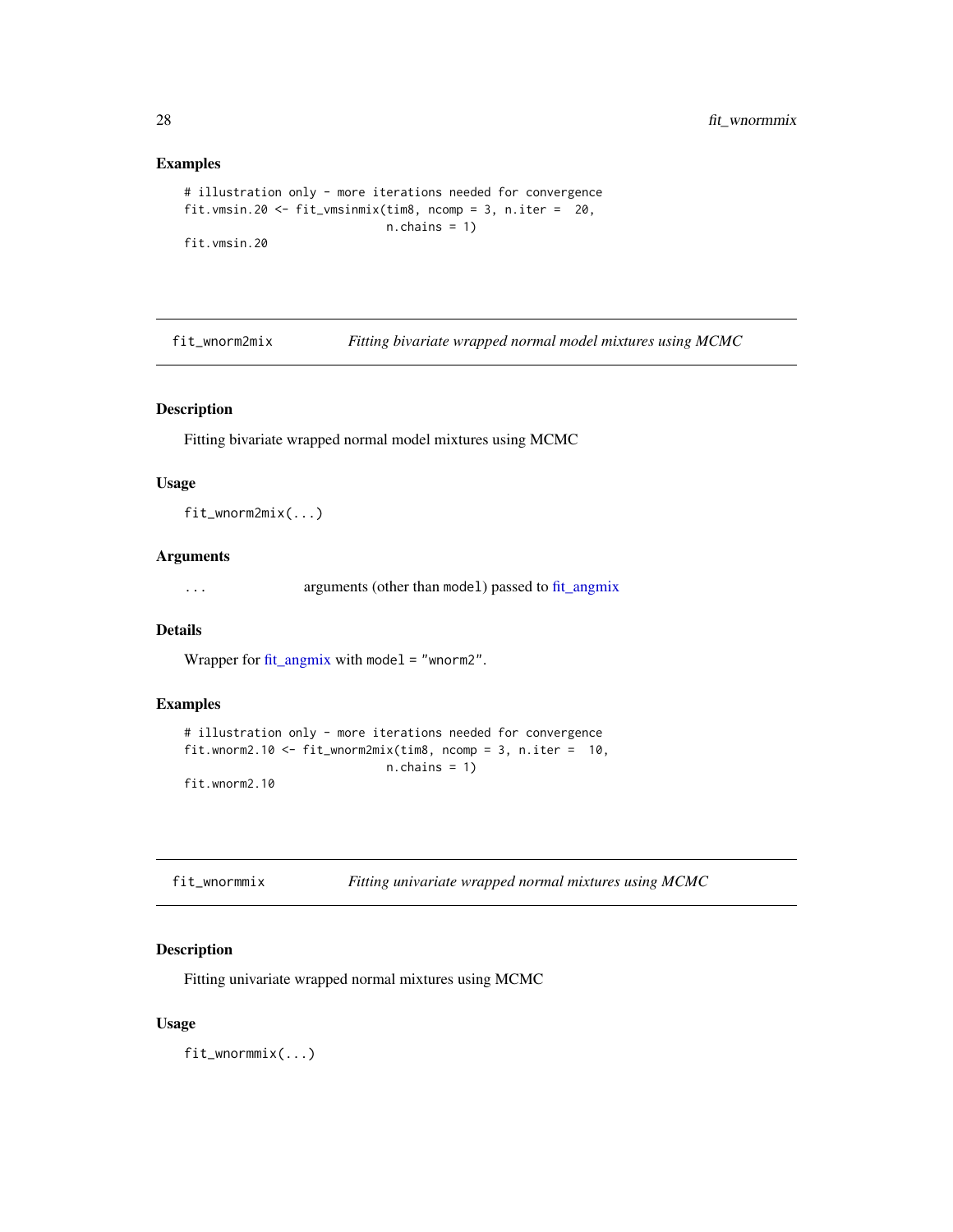## <span id="page-27-0"></span>Examples

```
# illustration only - more iterations needed for convergence
fit.vmsin.20 <- fit_vmsinmix(tim8, ncomp = 3, n.iter = 20,
                            n.chains = 1)
fit.vmsin.20
```
<span id="page-27-2"></span>fit\_wnorm2mix *Fitting bivariate wrapped normal model mixtures using MCMC*

## Description

Fitting bivariate wrapped normal model mixtures using MCMC

## Usage

fit\_wnorm2mix(...)

## Arguments

... arguments (other than model) passed to [fit\\_angmix](#page-16-1)

## Details

Wrapper for [fit\\_angmix](#page-16-1) with model = "wnorm2".

## Examples

```
# illustration only - more iterations needed for convergence
fit.wnorm2.10 <- fit_wnorm2mix(tim8, ncomp = 3, n.iter = 10,
                            n.chains = 1)
fit.wnorm2.10
```
<span id="page-27-1"></span>

| fit_wnormmix | Fitting univariate wrapped normal mixtures using MCMC |
|--------------|-------------------------------------------------------|
|              |                                                       |

## Description

Fitting univariate wrapped normal mixtures using MCMC

#### Usage

fit\_wnormmix(...)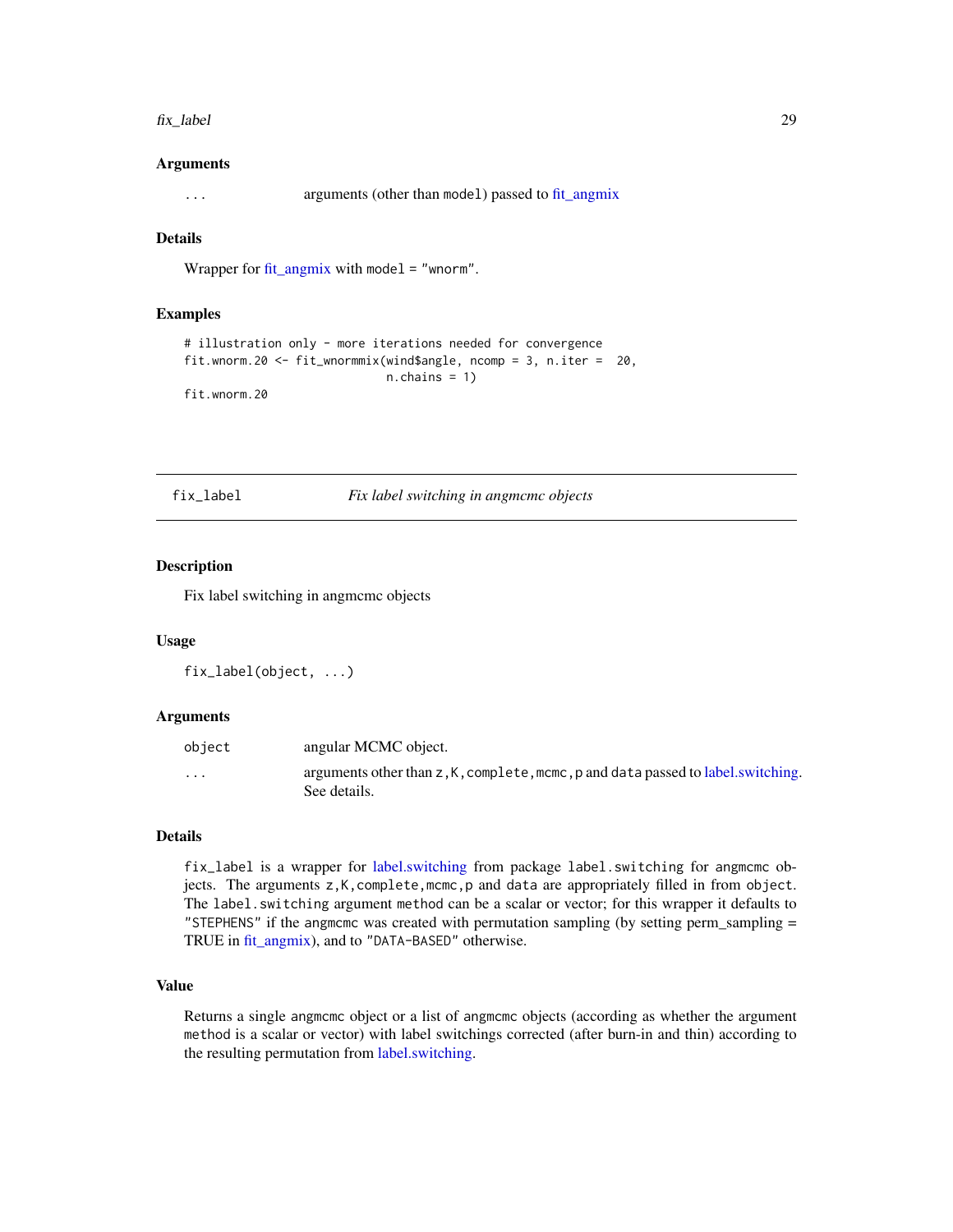#### <span id="page-28-0"></span>fix\_label 29

#### Arguments

... arguments (other than model) passed to [fit\\_angmix](#page-16-1)

## Details

Wrapper for [fit\\_angmix](#page-16-1) with model = "wnorm".

### Examples

```
# illustration only - more iterations needed for convergence
fit.wnorm.20 <- fit_wnormmix(wind$angle, ncomp = 3, n.iter = 20,
                            n.chains = 1)
fit.wnorm.20
```
fix\_label *Fix label switching in angmcmc objects*

#### Description

Fix label switching in angmcmc objects

## Usage

```
fix_label(object, ...)
```
#### Arguments

| object            | angular MCMC object.                                                                                 |
|-------------------|------------------------------------------------------------------------------------------------------|
| $\cdot\cdot\cdot$ | arguments other than $z, K$ , complete, mcmc, p and data passed to label. switching.<br>See details. |

## Details

fix\_label is a wrapper for [label.switching](#page-0-0) from package label.switching for angmcmc objects. The arguments z,K,complete,mcmc,p and data are appropriately filled in from object. The label.switching argument method can be a scalar or vector; for this wrapper it defaults to "STEPHENS" if the angmcmc was created with permutation sampling (by setting perm\_sampling = TRUE in [fit\\_angmix\)](#page-16-1), and to "DATA-BASED" otherwise.

## Value

Returns a single angmcmc object or a list of angmcmc objects (according as whether the argument method is a scalar or vector) with label switchings corrected (after burn-in and thin) according to the resulting permutation from [label.switching.](#page-0-0)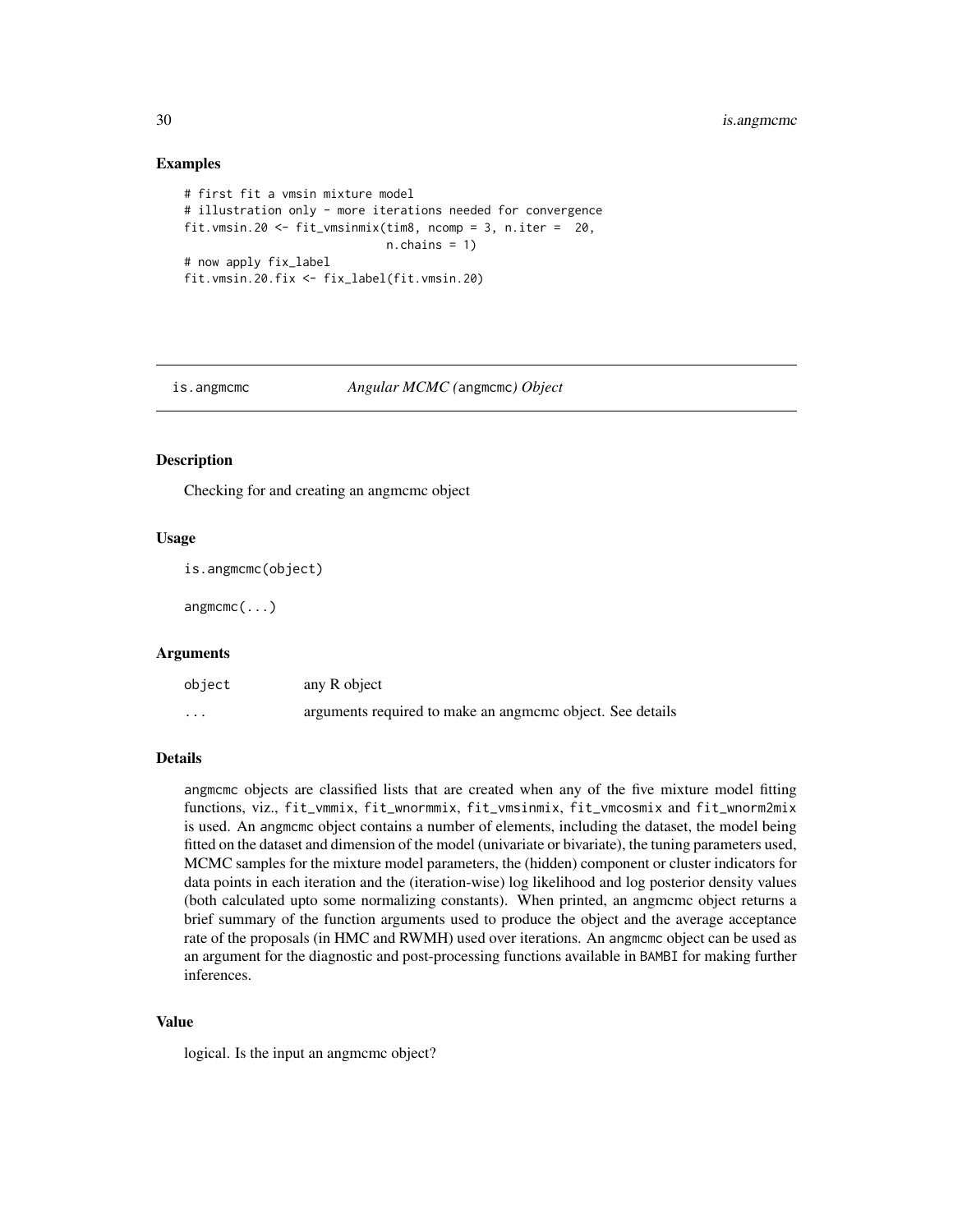#### Examples

```
# first fit a vmsin mixture model
# illustration only - more iterations needed for convergence
fit.vmsin.20 <- fit_vmsinmix(tim8, ncomp = 3, n.iter = 20,
                             n.chains = 1)
# now apply fix_label
fit.vmsin.20.fix <- fix_label(fit.vmsin.20)
```
#### is.angmcmc *Angular MCMC (*angmcmc*) Object*

## Description

Checking for and creating an angmcmc object

#### Usage

is.angmcmc(object)

angmcmc(...)

#### Arguments

| object | any R object                                              |
|--------|-----------------------------------------------------------|
| .      | arguments required to make an angmome object. See details |

#### Details

angmcmc objects are classified lists that are created when any of the five mixture model fitting functions, viz., fit\_vmmix, fit\_wnormmix, fit\_vmsinmix, fit\_vmcosmix and fit\_wnorm2mix is used. An angmcmc object contains a number of elements, including the dataset, the model being fitted on the dataset and dimension of the model (univariate or bivariate), the tuning parameters used, MCMC samples for the mixture model parameters, the (hidden) component or cluster indicators for data points in each iteration and the (iteration-wise) log likelihood and log posterior density values (both calculated upto some normalizing constants). When printed, an angmcmc object returns a brief summary of the function arguments used to produce the object and the average acceptance rate of the proposals (in HMC and RWMH) used over iterations. An angmeme object can be used as an argument for the diagnostic and post-processing functions available in BAMBI for making further inferences.

#### Value

logical. Is the input an angmcmc object?

<span id="page-29-0"></span>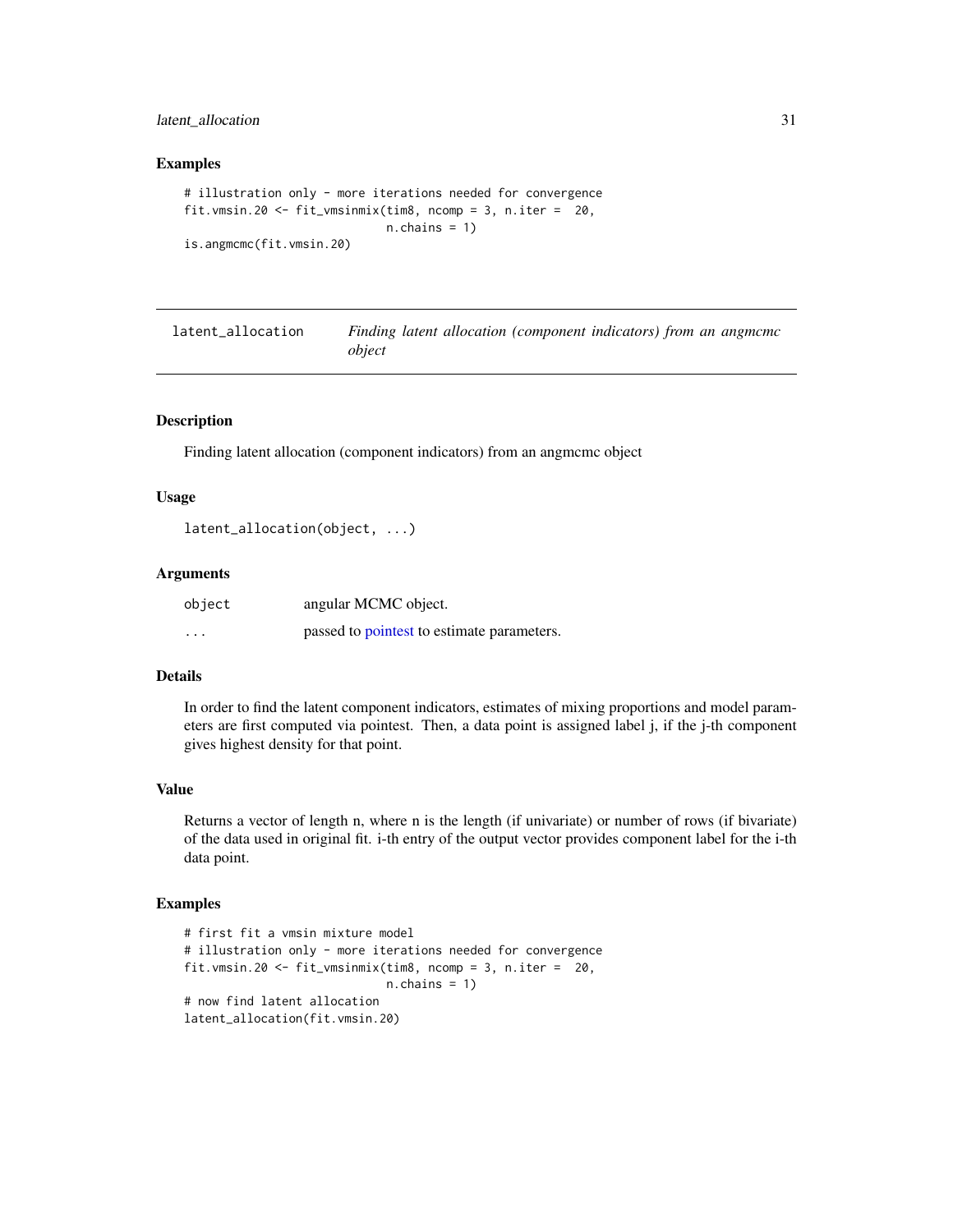## <span id="page-30-0"></span>latent\_allocation 31

#### Examples

```
# illustration only - more iterations needed for convergence
fit.vmsin.20 <- fit_vmsinmix(tim8, ncomp = 3, n.iter = 20,
                             n.chains = 1)
is.angmcmc(fit.vmsin.20)
```

| latent_allocation | Finding latent allocation (component indicators) from an angmement |
|-------------------|--------------------------------------------------------------------|
|                   | object                                                             |

## Description

Finding latent allocation (component indicators) from an angmcmc object

#### Usage

```
latent_allocation(object, ...)
```
#### Arguments

| object   | angular MCMC object.                       |
|----------|--------------------------------------------|
| $\cdots$ | passed to pointest to estimate parameters. |

## Details

In order to find the latent component indicators, estimates of mixing proportions and model parameters are first computed via pointest. Then, a data point is assigned label j, if the j-th component gives highest density for that point.

## Value

Returns a vector of length n, where n is the length (if univariate) or number of rows (if bivariate) of the data used in original fit. i-th entry of the output vector provides component label for the i-th data point.

## Examples

```
# first fit a vmsin mixture model
# illustration only - more iterations needed for convergence
fit.vmsin.20 <- fit_vmsinmix(tim8, ncomp = 3, n.iter = 20,
                            n.chains = 1)
# now find latent allocation
latent_allocation(fit.vmsin.20)
```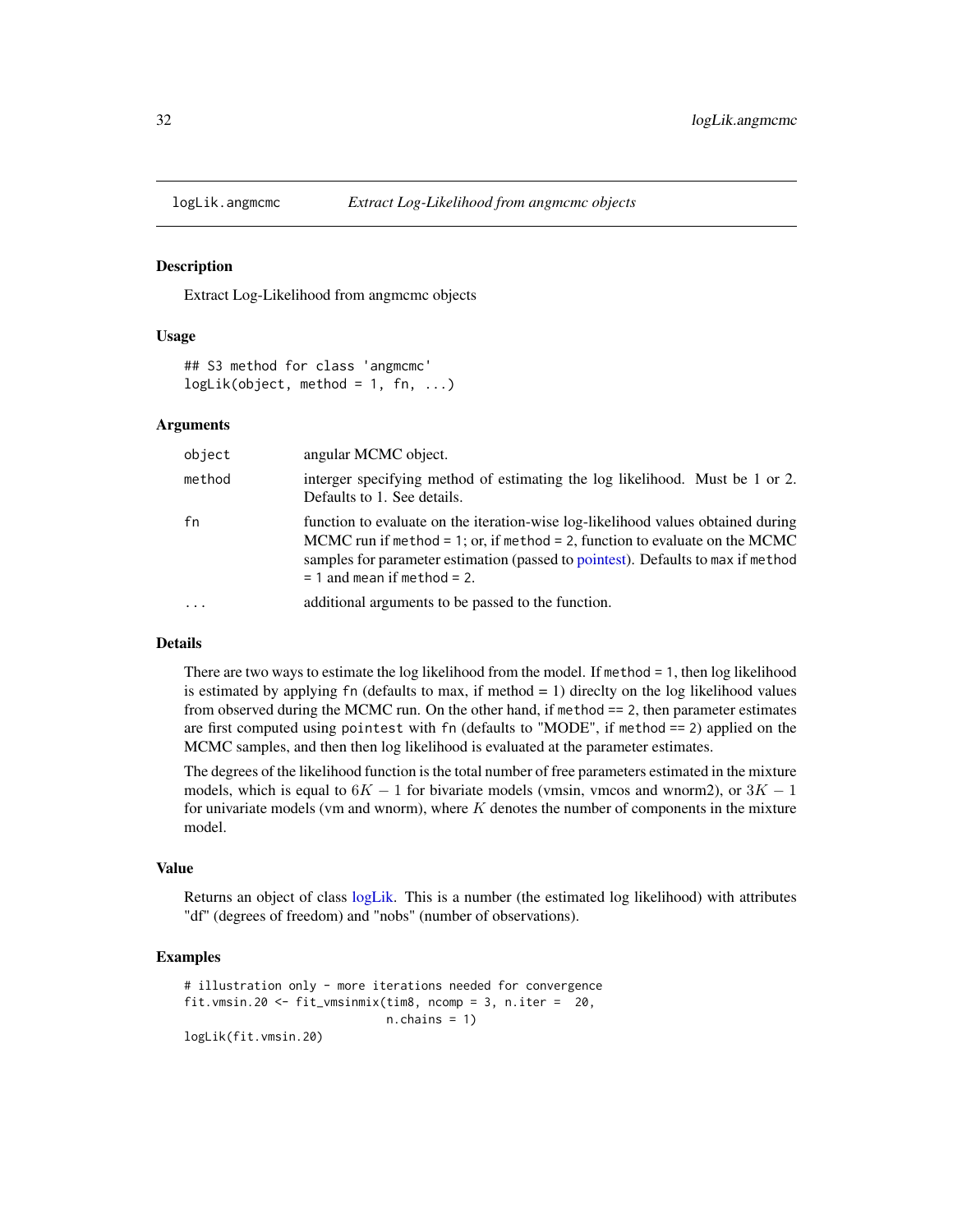<span id="page-31-0"></span>

#### Description

Extract Log-Likelihood from angmcmc objects

#### Usage

```
## S3 method for class 'angmcmc'
logLik(object, method = 1, fn, ...)
```
#### Arguments

| object | angular MCMC object.                                                                                                                                                                                                                                                                    |
|--------|-----------------------------------------------------------------------------------------------------------------------------------------------------------------------------------------------------------------------------------------------------------------------------------------|
| method | interger specifying method of estimating the log likelihood. Must be 1 or 2.<br>Defaults to 1. See details.                                                                                                                                                                             |
| fn     | function to evaluate on the iteration-wise log-likelihood values obtained during<br>MCMC run if method = 1; or, if method = 2, function to evaluate on the MCMC<br>samples for parameter estimation (passed to pointest). Defaults to max if method<br>$= 1$ and mean if method $= 2$ . |
|        | additional arguments to be passed to the function.                                                                                                                                                                                                                                      |

#### Details

There are two ways to estimate the log likelihood from the model. If method = 1, then log likelihood is estimated by applying  $fn$  (defaults to max, if method  $= 1$ ) direclty on the log likelihood values from observed during the MCMC run. On the other hand, if method == 2, then parameter estimates are first computed using pointest with fn (defaults to "MODE", if method == 2) applied on the MCMC samples, and then then log likelihood is evaluated at the parameter estimates.

The degrees of the likelihood function is the total number of free parameters estimated in the mixture models, which is equal to  $6K - 1$  for bivariate models (vmsin, vmcos and wnorm2), or  $3K - 1$ for univariate models (vm and wnorm), where  $K$  denotes the number of components in the mixture model.

#### Value

Returns an object of class [logLik.](#page-0-0) This is a number (the estimated log likelihood) with attributes "df" (degrees of freedom) and "nobs" (number of observations).

## Examples

```
# illustration only - more iterations needed for convergence
fit.vmsin.20 <- fit_vmsinmix(tim8, ncomp = 3, n.iter = 20,
                            n.chains = 1)
logLik(fit.vmsin.20)
```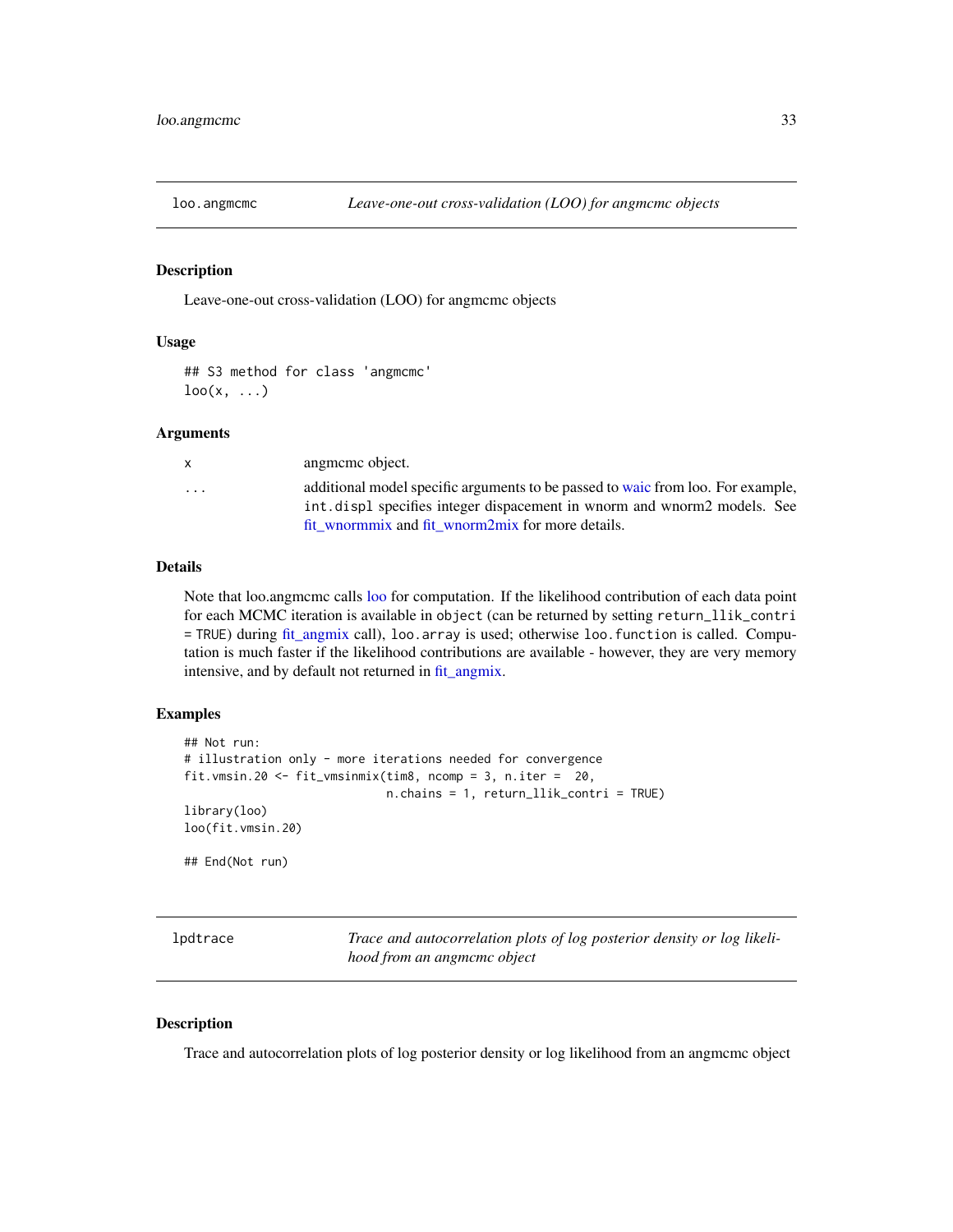<span id="page-32-1"></span><span id="page-32-0"></span>

#### Description

Leave-one-out cross-validation (LOO) for angmcmc objects

## Usage

## S3 method for class 'angmcmc'  $\text{loo}(x, \ldots)$ 

## Arguments

| X        | angmeme object.                                                                                                                                                                                                 |
|----------|-----------------------------------------------------------------------------------------------------------------------------------------------------------------------------------------------------------------|
| $\cdots$ | additional model specific arguments to be passed to waic from loo. For example,<br>int displ specifies integer dispacement in whorm and whorm 2 models. See<br>fit wnormmix and fit wnorm2mix for more details. |
|          |                                                                                                                                                                                                                 |

## Details

Note that loo.angmcmc calls [loo](#page-0-0) for computation. If the likelihood contribution of each data point for each MCMC iteration is available in object (can be returned by setting return\_llik\_contri = TRUE) during [fit\\_angmix](#page-16-1) call), loo.array is used; otherwise loo.function is called. Computation is much faster if the likelihood contributions are available - however, they are very memory intensive, and by default not returned in [fit\\_angmix.](#page-16-1)

#### Examples

```
## Not run:
# illustration only - more iterations needed for convergence
fit.vmsin.20 <- fit_vmsinmix(tim8, ncomp = 3, n.iter = 20,
                             n.chains = 1, return_llik_contri = TRUE)
library(loo)
loo(fit.vmsin.20)
## End(Not run)
```

| lpdtrace |  |
|----------|--|
|----------|--|

Trace and autocorrelation plots of log posterior density or log likeli*hood from an angmcmc object*

#### Description

Trace and autocorrelation plots of log posterior density or log likelihood from an angmcmc object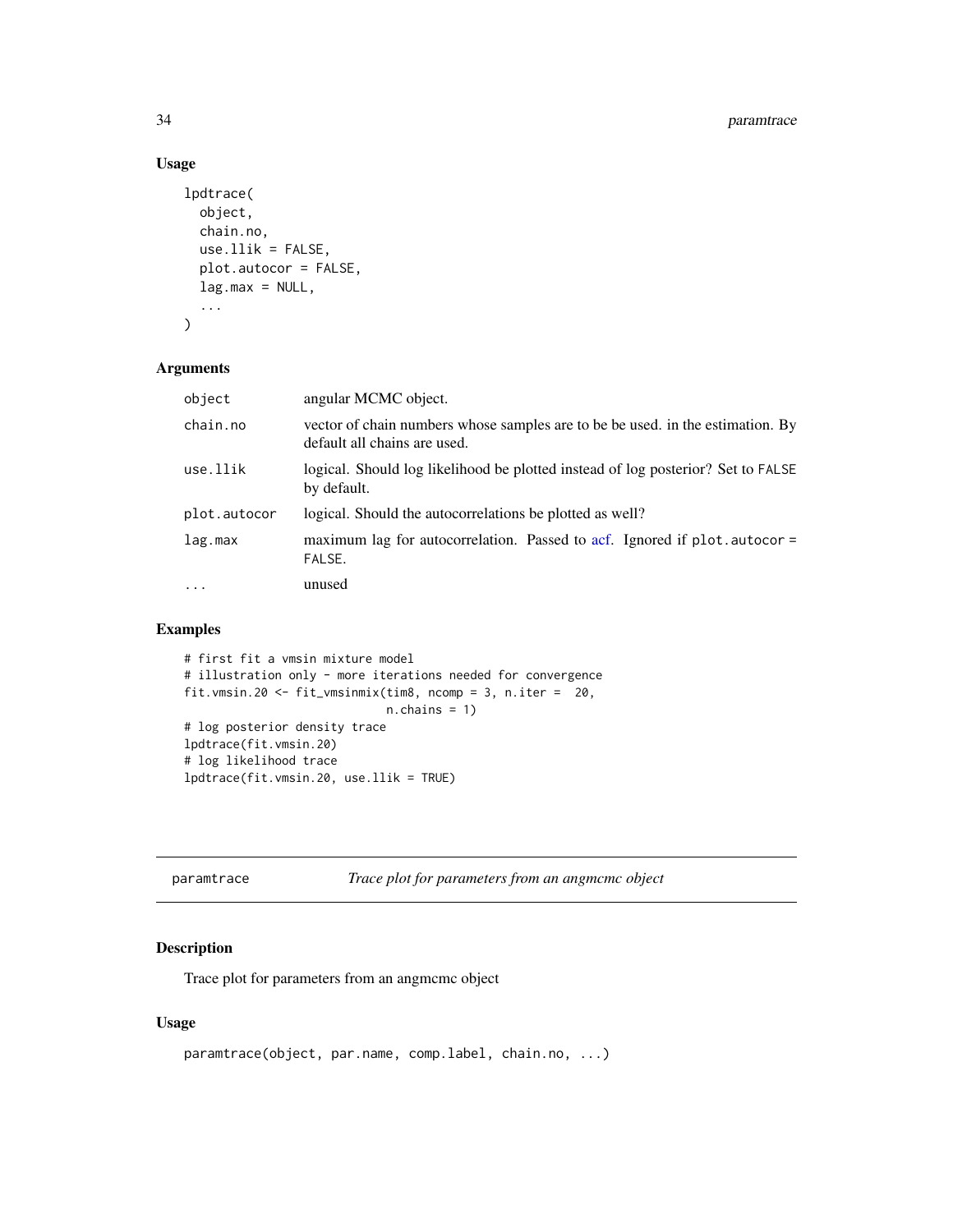## Usage

```
lpdtrace(
  object,
  chain.no,
  use.11ik = FALSE,plot.autocor = FALSE,
  lag.max = NULL,...
\mathcal{L}
```
## Arguments

| object       | angular MCMC object.                                                                                           |
|--------------|----------------------------------------------------------------------------------------------------------------|
| chain.no     | vector of chain numbers whose samples are to be be used. in the estimation. By<br>default all chains are used. |
| use.llik     | logical. Should log likelihood be plotted instead of log posterior? Set to FALSE<br>by default.                |
| plot.autocor | logical. Should the autocorrelations be plotted as well?                                                       |
| lag.max      | maximum lag for autocorrelation. Passed to acf. Ignored if plot autocor =<br>FALSE.                            |
| $\cdots$     | unused                                                                                                         |

## Examples

```
# first fit a vmsin mixture model
# illustration only - more iterations needed for convergence
fit.vmsin.20 <- fit_vmsinmix(tim8, ncomp = 3, n.iter = 20,
                            n.chains = 1)
# log posterior density trace
lpdtrace(fit.vmsin.20)
# log likelihood trace
lpdtrace(fit.vmsin.20, use.llik = TRUE)
```

| paramtrace | Trace plot for parameters from an angmcmc object |  |
|------------|--------------------------------------------------|--|
|            |                                                  |  |

## Description

Trace plot for parameters from an angmcmc object

#### Usage

```
paramtrace(object, par.name, comp.label, chain.no, ...)
```
<span id="page-33-0"></span>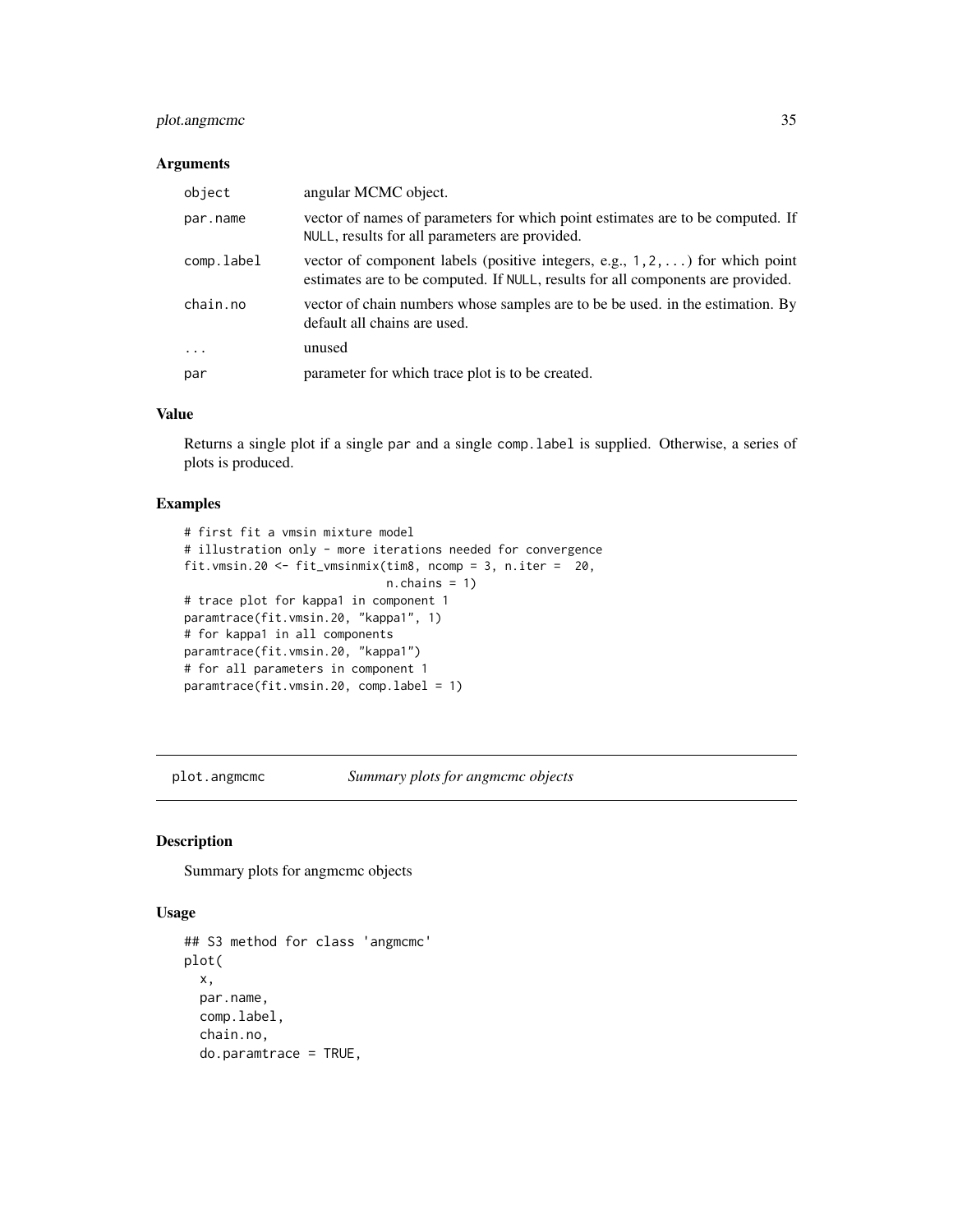## <span id="page-34-0"></span>plot.angmcmc 35

## Arguments

| object     | angular MCMC object.                                                                                                                                                     |
|------------|--------------------------------------------------------------------------------------------------------------------------------------------------------------------------|
| par.name   | vector of names of parameters for which point estimates are to be computed. If<br>NULL, results for all parameters are provided.                                         |
| comp.label | vector of component labels (positive integers, e.g., $1, 2, \ldots$ ) for which point<br>estimates are to be computed. If NULL, results for all components are provided. |
| chain.no   | vector of chain numbers whose samples are to be be used. in the estimation. By<br>default all chains are used.                                                           |
| $\ddots$ . | unused                                                                                                                                                                   |
| par        | parameter for which trace plot is to be created.                                                                                                                         |

#### Value

Returns a single plot if a single par and a single comp.label is supplied. Otherwise, a series of plots is produced.

## Examples

```
# first fit a vmsin mixture model
# illustration only - more iterations needed for convergence
fit.vmsin.20 <- fit_vmsinmix(tim8, ncomp = 3, n.iter = 20,
                             n.chains = 1)
# trace plot for kappa1 in component 1
paramtrace(fit.vmsin.20, "kappa1", 1)
# for kappa1 in all components
paramtrace(fit.vmsin.20, "kappa1")
# for all parameters in component 1
paramtrace(fit.vmsin.20, comp.label = 1)
```
plot.angmcmc *Summary plots for angmcmc objects*

#### Description

Summary plots for angmcmc objects

#### Usage

```
## S3 method for class 'angmcmc'
plot(
 x,
 par.name,
 comp.label,
  chain.no,
  do.paramtrace = TRUE,
```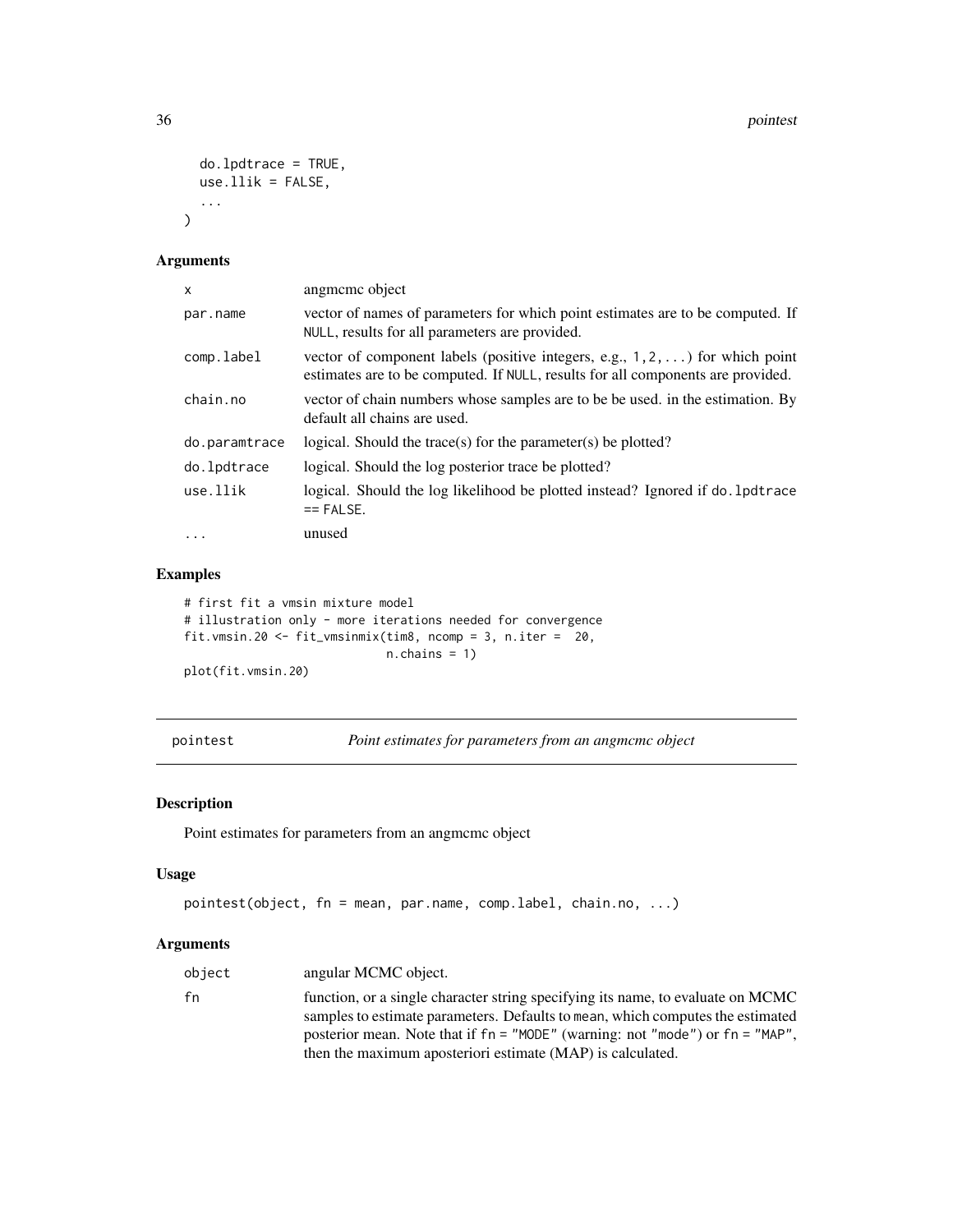```
do.lpdtrace = TRUE,
  use.1lik = FALSE,
  ...
\mathcal{L}
```
## Arguments

| x             | angmeme object                                                                                                                                                           |
|---------------|--------------------------------------------------------------------------------------------------------------------------------------------------------------------------|
| par.name      | vector of names of parameters for which point estimates are to be computed. If<br>NULL, results for all parameters are provided.                                         |
| comp.label    | vector of component labels (positive integers, e.g., $1, 2, \ldots$ ) for which point<br>estimates are to be computed. If NULL, results for all components are provided. |
| chain.no      | vector of chain numbers whose samples are to be be used. in the estimation. By<br>default all chains are used.                                                           |
| do.paramtrace | logical. Should the trace(s) for the parameter(s) be plotted?                                                                                                            |
| do.lpdtrace   | logical. Should the log posterior trace be plotted?                                                                                                                      |
| use.llik      | logical. Should the log likelihood be plotted instead? Ignored if do . 1 pdtrace<br>$==$ FALSE.                                                                          |
| $\ddots$      | unused                                                                                                                                                                   |

## Examples

# first fit a vmsin mixture model # illustration only - more iterations needed for convergence fit.vmsin.20 <- fit\_vmsinmix(tim8, ncomp = 3, n.iter = 20,  $n.$ chains = 1) plot(fit.vmsin.20)

<span id="page-35-1"></span>pointest *Point estimates for parameters from an angmcmc object*

## Description

Point estimates for parameters from an angmcmc object

## Usage

```
pointest(object, fn = mean, par.name, comp.label, chain.no, ...)
```

| object | angular MCMC object.                                                                                                                                                                                                                                    |
|--------|---------------------------------------------------------------------------------------------------------------------------------------------------------------------------------------------------------------------------------------------------------|
| fn     | function, or a single character string specifying its name, to evaluate on MCMC<br>samples to estimate parameters. Defaults to mean, which computes the estimated<br>posterior mean. Note that if $fn = "MODE"$ (warning: not "mode") or $fn = "MAP"$ . |
|        | then the maximum aposteriori estimate (MAP) is calculated.                                                                                                                                                                                              |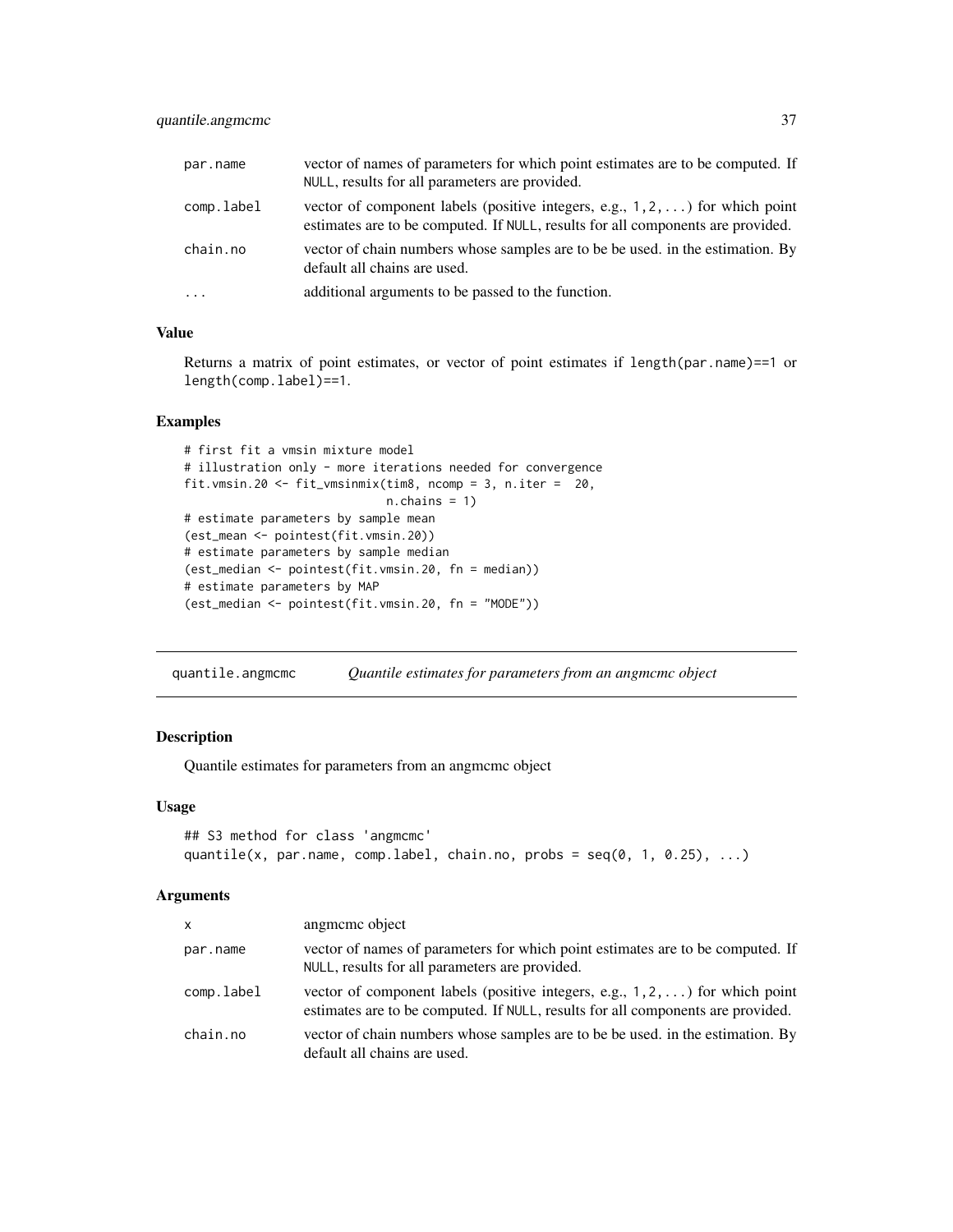<span id="page-36-0"></span>

| par.name   | vector of names of parameters for which point estimates are to be computed. If<br>NULL, results for all parameters are provided.                                         |
|------------|--------------------------------------------------------------------------------------------------------------------------------------------------------------------------|
| comp.label | vector of component labels (positive integers, e.g., $1, 2, \ldots$ ) for which point<br>estimates are to be computed. If NULL, results for all components are provided. |
| chain.no   | vector of chain numbers whose samples are to be be used. in the estimation. By<br>default all chains are used.                                                           |
| $\cdots$   | additional arguments to be passed to the function.                                                                                                                       |

## Value

Returns a matrix of point estimates, or vector of point estimates if length(par.name)==1 or length(comp.label)==1.

## Examples

```
# first fit a vmsin mixture model
# illustration only - more iterations needed for convergence
fit.vmsin.20 <- fit_vmsinmix(tim8, ncomp = 3, n.iter = 20,
                             n.chains = 1)
# estimate parameters by sample mean
(est_mean <- pointest(fit.vmsin.20))
# estimate parameters by sample median
(est_median <- pointest(fit.vmsin.20, fn = median))
# estimate parameters by MAP
(est_median <- pointest(fit.vmsin.20, fn = "MODE"))
```
quantile.angmcmc *Quantile estimates for parameters from an angmcmc object*

## Description

Quantile estimates for parameters from an angmcmc object

## Usage

```
## S3 method for class 'angmcmc'
quantile(x, par.name, comp.label, chain.no, probs = seq(0, 1, 0.25), ...)
```

| <b>X</b>   | angmeme object                                                                                                                                                           |
|------------|--------------------------------------------------------------------------------------------------------------------------------------------------------------------------|
| par.name   | vector of names of parameters for which point estimates are to be computed. If<br>NULL, results for all parameters are provided.                                         |
| comp.label | vector of component labels (positive integers, e.g., $1, 2, \ldots$ ) for which point<br>estimates are to be computed. If NULL, results for all components are provided. |
| chain.no   | vector of chain numbers whose samples are to be be used. in the estimation. By<br>default all chains are used.                                                           |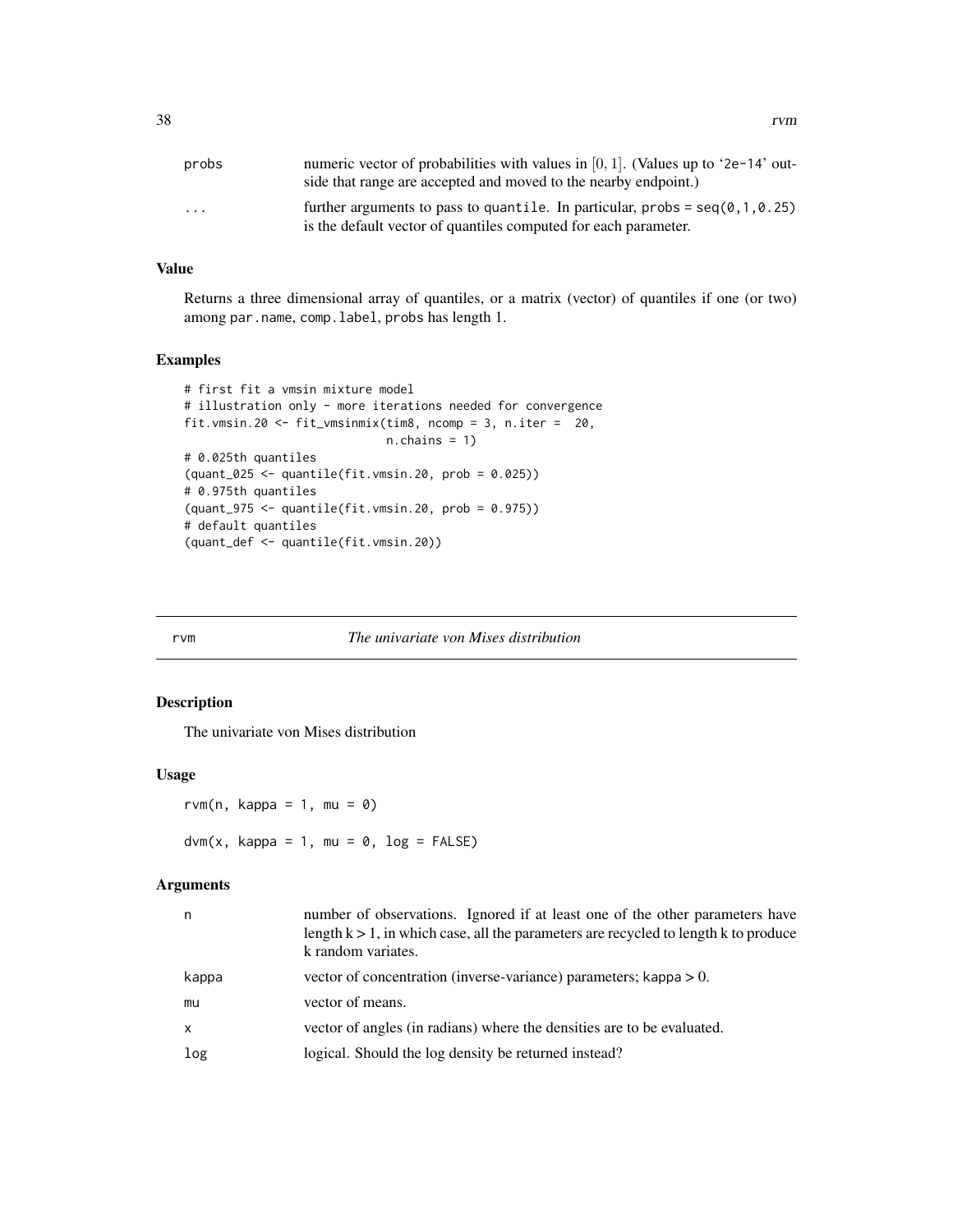<span id="page-37-0"></span>

| probs                   | numeric vector of probabilities with values in $[0, 1]$ . (Values up to '2e-14' out-<br>side that range are accepted and moved to the nearby endpoint.)          |
|-------------------------|------------------------------------------------------------------------------------------------------------------------------------------------------------------|
| $\cdot$ $\cdot$ $\cdot$ | further arguments to pass to quantile. In particular, $\text{probs} = \text{seq}(0, 1, 0.25)$<br>is the default vector of quantiles computed for each parameter. |

## Value

Returns a three dimensional array of quantiles, or a matrix (vector) of quantiles if one (or two) among par.name, comp.label, probs has length 1.

## Examples

```
# first fit a vmsin mixture model
# illustration only - more iterations needed for convergence
fit.vmsin.20 <- fit_vmsinmix(tim8, ncomp = 3, n.iter = 20,
                             n.chains = 1)
# 0.025th quantiles
(quant_025 <- quantile(fit.vmsin.20, prob = 0.025))
# 0.975th quantiles
(quant_975 <- quantile(fit.vmsin.20, prob = 0.975))
# default quantiles
(quant_def <- quantile(fit.vmsin.20))
```
#### rvm *The univariate von Mises distribution*

## Description

The univariate von Mises distribution

#### Usage

rvm(n, kappa = 1, mu =  $\theta$ )  $dvm(x, kappa = 1, mu = 0, log = FALSE)$ 

| n            | number of observations. Ignored if at least one of the other parameters have<br>length $k > 1$ , in which case, all the parameters are recycled to length k to produce<br>k random variates. |
|--------------|----------------------------------------------------------------------------------------------------------------------------------------------------------------------------------------------|
| kappa        | vector of concentration (inverse-variance) parameters; kappa $> 0$ .                                                                                                                         |
| mu           | vector of means.                                                                                                                                                                             |
| $\mathsf{x}$ | vector of angles (in radians) where the densities are to be evaluated.                                                                                                                       |
| log          | logical. Should the log density be returned instead?                                                                                                                                         |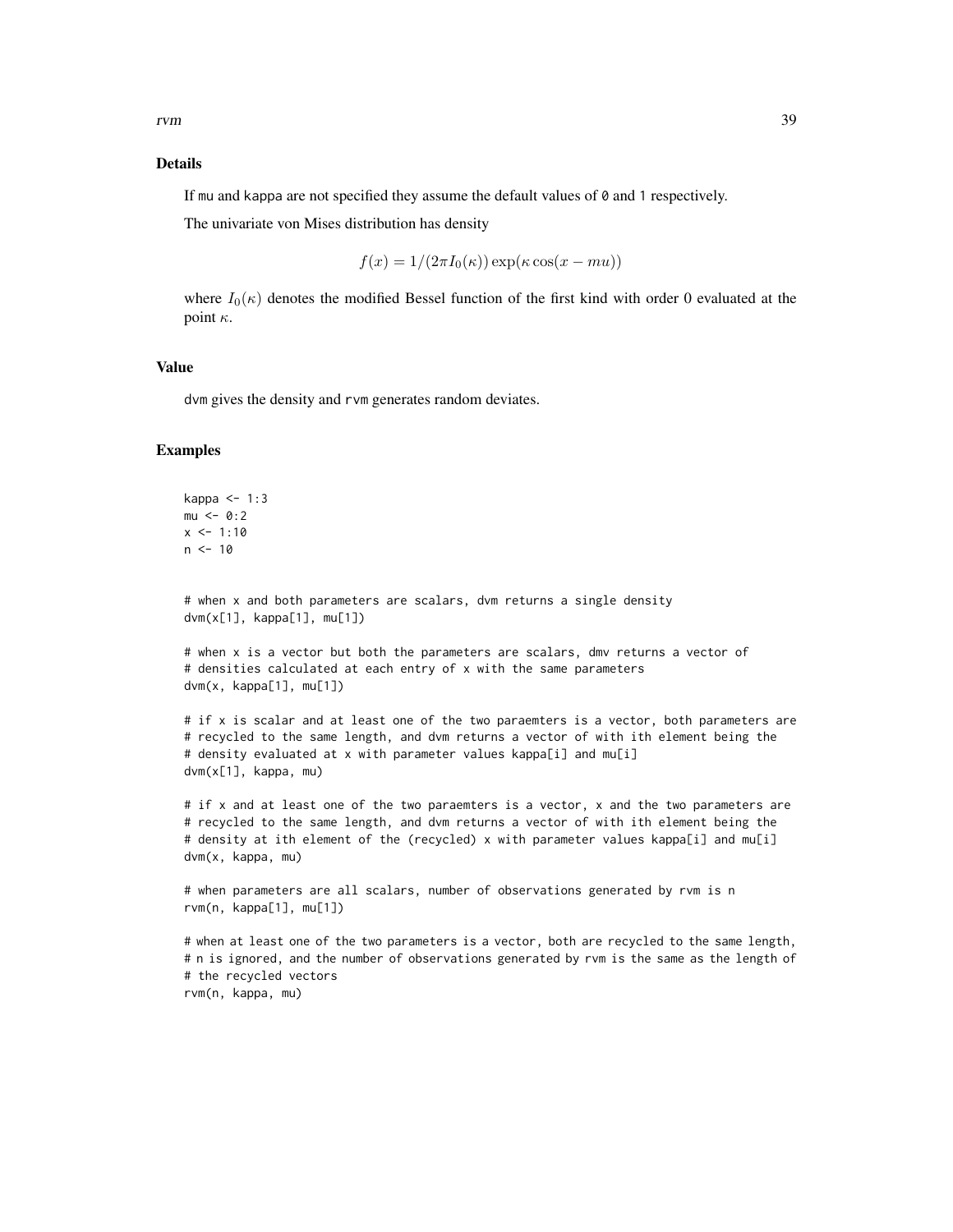## Details

If mu and kappa are not specified they assume the default values of 0 and 1 respectively.

The univariate von Mises distribution has density

$$
f(x) = 1/(2\pi I_0(\kappa)) \exp(\kappa \cos(x - mu))
$$

where  $I_0(\kappa)$  denotes the modified Bessel function of the first kind with order 0 evaluated at the point  $\kappa$ .

## Value

dvm gives the density and rvm generates random deviates.

#### Examples

```
kappa <-1:3mu < - 0:2x \le -1:10n < -10# when x and both parameters are scalars, dvm returns a single density
dvm(x[1], kappa[1], mu[1])
# when x is a vector but both the parameters are scalars, dmv returns a vector of
# densities calculated at each entry of x with the same parameters
dvm(x, kappa[1], mu[1])
# if x is scalar and at least one of the two paraemters is a vector, both parameters are
# recycled to the same length, and dvm returns a vector of with ith element being the
# density evaluated at x with parameter values kappa[i] and mu[i]
dvm(x[1], kappa, mu)
```
# if x and at least one of the two paraemters is a vector, x and the two parameters are # recycled to the same length, and dvm returns a vector of with ith element being the # density at ith element of the (recycled) x with parameter values kappa[i] and mu[i] dvm(x, kappa, mu)

```
# when parameters are all scalars, number of observations generated by rvm is n
rvm(n, kappa[1], mu[1])
```

```
# when at least one of the two parameters is a vector, both are recycled to the same length,
# n is ignored, and the number of observations generated by rvm is the same as the length of
# the recycled vectors
rvm(n, kappa, mu)
```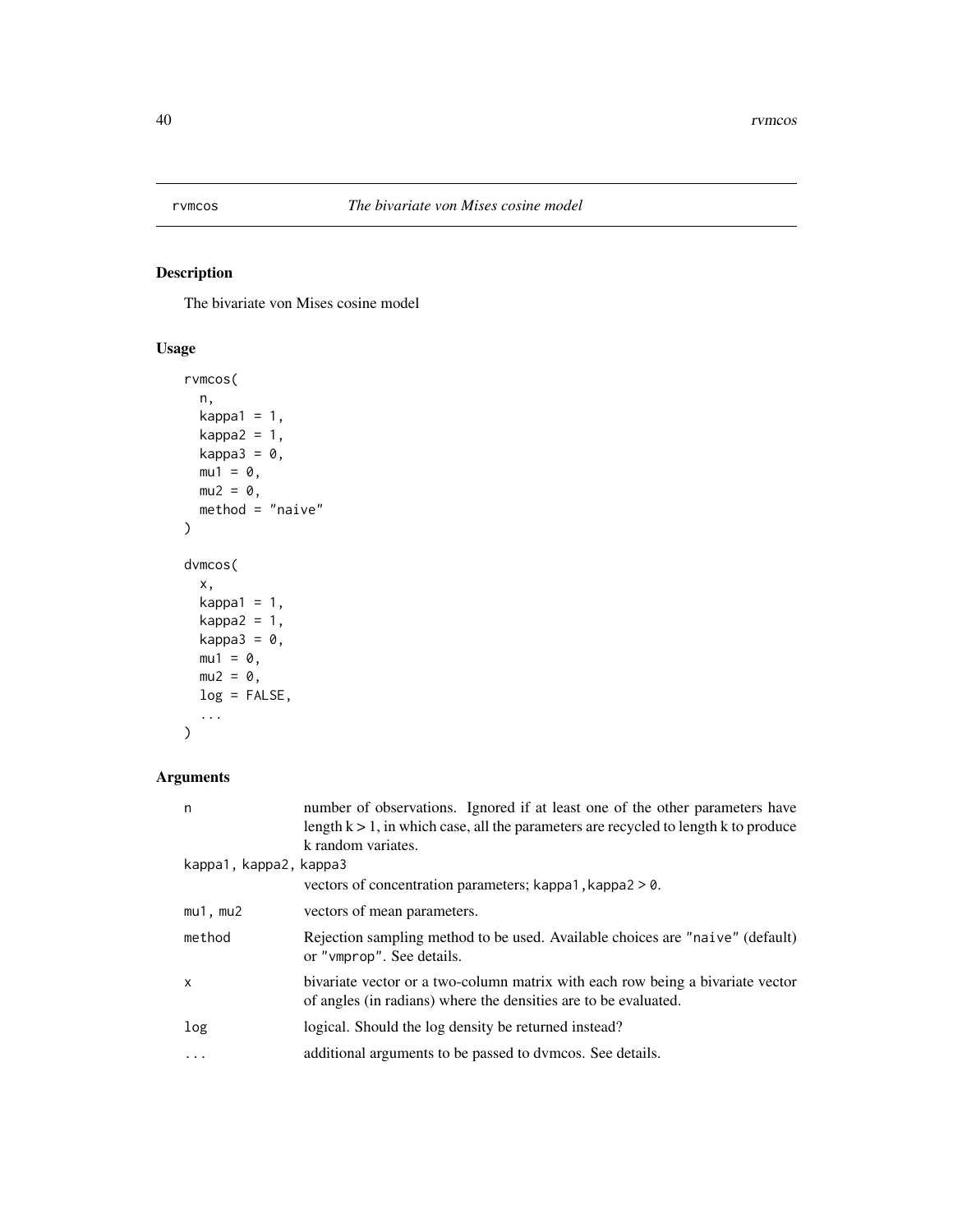<span id="page-39-0"></span>

## <span id="page-39-1"></span>Description

The bivariate von Mises cosine model

## Usage

```
rvmcos(
 n,
 kappa1 = 1,
 kappa2 = 1,
 kappa3 = 0,
 mu1 = 0,
 mu2 = 0,
 method = "naive")
dvmcos(
 x,
 kappa1 = 1,
 kappa2 = 1,
 kappa3 = \theta,
 mu1 = 0,mu2 = 0,
 log = FALSE,
  ...
)
```

| n                      | number of observations. Ignored if at least one of the other parameters have<br>length $k > 1$ , in which case, all the parameters are recycled to length k to produce<br>k random variates. |
|------------------------|----------------------------------------------------------------------------------------------------------------------------------------------------------------------------------------------|
| kappa1, kappa2, kappa3 |                                                                                                                                                                                              |
|                        | vectors of concentration parameters; kappa1, kappa2 > 0.                                                                                                                                     |
| $mu1$ , $mu2$          | vectors of mean parameters.                                                                                                                                                                  |
| method                 | Rejection sampling method to be used. Available choices are "naive" (default)<br>or "vmprop". See details.                                                                                   |
| $\mathsf{x}$           | bivariate vector or a two-column matrix with each row being a bivariate vector<br>of angles (in radians) where the densities are to be evaluated.                                            |
| log                    | logical. Should the log density be returned instead?                                                                                                                                         |
| $\cdots$               | additional arguments to be passed to dymcos. See details.                                                                                                                                    |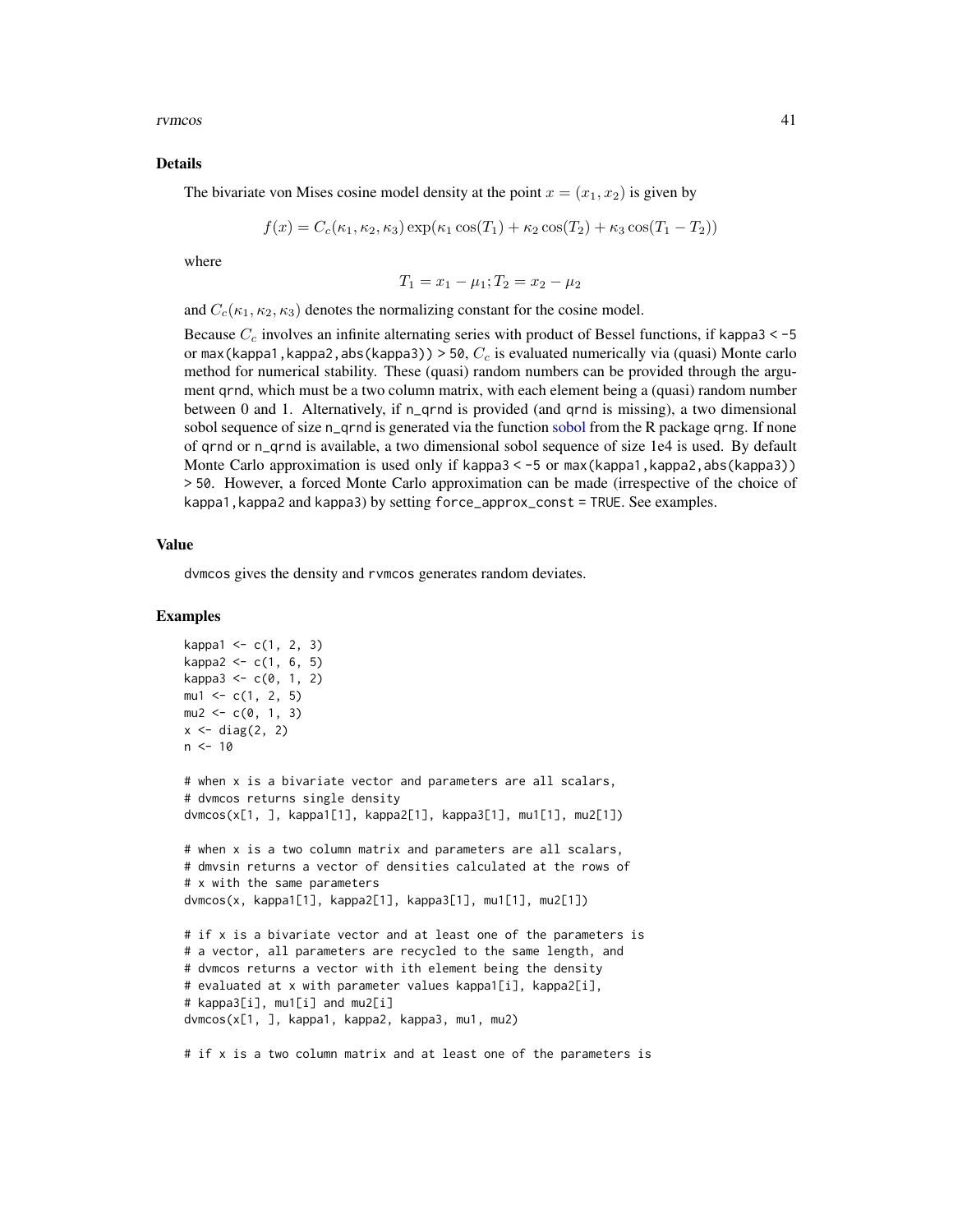<span id="page-40-0"></span>rvmcos 41

#### Details

The bivariate von Mises cosine model density at the point  $x = (x_1, x_2)$  is given by

$$
f(x) = C_c(\kappa_1, \kappa_2, \kappa_3) \exp(\kappa_1 \cos(T_1) + \kappa_2 \cos(T_2) + \kappa_3 \cos(T_1 - T_2))
$$

where

$$
T_1 = x_1 - \mu_1; T_2 = x_2 - \mu_2
$$

and  $C_c(\kappa_1, \kappa_2, \kappa_3)$  denotes the normalizing constant for the cosine model.

Because  $C_c$  involves an infinite alternating series with product of Bessel functions, if kappa3 < -5 or max(kappa1, kappa2, abs(kappa3)) > 50,  $C_c$  is evaluated numerically via (quasi) Monte carlo method for numerical stability. These (quasi) random numbers can be provided through the argument qrnd, which must be a two column matrix, with each element being a (quasi) random number between 0 and 1. Alternatively, if n\_qrnd is provided (and qrnd is missing), a two dimensional [sobol](#page-0-0) sequence of size n\_qrnd is generated via the function sobol from the R package qrng. If none of qrnd or n\_qrnd is available, a two dimensional sobol sequence of size 1e4 is used. By default Monte Carlo approximation is used only if kappa3 < -5 or max(kappa1, kappa2, abs(kappa3)) > 50. However, a forced Monte Carlo approximation can be made (irrespective of the choice of kappa1,kappa2 and kappa3) by setting force\_approx\_const = TRUE. See examples.

### Value

dvmcos gives the density and rvmcos generates random deviates.

#### Examples

```
kappa1 < -c(1, 2, 3)kappa2 \leq c(1, 6, 5)kappa3 < -c(0, 1, 2)mu1 \leftarrow c(1, 2, 5)mu2 \leq -c(0, 1, 3)x \leftarrow diag(2, 2)
n < -10# when x is a bivariate vector and parameters are all scalars,
# dvmcos returns single density
dvmcos(x[1, ], kappa1[1], kappa2[1], kappa3[1], mu1[1], mu2[1])
# when x is a two column matrix and parameters are all scalars,
# dmvsin returns a vector of densities calculated at the rows of
# x with the same parameters
dvmcos(x, kappa1[1], kappa2[1], kappa3[1], mu1[1], mu2[1])
# if x is a bivariate vector and at least one of the parameters is
# a vector, all parameters are recycled to the same length, and
# dvmcos returns a vector with ith element being the density
# evaluated at x with parameter values kappa1[i], kappa2[i],
# kappa3[i], mu1[i] and mu2[i]
dvmcos(x[1, ], kappa1, kappa2, kappa3, mu1, mu2)
# if x is a two column matrix and at least one of the parameters is
```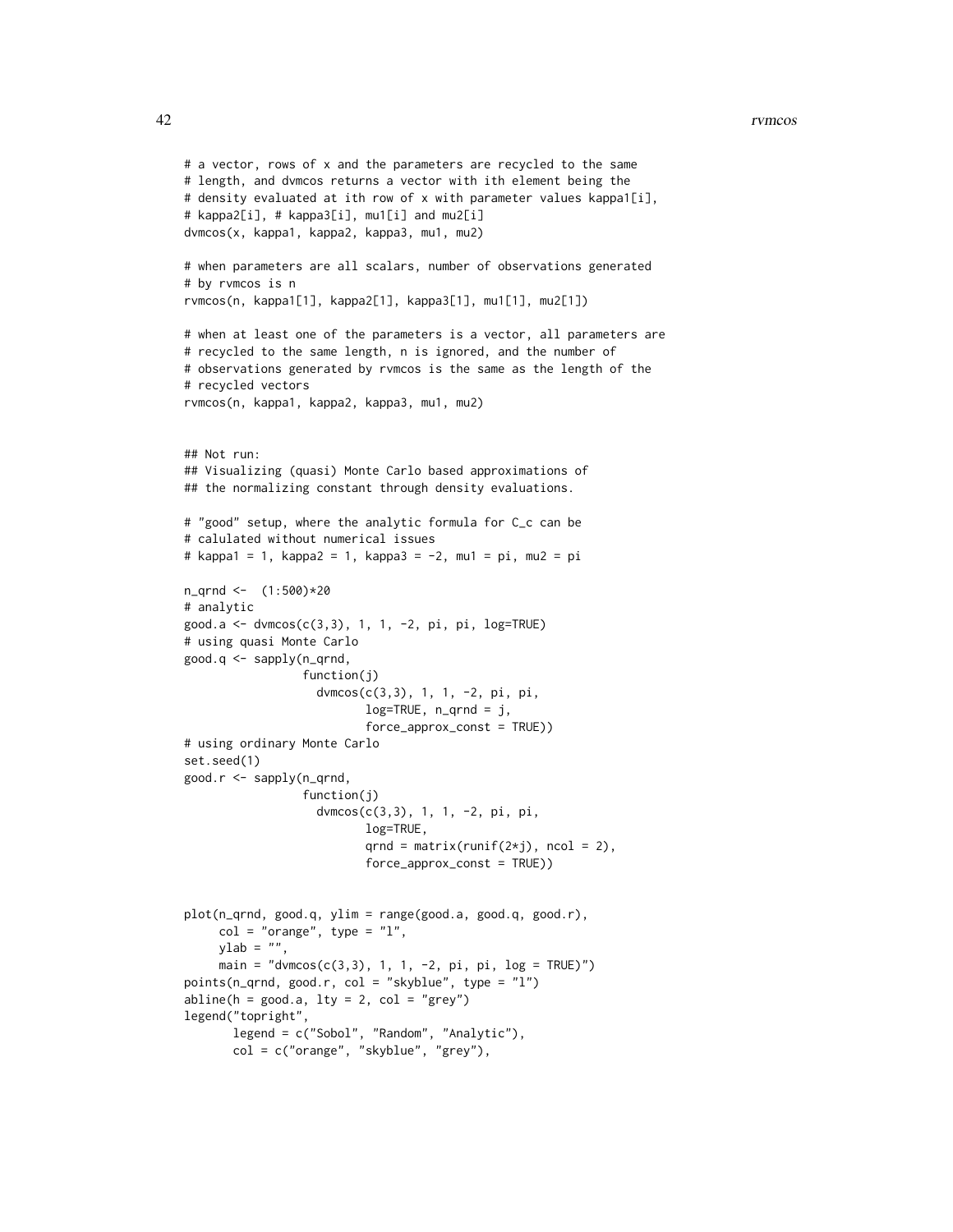#### 42 rvmcos

```
# a vector, rows of x and the parameters are recycled to the same
# length, and dvmcos returns a vector with ith element being the
# density evaluated at ith row of x with parameter values kappa1[i],
# kappa2[i], # kappa3[i], mu1[i] and mu2[i]
dvmcos(x, kappa1, kappa2, kappa3, mu1, mu2)
# when parameters are all scalars, number of observations generated
# by rvmcos is n
rvmcos(n, kappa1[1], kappa2[1], kappa3[1], mu1[1], mu2[1])
# when at least one of the parameters is a vector, all parameters are
# recycled to the same length, n is ignored, and the number of
# observations generated by rvmcos is the same as the length of the
# recycled vectors
rvmcos(n, kappa1, kappa2, kappa3, mu1, mu2)
## Not run:
## Visualizing (quasi) Monte Carlo based approximations of
## the normalizing constant through density evaluations.
# "good" setup, where the analytic formula for C_c can be
# calulated without numerical issues
# kappa1 = 1, kappa2 = 1, kappa3 = -2, mu1 = pi, mu2 = pi
n_qrnd <- (1:500)*20
# analytic
good.a <- dvmcos(c(3,3), 1, 1, -2, pi, pi, log=TRUE)
# using quasi Monte Carlo
good.q <- sapply(n_qrnd,
                 function(j)
                   dvmcos(c(3,3), 1, 1, -2, pi, pi,
                          log=TRUE, n_qrnd = j,
                          force_approx_const = TRUE))
# using ordinary Monte Carlo
set.seed(1)
good.r <- sapply(n_qrnd,
                 function(j)
                   dvmcos(c(3,3), 1, 1, -2, pi, pi,
                          log=TRUE,
                          qrnd = matrix(runif(2\starj), ncol = 2),
                          force_approx_const = TRUE))
plot(n_qrnd, good.q, ylim = range(good.a, good.q, good.r),
     col = "orange", type = "l",ylab = "",main = "dvmcos(c(3,3), 1, 1, -2, pi, pi, log = TRUE)")points(n_qrnd, good.r, col = "skyblue", type = "l")
abline(h = good.a, lty = 2, col = "grey")legend("topright",
      legend = c("Sobol", "Random", "Analytic"),
      col = c("orange", "skyblue", "grey"),
```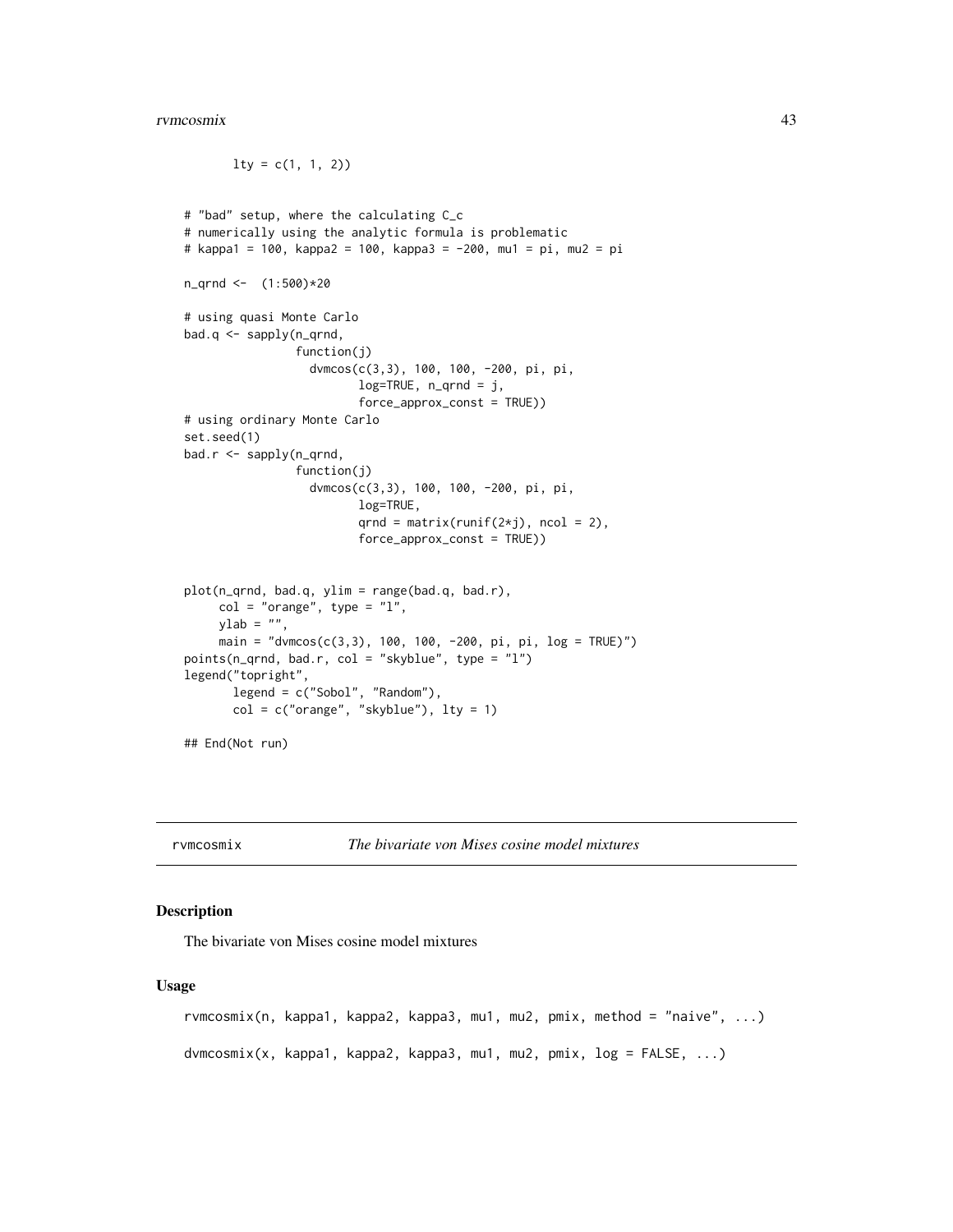$lty = c(1, 1, 2)$ 

```
# "bad" setup, where the calculating C_c
# numerically using the analytic formula is problematic
# kappa1 = 100, kappa2 = 100, kappa3 = -200, mu1 = pi, mu2 = pi
n_qrnd <- (1:500)*20
# using quasi Monte Carlo
bad.q <- sapply(n_qrnd,
                function(j)
                  dvmcos(c(3,3), 100, 100, -200, pi, pi,
                         log=TRUE, n_qrnd = j,
                         force_approx_const = TRUE))
# using ordinary Monte Carlo
set.seed(1)
bad.r <- sapply(n_qrnd,
                function(j)
                  dvmcos(c(3,3), 100, 100, -200, pi, pi,
                         log=TRUE,
                         qrnd = matrix(runif(2 \star j), ncol = 2),
                         force_approx_const = TRUE))
plot(n_qrnd, bad.q, ylim = range(bad.q, bad.r),
     col = "orange", type = "l",ylab = "",
     main = "dvmcos(c(3,3), 100, 100, -200, pi, pi, log = TRUE)")
points(n_qrnd, bad.r, col = "skyblue", type = "l")
legend("topright",
       legend = c("Sobol", "Random"),
       col = c("orange", "skyblue"), lty = 1)## End(Not run)
```
rvmcosmix *The bivariate von Mises cosine model mixtures*

## <span id="page-42-1"></span>**Description**

The bivariate von Mises cosine model mixtures

#### Usage

```
rvmcosmix(n, kappa1, kappa2, kappa3, mu1, mu2, pmix, method = "naive", ...)
dvmcosmix(x, kappa1, kappa2, kappa3, mu1, mu2, pmix, log = FALSE, ...)
```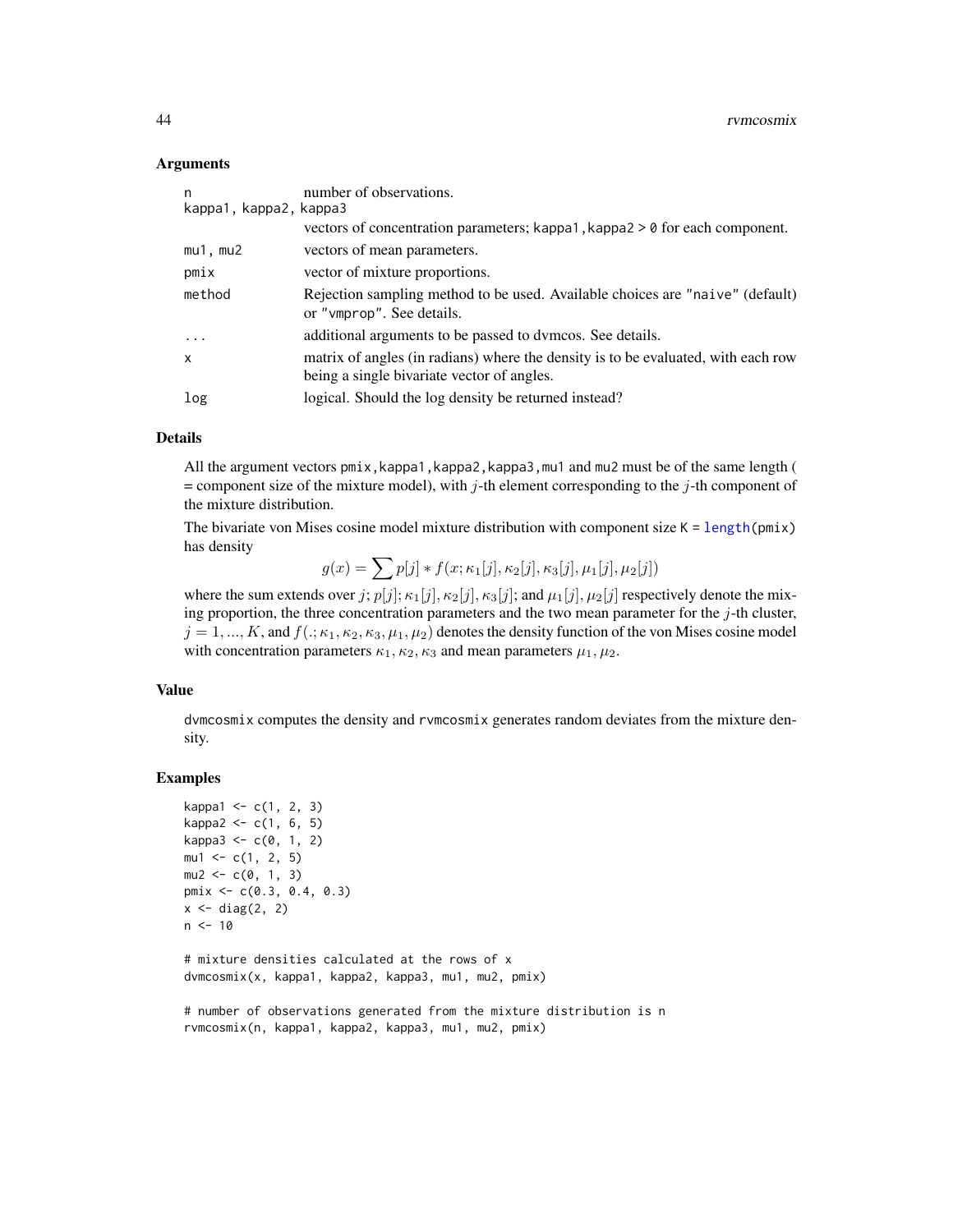#### <span id="page-43-0"></span>Arguments

| n<br>kappa1, kappa2, kappa3 | number of observations.                                                                                                         |
|-----------------------------|---------------------------------------------------------------------------------------------------------------------------------|
|                             | vectors of concentration parameters; kappa1, kappa2 $> 0$ for each component.                                                   |
| $mu1$ , $mu2$               | vectors of mean parameters.                                                                                                     |
| pmix                        | vector of mixture proportions.                                                                                                  |
| method                      | Rejection sampling method to be used. Available choices are "naive" (default)<br>or "vmprop". See details.                      |
| $\cdots$                    | additional arguments to be passed to dymcos. See details.                                                                       |
| $\mathsf{x}$                | matrix of angles (in radians) where the density is to be evaluated, with each row<br>being a single bivariate vector of angles. |
| log                         | logical. Should the log density be returned instead?                                                                            |

## Details

All the argument vectors pmix, kappa1, kappa2, kappa3, mu1 and mu2 must be of the same length (  $=$  component size of the mixture model), with j-th element corresponding to the j-th component of the mixture distribution.

The bivariate von Mises cosine model mixture distribution with component size  $K = \text{length}(pmx)$ has density

 $g(x) = \sum p[j] * f(x; \kappa_1[j], \kappa_2[j], \kappa_3[j], \mu_1[j], \mu_2[j])$ 

where the sum extends over j;  $p[j]; \kappa_1[j], \kappa_2[j], \kappa_3[j]$ ; and  $\mu_1[j], \mu_2[j]$  respectively denote the mixing proportion, the three concentration parameters and the two mean parameter for the  $j$ -th cluster,  $j = 1, ..., K$ , and  $f(.; \kappa_1, \kappa_2, \kappa_3, \mu_1, \mu_2)$  denotes the density function of the von Mises cosine model with concentration parameters  $\kappa_1, \kappa_2, \kappa_3$  and mean parameters  $\mu_1, \mu_2$ .

## Value

dvmcosmix computes the density and rvmcosmix generates random deviates from the mixture density.

## Examples

```
kappa1 < -c(1, 2, 3)kappa2 < -c(1, 6, 5)kappa3 < -c(0, 1, 2)mu1 \leq -c(1, 2, 5)mu2 \leq -c(0, 1, 3)pmix <- c(0.3, 0.4, 0.3)
x \leftarrow diag(2, 2)n < -10# mixture densities calculated at the rows of x
dvmcosmix(x, kappa1, kappa2, kappa3, mu1, mu2, pmix)
# number of observations generated from the mixture distribution is n
```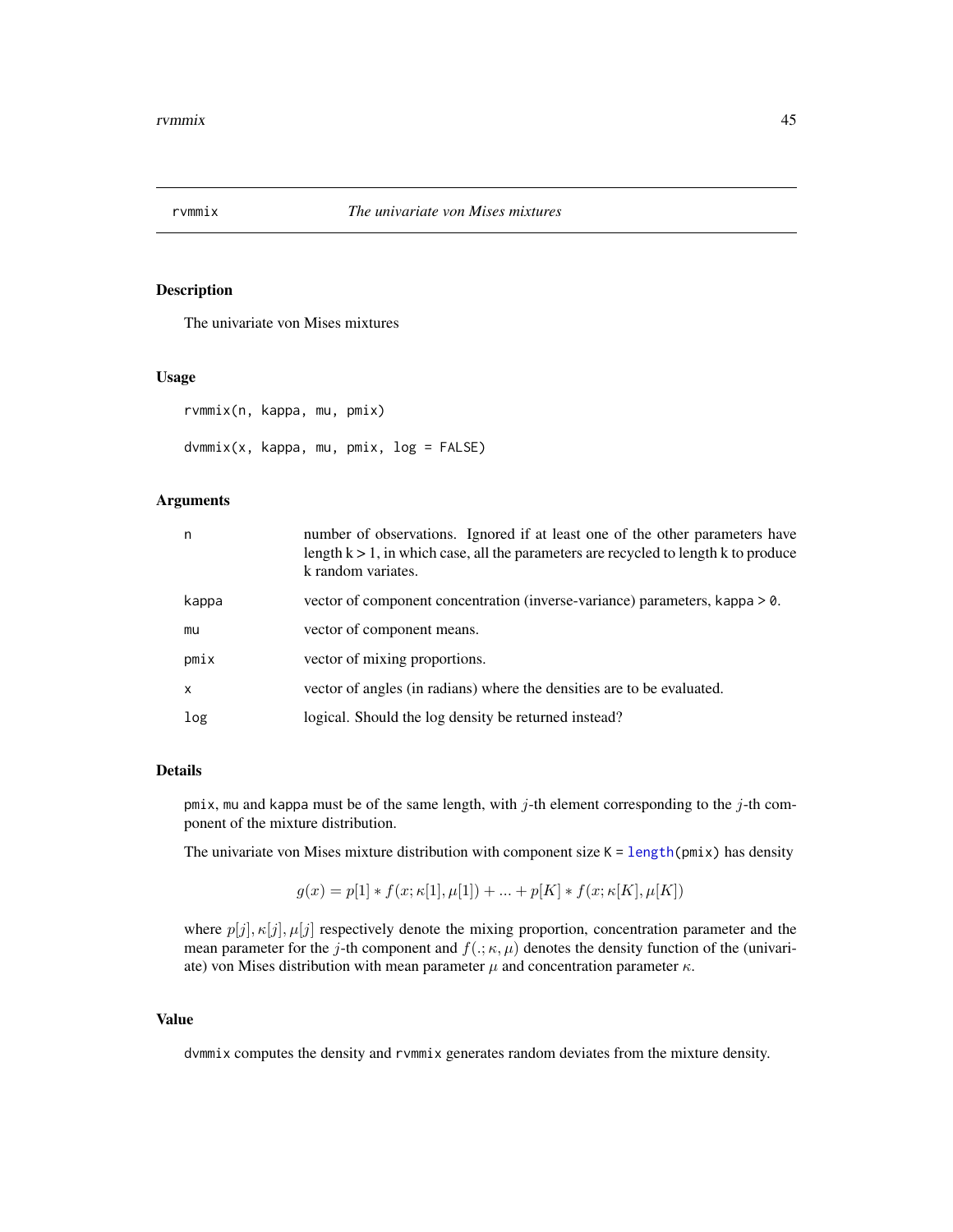<span id="page-44-0"></span>

## Description

The univariate von Mises mixtures

## Usage

```
rvmmix(n, kappa, mu, pmix)
dvmmix(x, kappa, mu, pmix, log = FALSE)
```
## Arguments

| n     | number of observations. Ignored if at least one of the other parameters have<br>length $k > 1$ , in which case, all the parameters are recycled to length k to produce<br>k random variates. |
|-------|----------------------------------------------------------------------------------------------------------------------------------------------------------------------------------------------|
| kappa | vector of component concentration (inverse-variance) parameters, kappa > 0.                                                                                                                  |
| mu    | vector of component means.                                                                                                                                                                   |
| pmix  | vector of mixing proportions.                                                                                                                                                                |
| X     | vector of angles (in radians) where the densities are to be evaluated.                                                                                                                       |
| log   | logical. Should the log density be returned instead?                                                                                                                                         |

## Details

pmix, mu and kappa must be of the same length, with  $j$ -th element corresponding to the  $j$ -th component of the mixture distribution.

The univariate von Mises mixture distribution with component size  $K = length(pmix)$  $K = length(pmix)$  $K = length(pmix)$  has density

$$
g(x) = p[1] * f(x; \kappa[1], \mu[1]) + ... + p[K] * f(x; \kappa[K], \mu[K])
$$

where  $p[j], \kappa[j], \mu[j]$  respectively denote the mixing proportion, concentration parameter and the mean parameter for the j-th component and  $f(.;\kappa,\mu)$  denotes the density function of the (univariate) von Mises distribution with mean parameter  $\mu$  and concentration parameter  $\kappa$ .

## Value

dvmmix computes the density and rvmmix generates random deviates from the mixture density.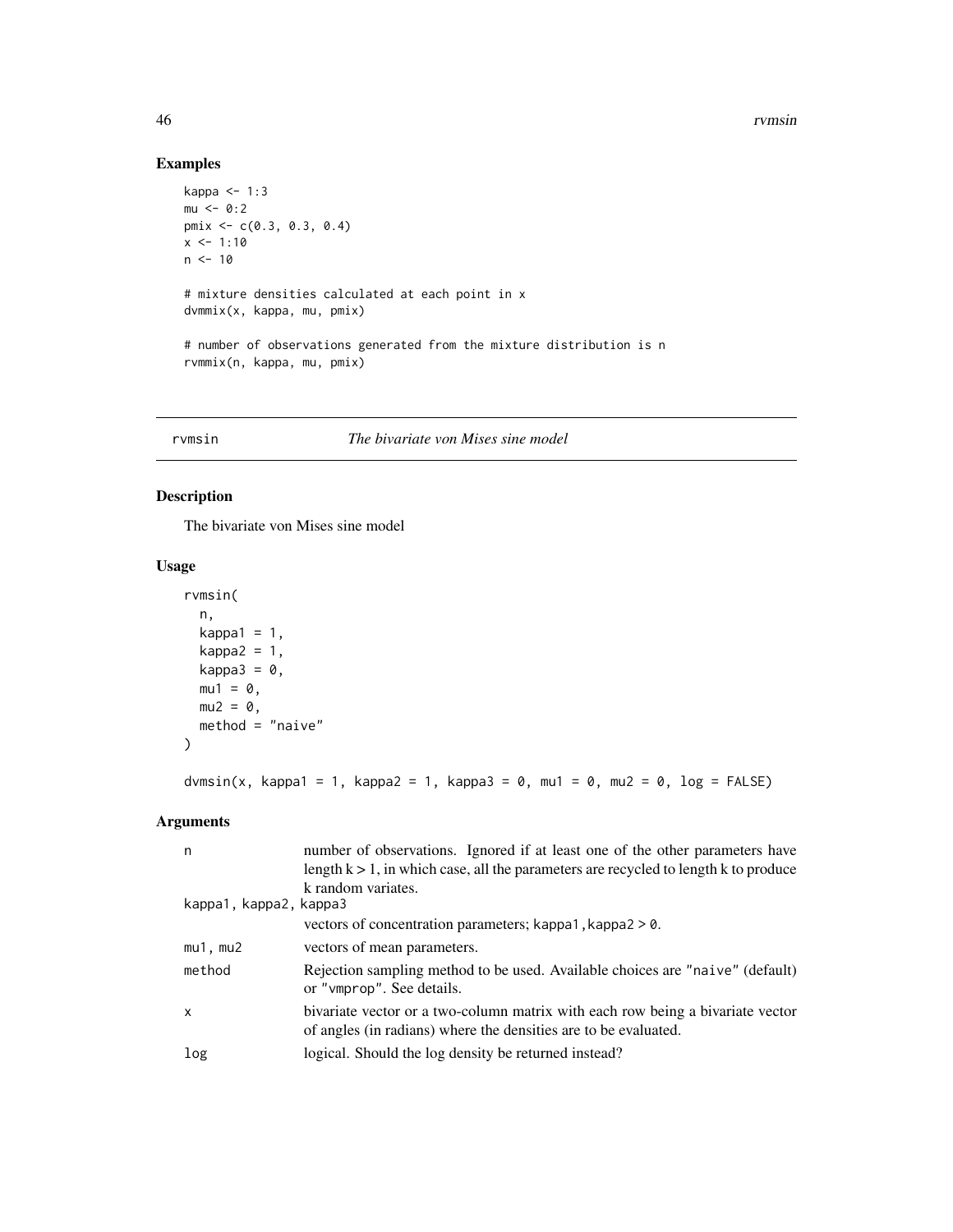## Examples

```
kappa <- 1:3
mu < -0:2pmix <- c(0.3, 0.3, 0.4)
x < -1:10n < -10# mixture densities calculated at each point in x
dvmmix(x, kappa, mu, pmix)
# number of observations generated from the mixture distribution is n
rvmmix(n, kappa, mu, pmix)
```
#### rvmsin *The bivariate von Mises sine model*

## Description

The bivariate von Mises sine model

## Usage

```
rvmsin(
  n,
 kappa1 = 1,
 kappa2 = 1,
 kappa3 = 0,
 mu1 = 0,
 mu2 = 0,
 method = "naive"
\mathcal{L}
```
## dvmsin(x, kappa1 = 1, kappa2 = 1, kappa3 = 0, mu1 = 0, mu2 = 0, log = FALSE)

| n                      | number of observations. Ignored if at least one of the other parameters have                                                                      |
|------------------------|---------------------------------------------------------------------------------------------------------------------------------------------------|
|                        | length $k > 1$ , in which case, all the parameters are recycled to length k to produce                                                            |
|                        | k random variates.                                                                                                                                |
| kappa1, kappa2, kappa3 |                                                                                                                                                   |
|                        | vectors of concentration parameters; kappa1, kappa2 $> 0$ .                                                                                       |
| $mu1$ , $mu2$          | vectors of mean parameters.                                                                                                                       |
| method                 | Rejection sampling method to be used. Available choices are "naive" (default)<br>or "vmprop". See details.                                        |
| $\mathsf{x}$           | bivariate vector or a two-column matrix with each row being a bivariate vector<br>of angles (in radians) where the densities are to be evaluated. |
| log                    | logical. Should the log density be returned instead?                                                                                              |

<span id="page-45-0"></span>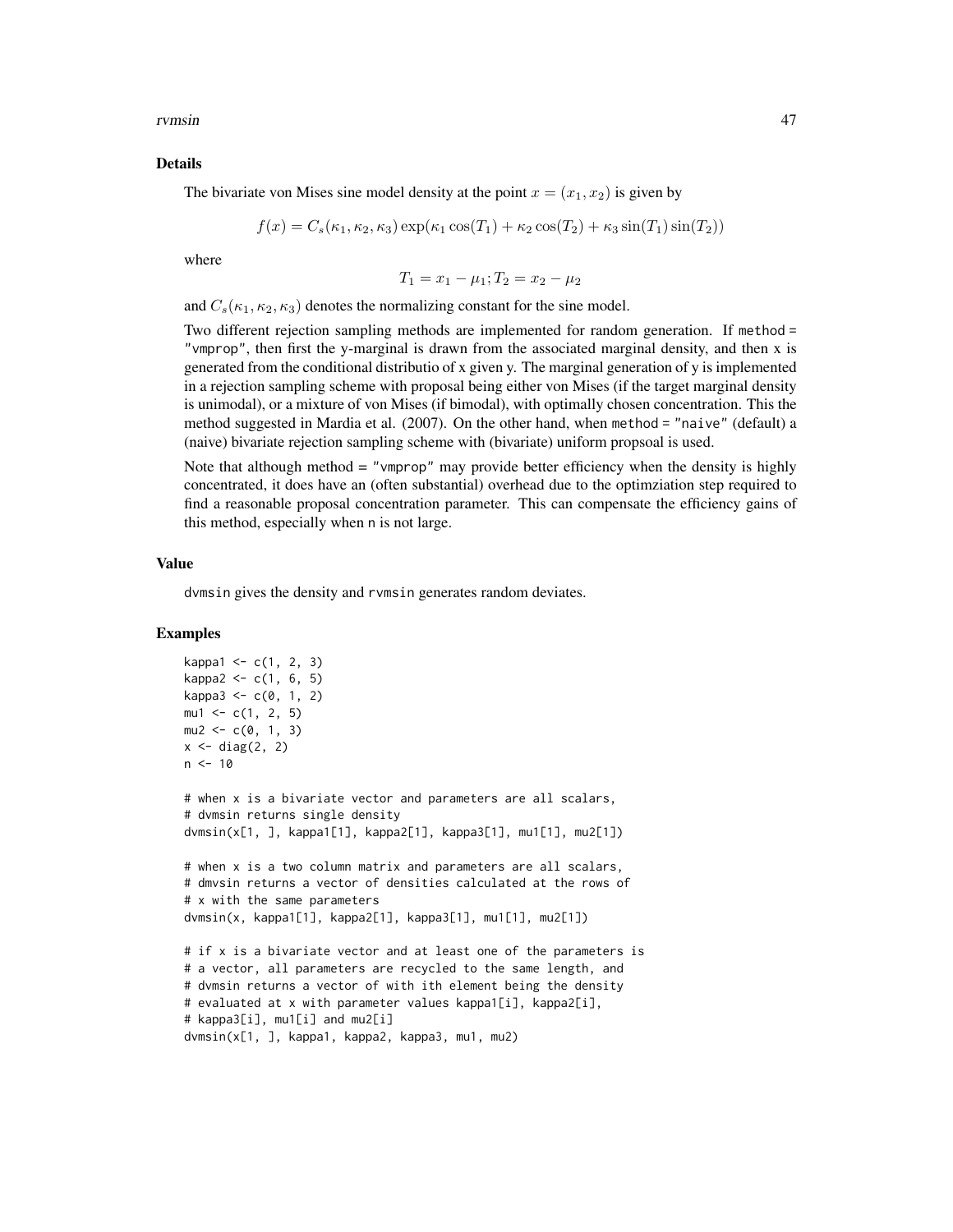rvmsin 47

#### Details

The bivariate von Mises sine model density at the point  $x = (x_1, x_2)$  is given by

$$
f(x) = C_s(\kappa_1, \kappa_2, \kappa_3) \exp(\kappa_1 \cos(T_1) + \kappa_2 \cos(T_2) + \kappa_3 \sin(T_1) \sin(T_2))
$$

where

$$
T_1 = x_1 - \mu_1; T_2 = x_2 - \mu_2
$$

and  $C_s(\kappa_1, \kappa_2, \kappa_3)$  denotes the normalizing constant for the sine model.

Two different rejection sampling methods are implemented for random generation. If method = "vmprop", then first the y-marginal is drawn from the associated marginal density, and then x is generated from the conditional distributio of x given y. The marginal generation of y is implemented in a rejection sampling scheme with proposal being either von Mises (if the target marginal density is unimodal), or a mixture of von Mises (if bimodal), with optimally chosen concentration. This the method suggested in Mardia et al. (2007). On the other hand, when method = "naive" (default) a (naive) bivariate rejection sampling scheme with (bivariate) uniform propsoal is used.

Note that although method = "vmprop" may provide better efficiency when the density is highly concentrated, it does have an (often substantial) overhead due to the optimziation step required to find a reasonable proposal concentration parameter. This can compensate the efficiency gains of this method, especially when n is not large.

## Value

dvmsin gives the density and rvmsin generates random deviates.

#### Examples

```
kappa1 < -c(1, 2, 3)kappa2 < -c(1, 6, 5)kappa3 < -c(0, 1, 2)mu1 \leq -c(1, 2, 5)mu2 < -c(0, 1, 3)x \leftarrow diag(2, 2)n < -10# when x is a bivariate vector and parameters are all scalars,
# dvmsin returns single density
dvmsin(x[1, ], kappa1[1], kappa2[1], kappa3[1], mu1[1], mu2[1])
# when x is a two column matrix and parameters are all scalars,
# dmvsin returns a vector of densities calculated at the rows of
# x with the same parameters
dvmsin(x, kappa1[1], kappa2[1], kappa3[1], mu1[1], mu2[1])
# if x is a bivariate vector and at least one of the parameters is
# a vector, all parameters are recycled to the same length, and
# dvmsin returns a vector of with ith element being the density
# evaluated at x with parameter values kappa1[i], kappa2[i],
# kappa3[i], mu1[i] and mu2[i]
dvmsin(x[1, ], kappa1, kappa2, kappa3, mu1, mu2)
```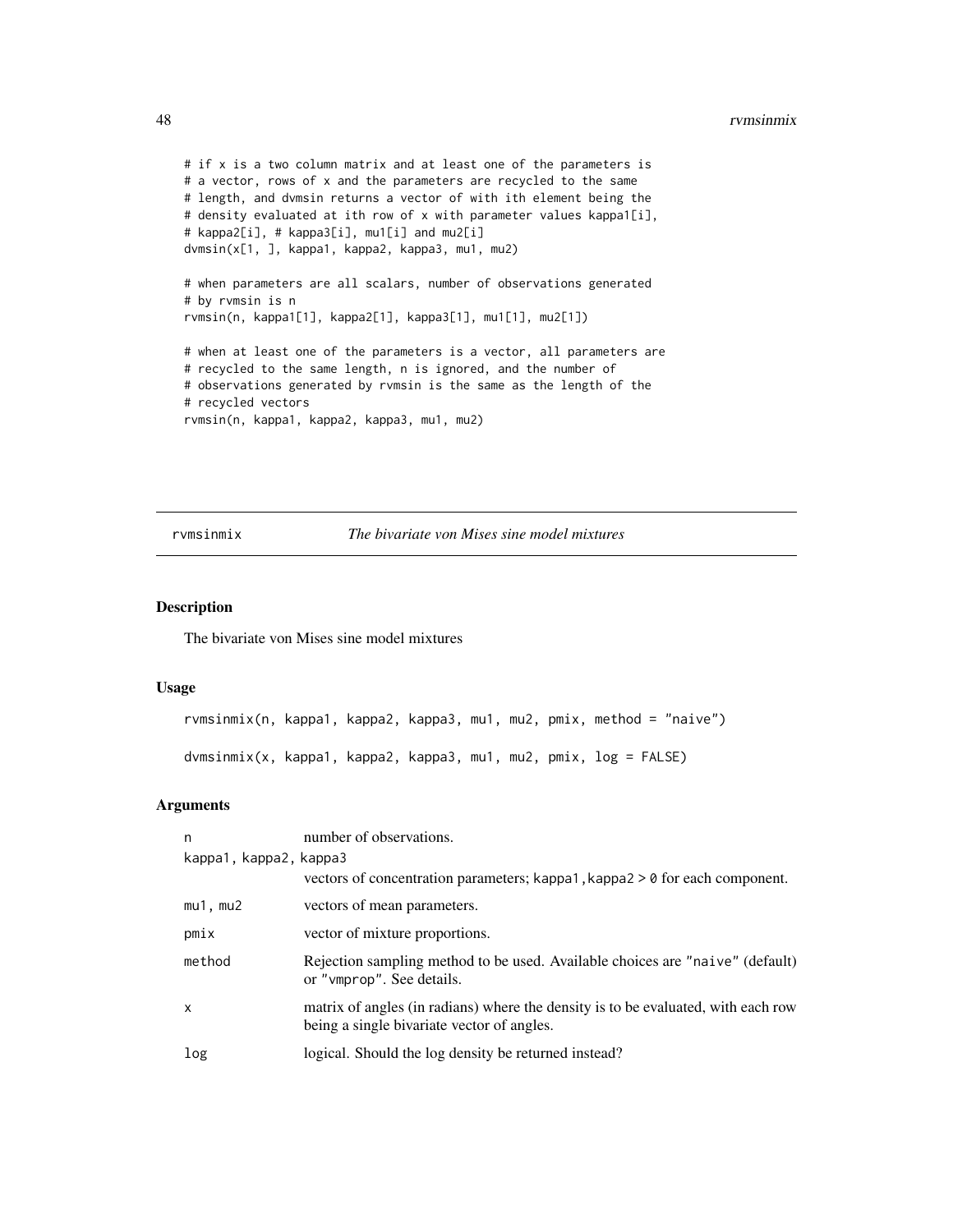```
# if x is a two column matrix and at least one of the parameters is
# a vector, rows of x and the parameters are recycled to the same
# length, and dvmsin returns a vector of with ith element being the
# density evaluated at ith row of x with parameter values kappa1[i],
# kappa2[i], # kappa3[i], mu1[i] and mu2[i]
dvmsin(x[1, ], kappa1, kappa2, kappa3, mu1, mu2)
# when parameters are all scalars, number of observations generated
# by rvmsin is n
rvmsin(n, kappa1[1], kappa2[1], kappa3[1], mu1[1], mu2[1])
# when at least one of the parameters is a vector, all parameters are
# recycled to the same length, n is ignored, and the number of
# observations generated by rvmsin is the same as the length of the
# recycled vectors
rvmsin(n, kappa1, kappa2, kappa3, mu1, mu2)
```
rvmsinmix *The bivariate von Mises sine model mixtures*

## <span id="page-47-1"></span>Description

The bivariate von Mises sine model mixtures

#### Usage

```
rvmsinmix(n, kappa1, kappa2, kappa3, mu1, mu2, pmix, method = "naive")
dvmsinmix(x, kappa1, kappa2, kappa3, mu1, mu2, pmix, log = FALSE)
```

| n                      | number of observations.                                                                                                         |
|------------------------|---------------------------------------------------------------------------------------------------------------------------------|
| kappa1, kappa2, kappa3 |                                                                                                                                 |
|                        | vectors of concentration parameters; kappa1, kappa2 $> 0$ for each component.                                                   |
| $mu1$ , $mu2$          | vectors of mean parameters.                                                                                                     |
| pmix                   | vector of mixture proportions.                                                                                                  |
| method                 | Rejection sampling method to be used. Available choices are "naive" (default)<br>or "vmprop". See details.                      |
| x                      | matrix of angles (in radians) where the density is to be evaluated, with each row<br>being a single bivariate vector of angles. |
| log                    | logical. Should the log density be returned instead?                                                                            |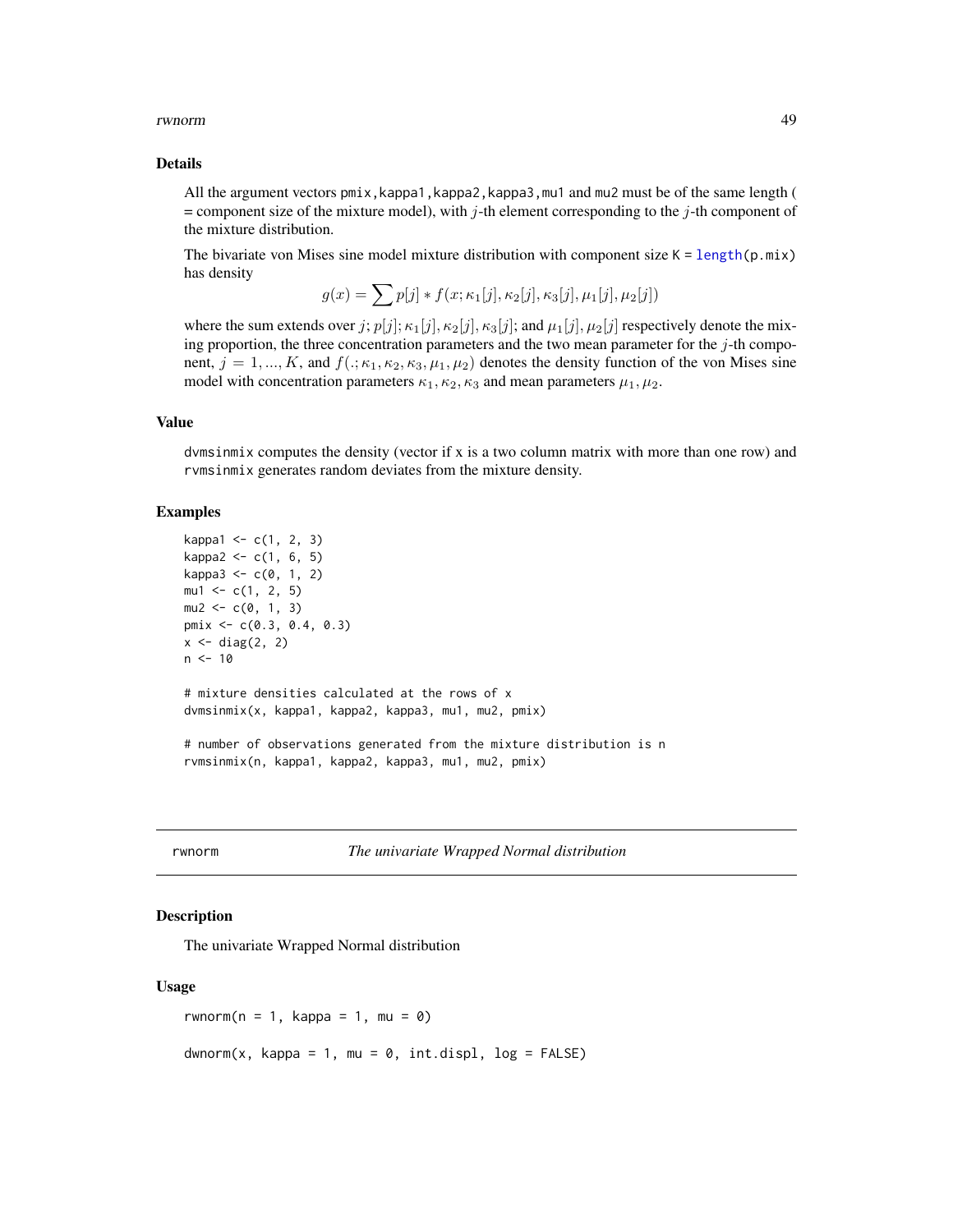#### <span id="page-48-0"></span>rwnorm 49

#### Details

All the argument vectors pmix,kappa1,kappa2,kappa3,mu1 and mu2 must be of the same length (  $=$  component size of the mixture model), with j-th element corresponding to the j-th component of the mixture distribution.

The bivariate von Mises sine model mixture distribution with component size  $K = length(p, mix)$  $K = length(p, mix)$  $K = length(p, mix)$ has density

$$
g(x) = \sum p[j] * f(x; \kappa_1[j], \kappa_2[j], \kappa_3[j], \mu_1[j], \mu_2[j])
$$

where the sum extends over j;  $p[j]; \kappa_1[j], \kappa_2[j], \kappa_3[j]$ ; and  $\mu_1[j], \mu_2[j]$  respectively denote the mixing proportion, the three concentration parameters and the two mean parameter for the  $j$ -th component,  $j = 1, ..., K$ , and  $f(.; \kappa_1, \kappa_2, \kappa_3, \mu_1, \mu_2)$  denotes the density function of the von Mises sine model with concentration parameters  $\kappa_1, \kappa_2, \kappa_3$  and mean parameters  $\mu_1, \mu_2$ .

#### Value

dvmsinmix computes the density (vector if x is a two column matrix with more than one row) and rvmsinmix generates random deviates from the mixture density.

#### Examples

```
kappa1 <- c(1, 2, 3)
kappa2 < -c(1, 6, 5)kappa3 < -c(0, 1, 2)mu1 \leftarrow c(1, 2, 5)mu2 \leq -c(0, 1, 3)pmix <- c(0.3, 0.4, 0.3)
x \leftarrow diag(2, 2)n < -10# mixture densities calculated at the rows of x
dvmsinmix(x, kappa1, kappa2, kappa3, mu1, mu2, pmix)
# number of observations generated from the mixture distribution is n
rvmsinmix(n, kappa1, kappa2, kappa3, mu1, mu2, pmix)
```
rwnorm *The univariate Wrapped Normal distribution*

#### Description

The univariate Wrapped Normal distribution

#### Usage

rwnorm( $n = 1$ , kappa = 1, mu = 0)  $d$ wnorm(x, kappa = 1, mu = 0, int.displ, log = FALSE)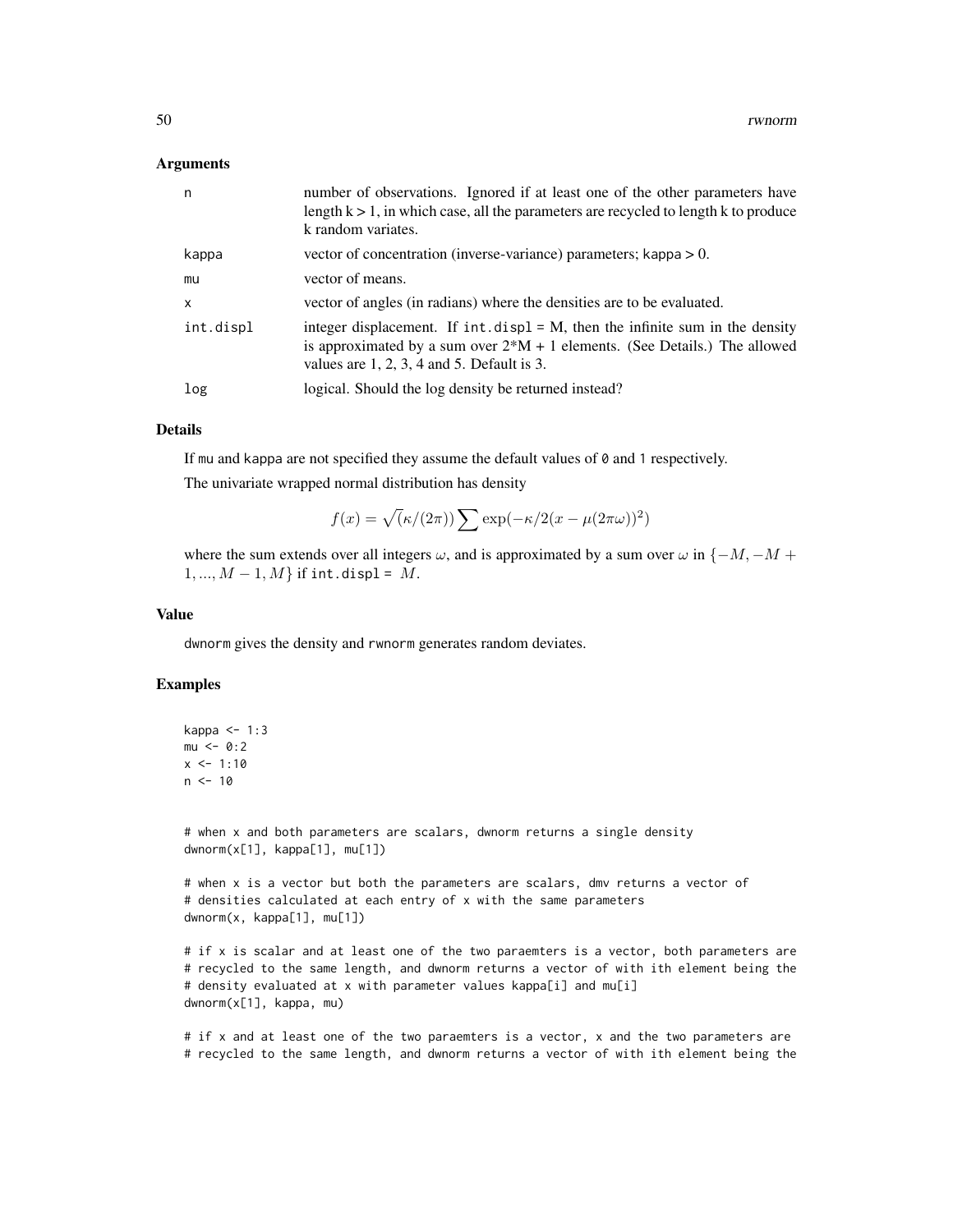#### Arguments

| n.           | number of observations. Ignored if at least one of the other parameters have<br>length $k > 1$ , in which case, all the parameters are recycled to length k to produce<br>k random variates.                        |
|--------------|---------------------------------------------------------------------------------------------------------------------------------------------------------------------------------------------------------------------|
| kappa        | vector of concentration (inverse-variance) parameters; kappa $> 0$ .                                                                                                                                                |
| mu           | vector of means.                                                                                                                                                                                                    |
| $\mathsf{x}$ | vector of angles (in radians) where the densities are to be evaluated.                                                                                                                                              |
| int.displ    | integer displacement. If $int.disp1 = M$ , then the infinite sum in the density<br>is approximated by a sum over $2^*M + 1$ elements. (See Details.) The allowed<br>values are $1, 2, 3, 4$ and $5$ . Default is 3. |
| log          | logical. Should the log density be returned instead?                                                                                                                                                                |

#### Details

If mu and kappa are not specified they assume the default values of 0 and 1 respectively.

The univariate wrapped normal distribution has density

$$
f(x) = \sqrt{\left(\frac{\kappa}{2\pi}\right)} \sum \exp(-\frac{\kappa}{2(x - \mu(2\pi\omega))^2})
$$

where the sum extends over all integers  $\omega$ , and is approximated by a sum over  $\omega$  in { $-M$ ,  $-M$  +  $1, ..., M - 1, M$  if int.displ = M.

## Value

dwnorm gives the density and rwnorm generates random deviates.

#### Examples

```
kappa \leq -1:3mu < - 0:2x \le -1:10n < -10
```
# when x and both parameters are scalars, dwnorm returns a single density dwnorm(x[1], kappa[1], mu[1])

# when x is a vector but both the parameters are scalars, dmv returns a vector of # densities calculated at each entry of x with the same parameters dwnorm(x, kappa[1], mu[1])

# if x is scalar and at least one of the two paraemters is a vector, both parameters are # recycled to the same length, and dwnorm returns a vector of with ith element being the # density evaluated at x with parameter values kappa[i] and mu[i] dwnorm(x[1], kappa, mu)

# if x and at least one of the two paraemters is a vector, x and the two parameters are # recycled to the same length, and dwnorm returns a vector of with ith element being the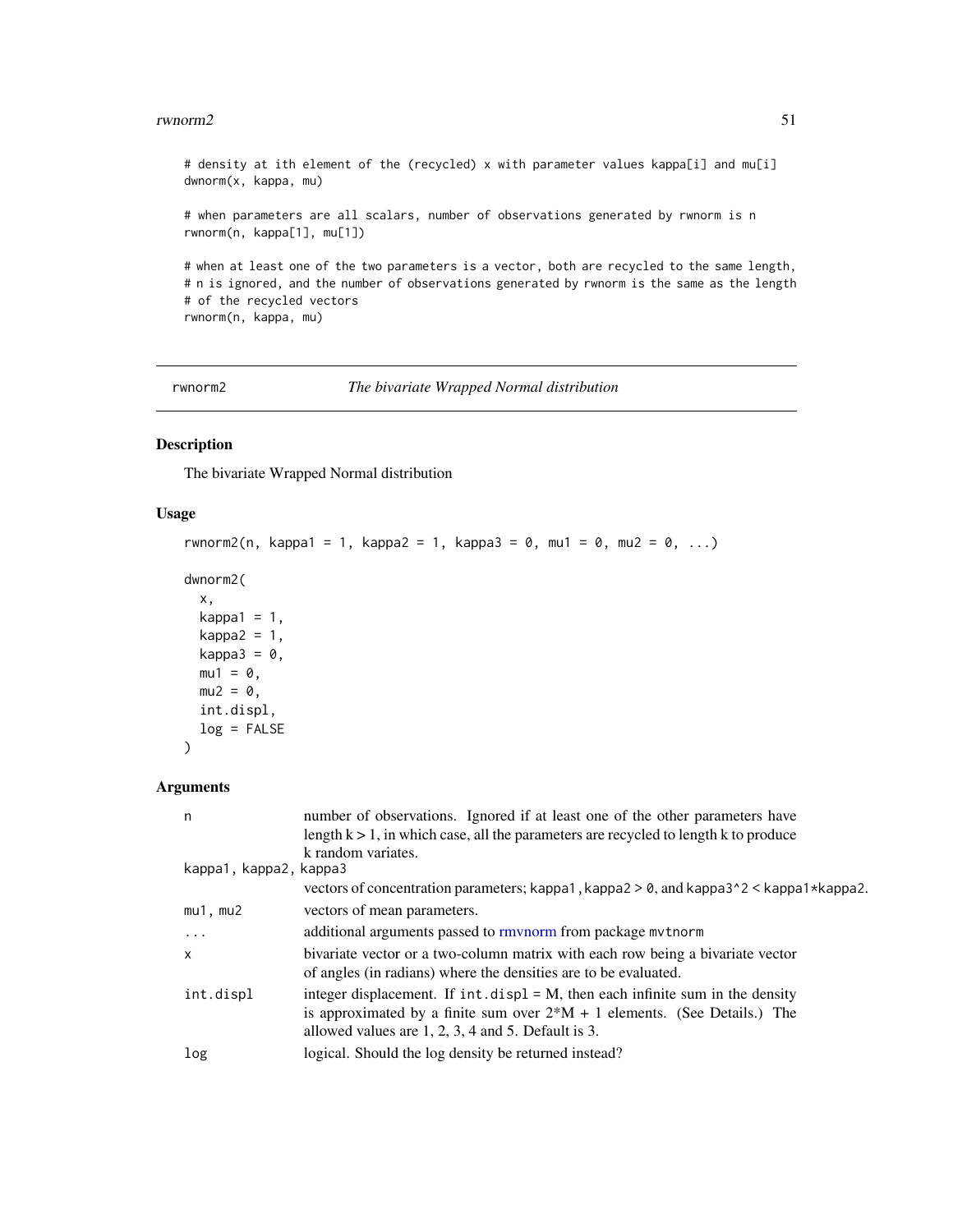#### <span id="page-50-0"></span> $r$ wnorm2 51

# density at ith element of the (recycled) x with parameter values kappa[i] and mu[i] dwnorm(x, kappa, mu) # when parameters are all scalars, number of observations generated by rwnorm is n rwnorm(n, kappa[1], mu[1]) # when at least one of the two parameters is a vector, both are recycled to the same length, # n is ignored, and the number of observations generated by rwnorm is the same as the length # of the recycled vectors

rwnorm(n, kappa, mu)

<span id="page-50-1"></span>rwnorm2 *The bivariate Wrapped Normal distribution*

## Description

The bivariate Wrapped Normal distribution

#### Usage

```
rwnorm2(n, kappa1 = 1, kappa2 = 1, kappa3 = 0, mu1 = 0, mu2 = 0, ...)
```

```
dwnorm2(
```

```
x,
kappa1 = 1,
kappa2 = 1,
kappa3 = 0,
mu1 = 0,
mu2 = 0,
int.displ,
log = FALSE
```
## Arguments

)

| n                      | number of observations. Ignored if at least one of the other parameters have<br>length $k > 1$ , in which case, all the parameters are recycled to length k to produce                                                     |
|------------------------|----------------------------------------------------------------------------------------------------------------------------------------------------------------------------------------------------------------------------|
| kappa1, kappa2, kappa3 | k random variates.                                                                                                                                                                                                         |
|                        | vectors of concentration parameters; kappa1, kappa2 $> 0$ , and kappa3 $\textdegree$ 2 < kappa1*kappa2.                                                                                                                    |
| $mu1$ , $mu2$          | vectors of mean parameters.                                                                                                                                                                                                |
| .                      | additional arguments passed to rmynorm from package mythorm                                                                                                                                                                |
| $\mathsf{x}$           | bivariate vector or a two-column matrix with each row being a bivariate vector<br>of angles (in radians) where the densities are to be evaluated.                                                                          |
| int.displ              | integer displacement. If $int.disp1 = M$ , then each infinite sum in the density<br>is approximated by a finite sum over $2*M + 1$ elements. (See Details.) The<br>allowed values are $1, 2, 3, 4$ and $5$ . Default is 3. |
| log                    | logical. Should the log density be returned instead?                                                                                                                                                                       |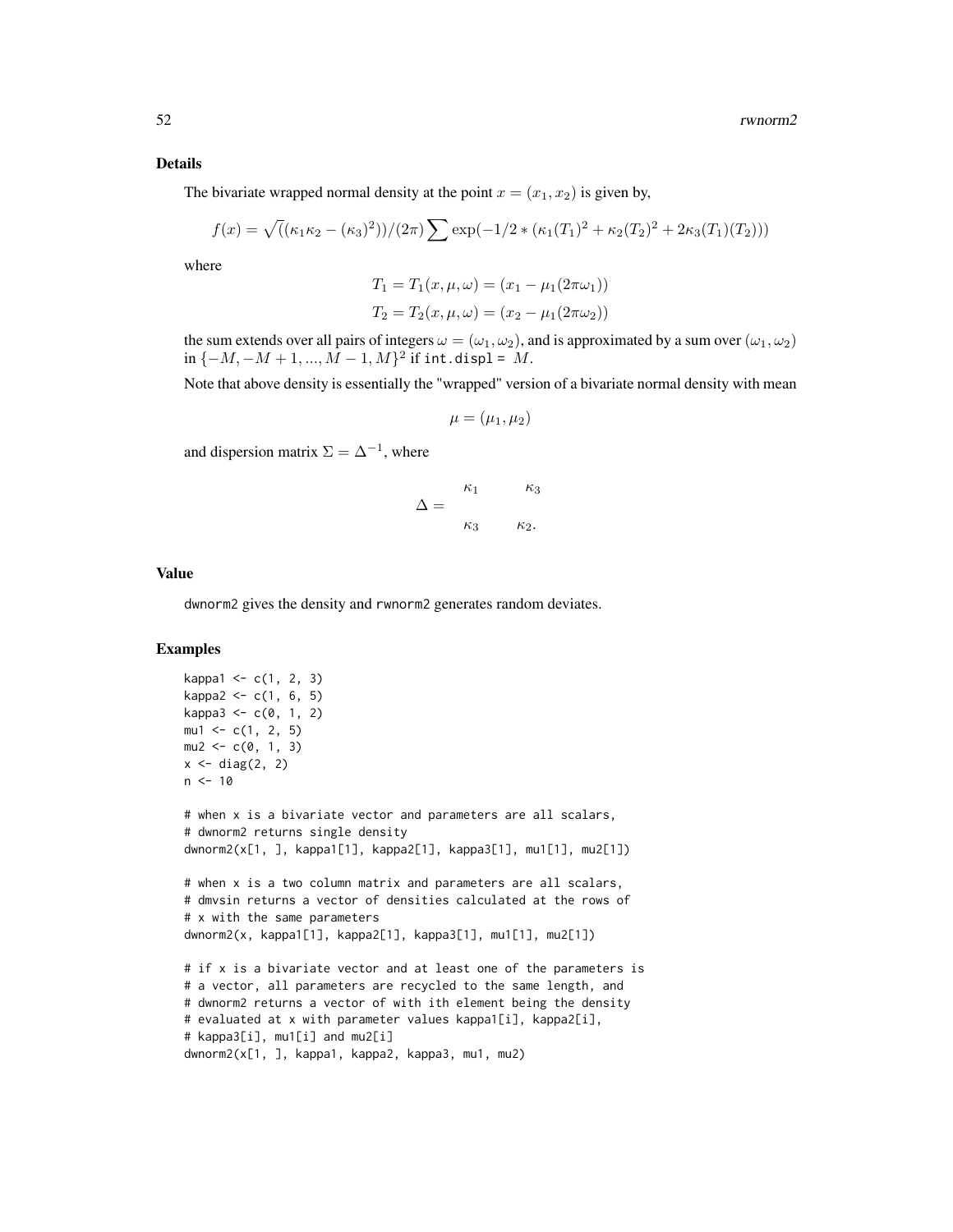#### Details

The bivariate wrapped normal density at the point  $x = (x_1, x_2)$  is given by,

$$
f(x) = \sqrt{((\kappa_1 \kappa_2 - (\kappa_3)^2))/(2\pi)} \sum \exp(-1/2 * (\kappa_1(T_1)^2 + \kappa_2(T_2)^2 + 2\kappa_3(T_1)(T_2)))
$$

where

$$
T_1 = T_1(x, \mu, \omega) = (x_1 - \mu_1(2\pi\omega_1))
$$
  

$$
T_2 = T_2(x, \mu, \omega) = (x_2 - \mu_1(2\pi\omega_2))
$$

the sum extends over all pairs of integers  $\omega = (\omega_1, \omega_2)$ , and is approximated by a sum over  $(\omega_1, \omega_2)$  $\inf \{-M, -M+1, ..., M-1, M\}^2$  if  $\text{int.disp1 = M}.$ 

Note that above density is essentially the "wrapped" version of a bivariate normal density with mean

$$
\mu = (\mu_1, \mu_2)
$$

and dispersion matrix  $\Sigma = \Delta^{-1}$ , where

$$
\Delta = \frac{\kappa_1}{\kappa_3} \frac{\kappa_3}{\kappa_2}.
$$

#### Value

dwnorm2 gives the density and rwnorm2 generates random deviates.

## Examples

```
kappa1 < -c(1, 2, 3)kappa2 < -c(1, 6, 5)kappa3 < -c(0, 1, 2)mu1 \leq -c(1, 2, 5)mu2 \leq -c(0, 1, 3)x \leftarrow diag(2, 2)n < -10# when x is a bivariate vector and parameters are all scalars,
# dwnorm2 returns single density
dwnorm2(x[1, ], kappa1[1], kappa2[1], kappa3[1], mu1[1], mu2[1])
# when x is a two column matrix and parameters are all scalars,
# dmvsin returns a vector of densities calculated at the rows of
# x with the same parameters
dwnorm2(x, kappa1[1], kappa2[1], kappa3[1], mu1[1], mu2[1])
# if x is a bivariate vector and at least one of the parameters is
# a vector, all parameters are recycled to the same length, and
# dwnorm2 returns a vector of with ith element being the density
# evaluated at x with parameter values kappa1[i], kappa2[i],
# kappa3[i], mu1[i] and mu2[i]
dwnorm2(x[1, ], kappa1, kappa2, kappa3, mu1, mu2)
```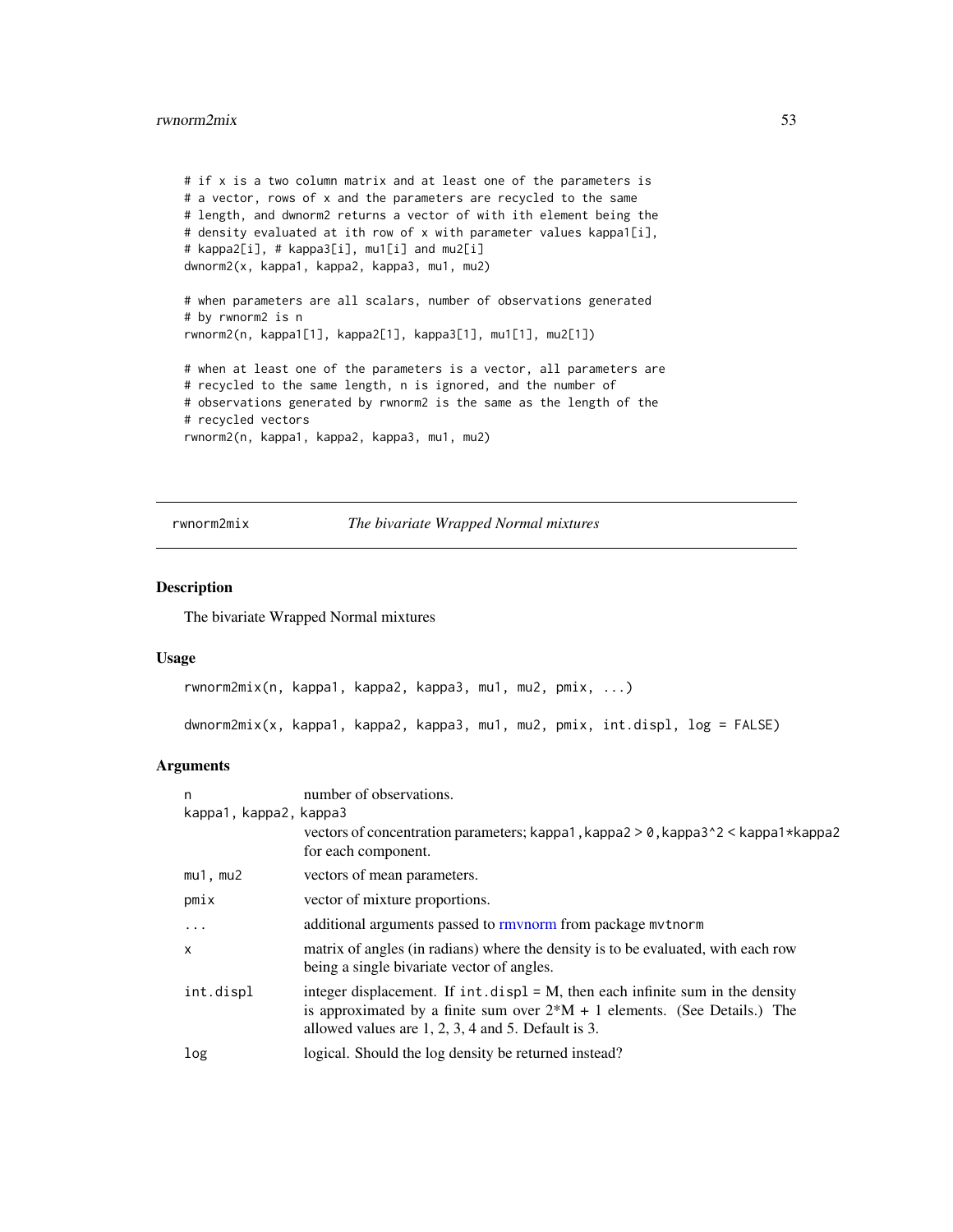#### <span id="page-52-0"></span>rwnorm2mix 53

```
# if x is a two column matrix and at least one of the parameters is
# a vector, rows of x and the parameters are recycled to the same
# length, and dwnorm2 returns a vector of with ith element being the
# density evaluated at ith row of x with parameter values kappa1[i],
# kappa2[i], # kappa3[i], mu1[i] and mu2[i]
dwnorm2(x, kappa1, kappa2, kappa3, mu1, mu2)
# when parameters are all scalars, number of observations generated
# by rwnorm2 is n
rwnorm2(n, kappa1[1], kappa2[1], kappa3[1], mu1[1], mu2[1])
# when at least one of the parameters is a vector, all parameters are
# recycled to the same length, n is ignored, and the number of
# observations generated by rwnorm2 is the same as the length of the
# recycled vectors
rwnorm2(n, kappa1, kappa2, kappa3, mu1, mu2)
```
## rwnorm2mix *The bivariate Wrapped Normal mixtures*

#### <span id="page-52-1"></span>Description

The bivariate Wrapped Normal mixtures

## Usage

```
rwnorm2mix(n, kappa1, kappa2, kappa3, mu1, mu2, pmix, ...)
dwnorm2mix(x, kappa1, kappa2, kappa3, mu1, mu2, pmix, int.displ, log = FALSE)
```

| n                      | number of observations.                                                                                                                                                                                                    |
|------------------------|----------------------------------------------------------------------------------------------------------------------------------------------------------------------------------------------------------------------------|
| kappa1, kappa2, kappa3 |                                                                                                                                                                                                                            |
|                        | vectors of concentration parameters; kappa1, kappa2 > 0, kappa3^2 < kappa1*kappa2<br>for each component.                                                                                                                   |
| $mu1$ , $mu2$          | vectors of mean parameters.                                                                                                                                                                                                |
| pmix                   | vector of mixture proportions.                                                                                                                                                                                             |
| $\ddots$ .             | additional arguments passed to rmynorm from package mythorm                                                                                                                                                                |
| $\times$               | matrix of angles (in radians) where the density is to be evaluated, with each row<br>being a single bivariate vector of angles.                                                                                            |
| int.displ              | integer displacement. If $int.$ displ = M, then each infinite sum in the density<br>is approximated by a finite sum over $2*M + 1$ elements. (See Details.) The<br>allowed values are $1, 2, 3, 4$ and $5$ . Default is 3. |
| log                    | logical. Should the log density be returned instead?                                                                                                                                                                       |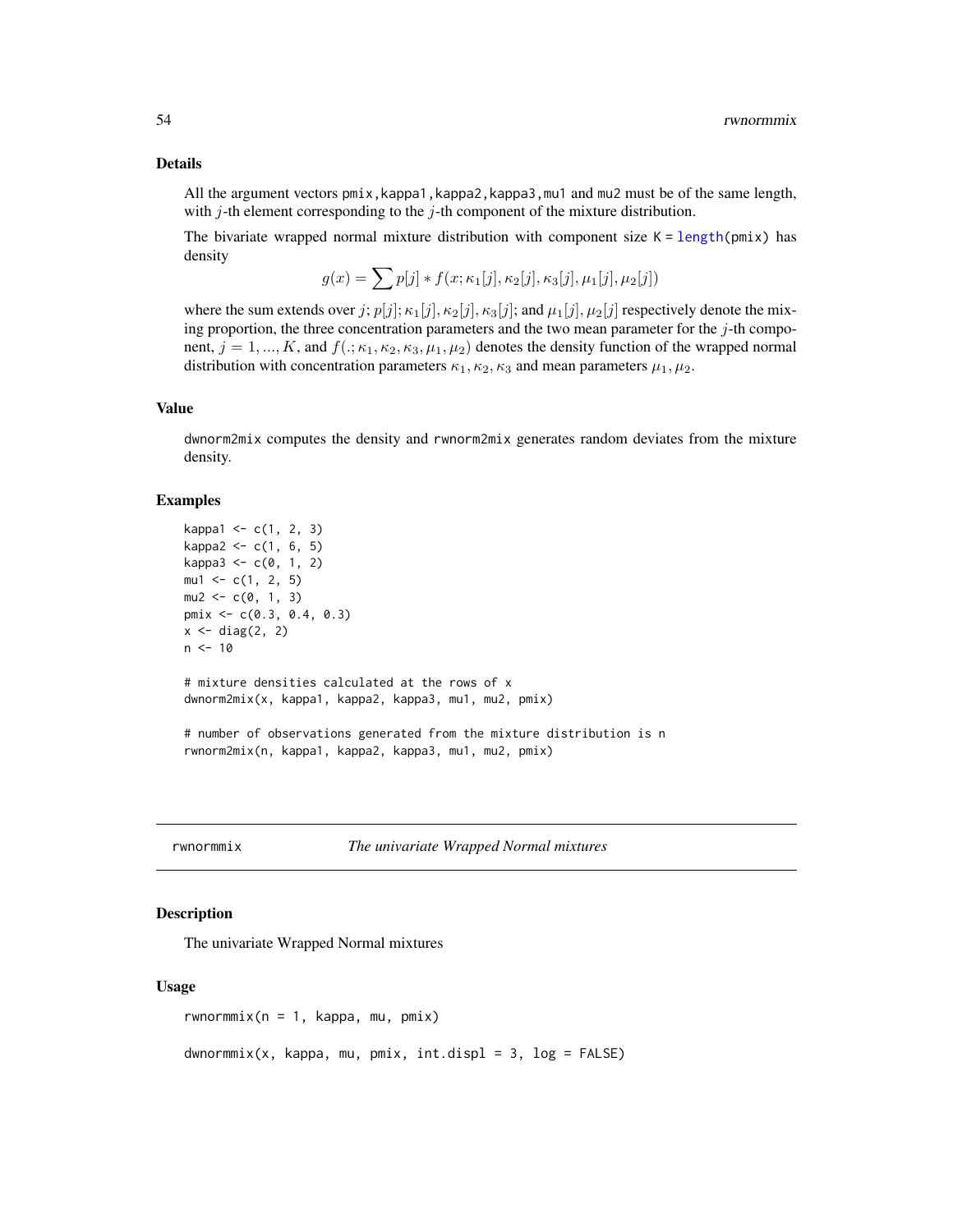#### <span id="page-53-0"></span>Details

All the argument vectors pmix,kappa1,kappa2,kappa3,mu1 and mu2 must be of the same length, with  $j$ -th element corresponding to the  $j$ -th component of the mixture distribution.

The bivariate wrapped normal mixture distribution with component size  $K = \text{length}(pmix)$  has density

$$
g(x) = \sum p[j] * f(x; \kappa_1[j], \kappa_2[j], \kappa_3[j], \mu_1[j], \mu_2[j])
$$

where the sum extends over j;  $p[j]; \kappa_1[j], \kappa_2[j], \kappa_3[j]$ ; and  $\mu_1[j], \mu_2[j]$  respectively denote the mixing proportion, the three concentration parameters and the two mean parameter for the  $j$ -th component,  $j = 1, ..., K$ , and  $f(.; \kappa_1, \kappa_2, \kappa_3, \mu_1, \mu_2)$  denotes the density function of the wrapped normal distribution with concentration parameters  $\kappa_1, \kappa_2, \kappa_3$  and mean parameters  $\mu_1, \mu_2$ .

## Value

dwnorm2mix computes the density and rwnorm2mix generates random deviates from the mixture density.

#### Examples

```
kappa1 < -c(1, 2, 3)kappa2 < -c(1, 6, 5)kappa3 < -c(0, 1, 2)mu1 \leq -c(1, 2, 5)mu2 < -c(0, 1, 3)pmix <- c(0.3, 0.4, 0.3)
x \leftarrow diag(2, 2)n < -10# mixture densities calculated at the rows of x
dwnorm2mix(x, kappa1, kappa2, kappa3, mu1, mu2, pmix)
# number of observations generated from the mixture distribution is n
rwnorm2mix(n, kappa1, kappa2, kappa3, mu1, mu2, pmix)
```
rwnormmix *The univariate Wrapped Normal mixtures*

## Description

The univariate Wrapped Normal mixtures

#### Usage

rwnormmix( $n = 1$ , kappa, mu, pmix)

 $d$ wnormmix(x, kappa, mu, pmix, int.displ = 3, log = FALSE)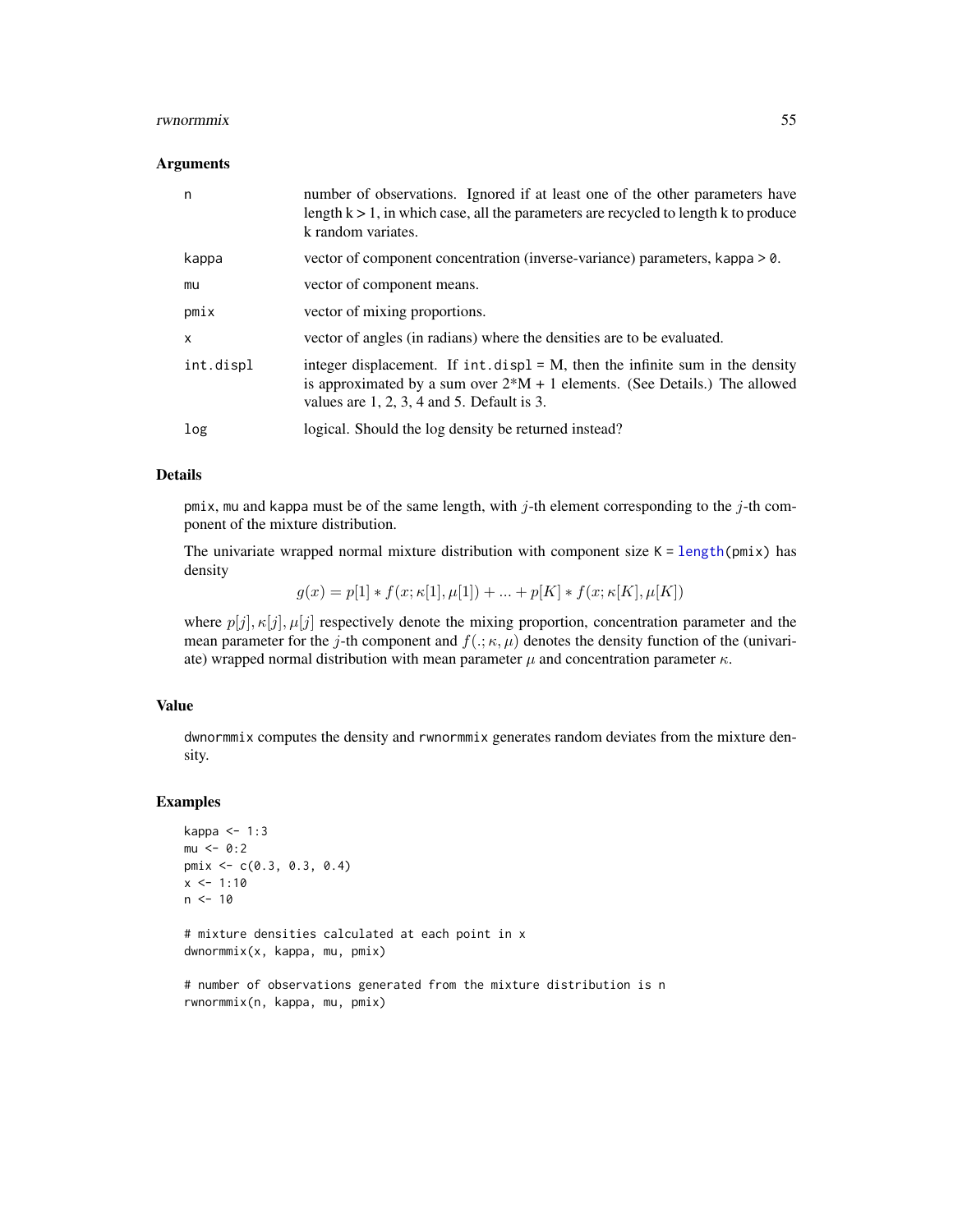#### <span id="page-54-0"></span>rwnormmix 55

#### Arguments

| n         | number of observations. Ignored if at least one of the other parameters have<br>length $k > 1$ , in which case, all the parameters are recycled to length k to produce<br>k random variates.                       |
|-----------|--------------------------------------------------------------------------------------------------------------------------------------------------------------------------------------------------------------------|
| kappa     | vector of component concentration (inverse-variance) parameters, kappa > 0.                                                                                                                                        |
| mu        | vector of component means.                                                                                                                                                                                         |
| pmix      | vector of mixing proportions.                                                                                                                                                                                      |
| x         | vector of angles (in radians) where the densities are to be evaluated.                                                                                                                                             |
| int.displ | integer displacement. If $int.disp1 = M$ , then the infinite sum in the density<br>is approximated by a sum over $2*M + 1$ elements. (See Details.) The allowed<br>values are $1, 2, 3, 4$ and $5$ . Default is 3. |
| log       | logical. Should the log density be returned instead?                                                                                                                                                               |

## Details

pmix, mu and kappa must be of the same length, with  $j$ -th element corresponding to the  $j$ -th component of the mixture distribution.

The univariate wrapped normal mixture distribution with component size  $K = length(pmix)$  $K = length(pmix)$  $K = length(pmix)$  has density

 $g(x) = p[1] * f(x; \kappa[1], \mu[1]) + ... + p[K] * f(x; \kappa[K], \mu[K])$ 

where  $p[j], \kappa[j], \mu[j]$  respectively denote the mixing proportion, concentration parameter and the mean parameter for the j-th component and  $f(.;\kappa,\mu)$  denotes the density function of the (univariate) wrapped normal distribution with mean parameter  $\mu$  and concentration parameter  $\kappa$ .

#### Value

dwnormmix computes the density and rwnormmix generates random deviates from the mixture density.

#### Examples

```
kappa <- 1:3
mu < -0:2pmix <- c(0.3, 0.3, 0.4)
x \le -1:10n < -10# mixture densities calculated at each point in x
dwnormmix(x, kappa, mu, pmix)
# number of observations generated from the mixture distribution is n
rwnormmix(n, kappa, mu, pmix)
```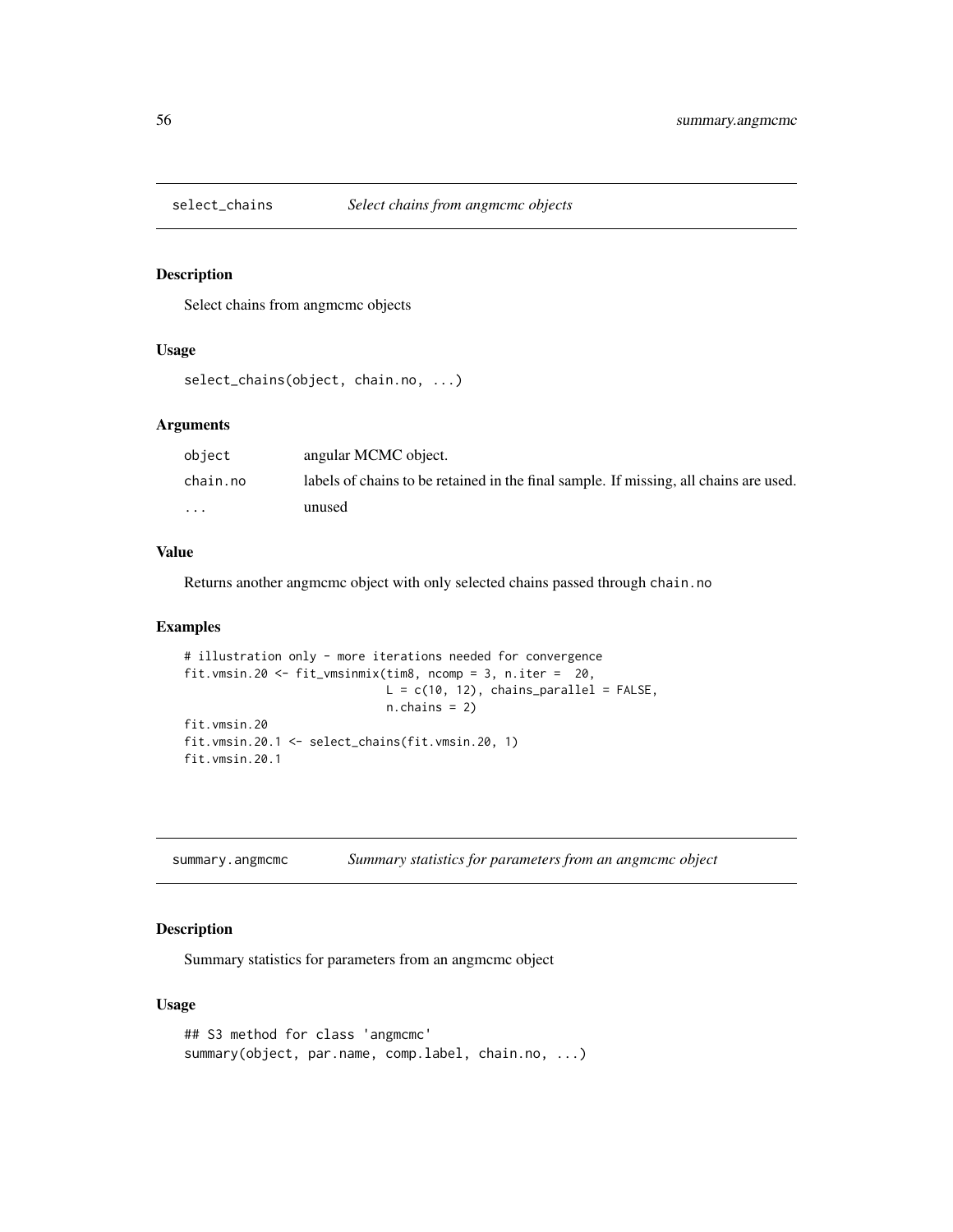<span id="page-55-0"></span>

## Description

Select chains from angmcmc objects

## Usage

```
select_chains(object, chain.no, ...)
```
#### Arguments

| object   | angular MCMC object.                                                                  |
|----------|---------------------------------------------------------------------------------------|
| chain.no | labels of chains to be retained in the final sample. If missing, all chains are used. |
| $\cdots$ | unused                                                                                |

## Value

Returns another angmcmc object with only selected chains passed through chain.no

#### Examples

```
# illustration only - more iterations needed for convergence
fit.vmsin.20 <- fit_vmsinmix(tim8, ncomp = 3, n.iter = 20,
                            L = c(10, 12), chains_parallel = FALSE,
                            n.chains = 2)
fit.vmsin.20
fit.vmsin.20.1 <- select_chains(fit.vmsin.20, 1)
fit.vmsin.20.1
```
summary.angmcmc *Summary statistics for parameters from an angmcmc object*

## Description

Summary statistics for parameters from an angmcmc object

#### Usage

```
## S3 method for class 'angmcmc'
summary(object, par.name, comp.label, chain.no, ...)
```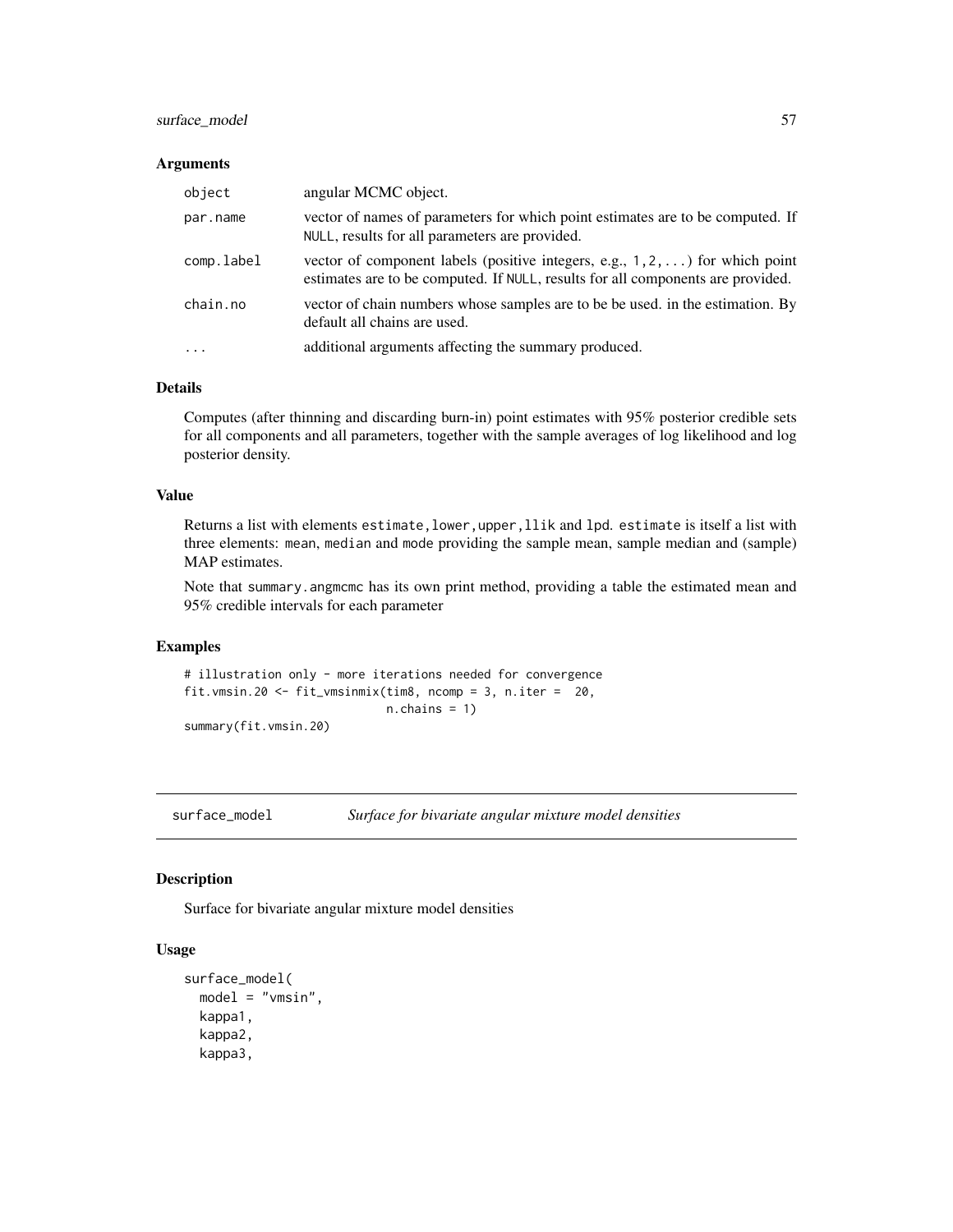## <span id="page-56-0"></span>surface\_model 57

#### Arguments

| object     | angular MCMC object.                                                                                                                                                     |
|------------|--------------------------------------------------------------------------------------------------------------------------------------------------------------------------|
| par.name   | vector of names of parameters for which point estimates are to be computed. If<br>NULL, results for all parameters are provided.                                         |
| comp.label | vector of component labels (positive integers, e.g., $1, 2, \ldots$ ) for which point<br>estimates are to be computed. If NULL, results for all components are provided. |
| chain.no   | vector of chain numbers whose samples are to be be used. in the estimation. By<br>default all chains are used.                                                           |
| $\cdot$    | additional arguments affecting the summary produced.                                                                                                                     |

## Details

Computes (after thinning and discarding burn-in) point estimates with 95% posterior credible sets for all components and all parameters, together with the sample averages of log likelihood and log posterior density.

## Value

Returns a list with elements estimate, lower, upper, llik and lpd. estimate is itself a list with three elements: mean, median and mode providing the sample mean, sample median and (sample) MAP estimates.

Note that summary. angmcmc has its own print method, providing a table the estimated mean and 95% credible intervals for each parameter

#### Examples

# illustration only - more iterations needed for convergence fit.vmsin.20 <- fit\_vmsinmix(tim8, ncomp = 3, n.iter = 20, n.chains = 1) summary(fit.vmsin.20)

surface\_model *Surface for bivariate angular mixture model densities*

#### Description

Surface for bivariate angular mixture model densities

## Usage

```
surface_model(
 model = "vmsin",
 kappa1,
  kappa2,
  kappa3,
```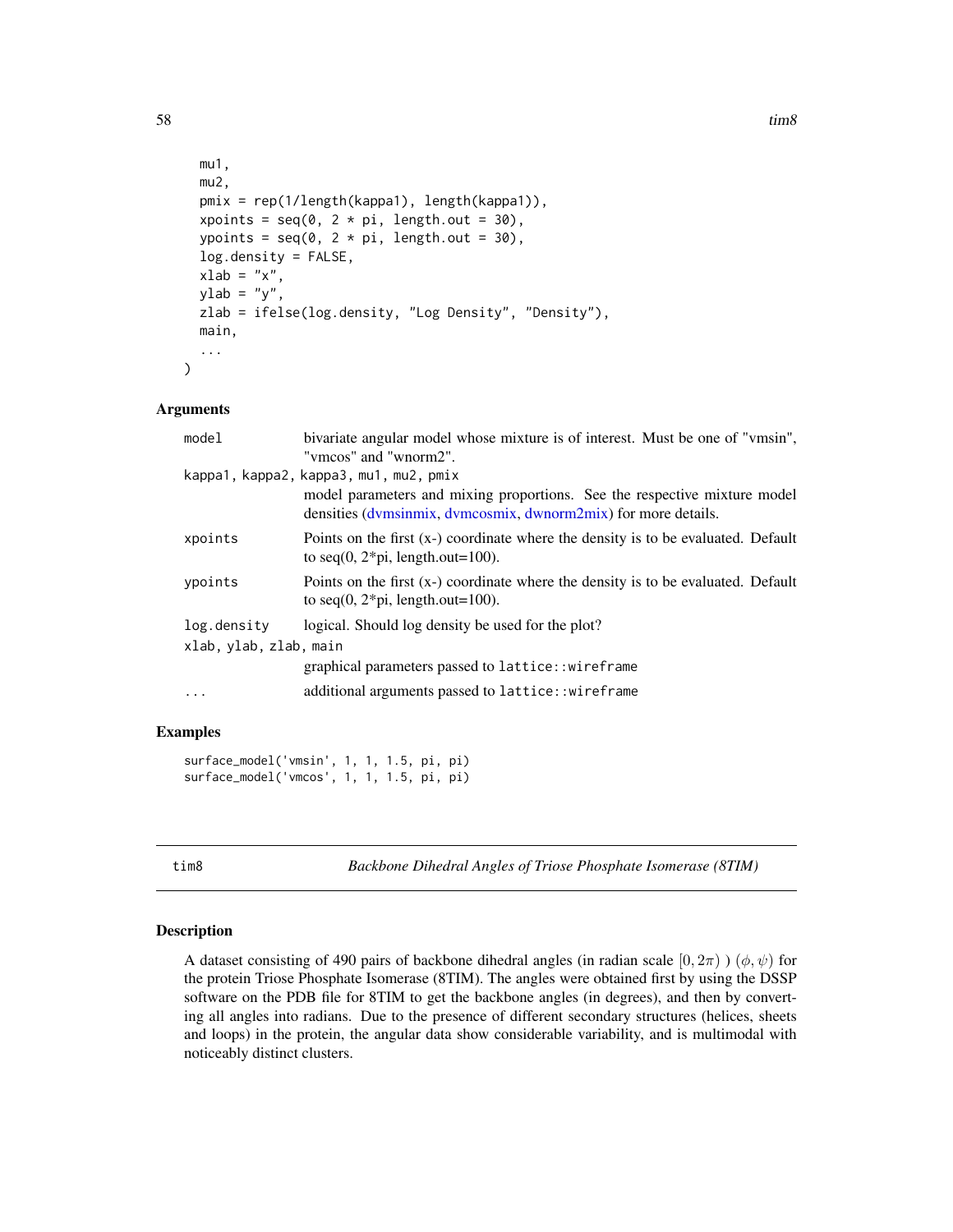```
mu1,
 mu2,
 pmix = rep(1/length(kappa1), length(kappa1)),
 xpoints = seq(0, 2 * pi, length.out = 30),
  ypoints = seq(0, 2 * pi, length.out = 30),
  log.density = FALSE,
  xlab = "x",
 ylab = "y",
  zlab = ifelse(log.density, "Log Density", "Density"),
 main,
  ...
)
```
#### Arguments

| bivariate angular model whose mixture is of interest. Must be one of "vmsin",                                                               |  |  |
|---------------------------------------------------------------------------------------------------------------------------------------------|--|--|
| "vmcos" and "wnorm2".                                                                                                                       |  |  |
| kappa1, kappa2, kappa3, mu1, mu2, pmix                                                                                                      |  |  |
| model parameters and mixing proportions. See the respective mixture model<br>densities (dymsinmix, dymcosmix, dwnorm2mix) for more details. |  |  |
| Points on the first (x-) coordinate where the density is to be evaluated. Default<br>to seq(0, $2 \times pi$ , length.out=100).             |  |  |
| Points on the first (x-) coordinate where the density is to be evaluated. Default<br>to seq(0, $2 \times pi$ , length.out=100).             |  |  |
| logical. Should log density be used for the plot?                                                                                           |  |  |
| xlab, ylab, zlab, main                                                                                                                      |  |  |
| graphical parameters passed to lattice:: wireframe                                                                                          |  |  |
| additional arguments passed to lattice::wireframe                                                                                           |  |  |
|                                                                                                                                             |  |  |

#### Examples

```
surface_model('vmsin', 1, 1, 1.5, pi, pi)
surface_model('vmcos', 1, 1, 1.5, pi, pi)
```
tim8 *Backbone Dihedral Angles of Triose Phosphate Isomerase (8TIM)*

#### Description

A dataset consisting of 490 pairs of backbone dihedral angles (in radian scale  $[0, 2\pi)$ )  $(\phi, \psi)$  for the protein Triose Phosphate Isomerase (8TIM). The angles were obtained first by using the DSSP software on the PDB file for 8TIM to get the backbone angles (in degrees), and then by converting all angles into radians. Due to the presence of different secondary structures (helices, sheets and loops) in the protein, the angular data show considerable variability, and is multimodal with noticeably distinct clusters.

<span id="page-57-0"></span>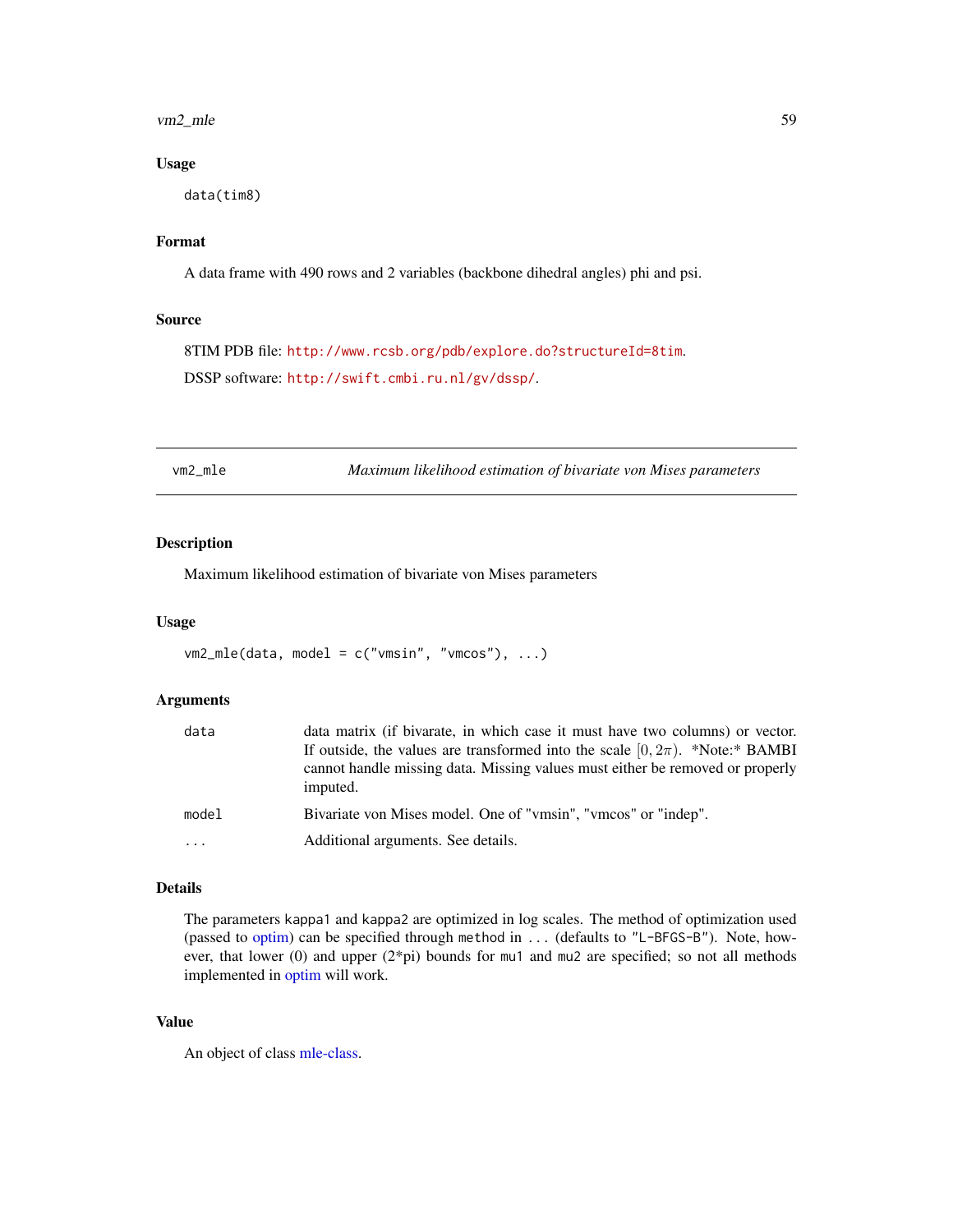#### <span id="page-58-0"></span>vm2\_mle 59

#### Usage

data(tim8)

## Format

A data frame with 490 rows and 2 variables (backbone dihedral angles) phi and psi.

## Source

8TIM PDB file: <http://www.rcsb.org/pdb/explore.do?structureId=8tim>. DSSP software: <http://swift.cmbi.ru.nl/gv/dssp/>.

vm2\_mle *Maximum likelihood estimation of bivariate von Mises parameters*

## Description

Maximum likelihood estimation of bivariate von Mises parameters

#### Usage

```
vm2_mle(data, model = c("vmsin", "vmcos"), ...)
```
#### Arguments

| data     | data matrix (if bivarate, in which case it must have two columns) or vector.<br>If outside, the values are transformed into the scale $[0, 2\pi)$ . *Note:* BAMBI<br>cannot handle missing data. Missing values must either be removed or properly<br>imputed. |
|----------|----------------------------------------------------------------------------------------------------------------------------------------------------------------------------------------------------------------------------------------------------------------|
| model    | Bivariate von Mises model. One of "vmsin", "vmcos" or "indep".                                                                                                                                                                                                 |
| $\ddots$ | Additional arguments. See details.                                                                                                                                                                                                                             |

## Details

The parameters kappa1 and kappa2 are optimized in log scales. The method of optimization used (passed to [optim\)](#page-0-0) can be specified through method in ... (defaults to "L-BFGS-B"). Note, however, that lower (0) and upper (2\*pi) bounds for mu1 and mu2 are specified; so not all methods implemented in [optim](#page-0-0) will work.

#### Value

An object of class [mle-class.](#page-0-0)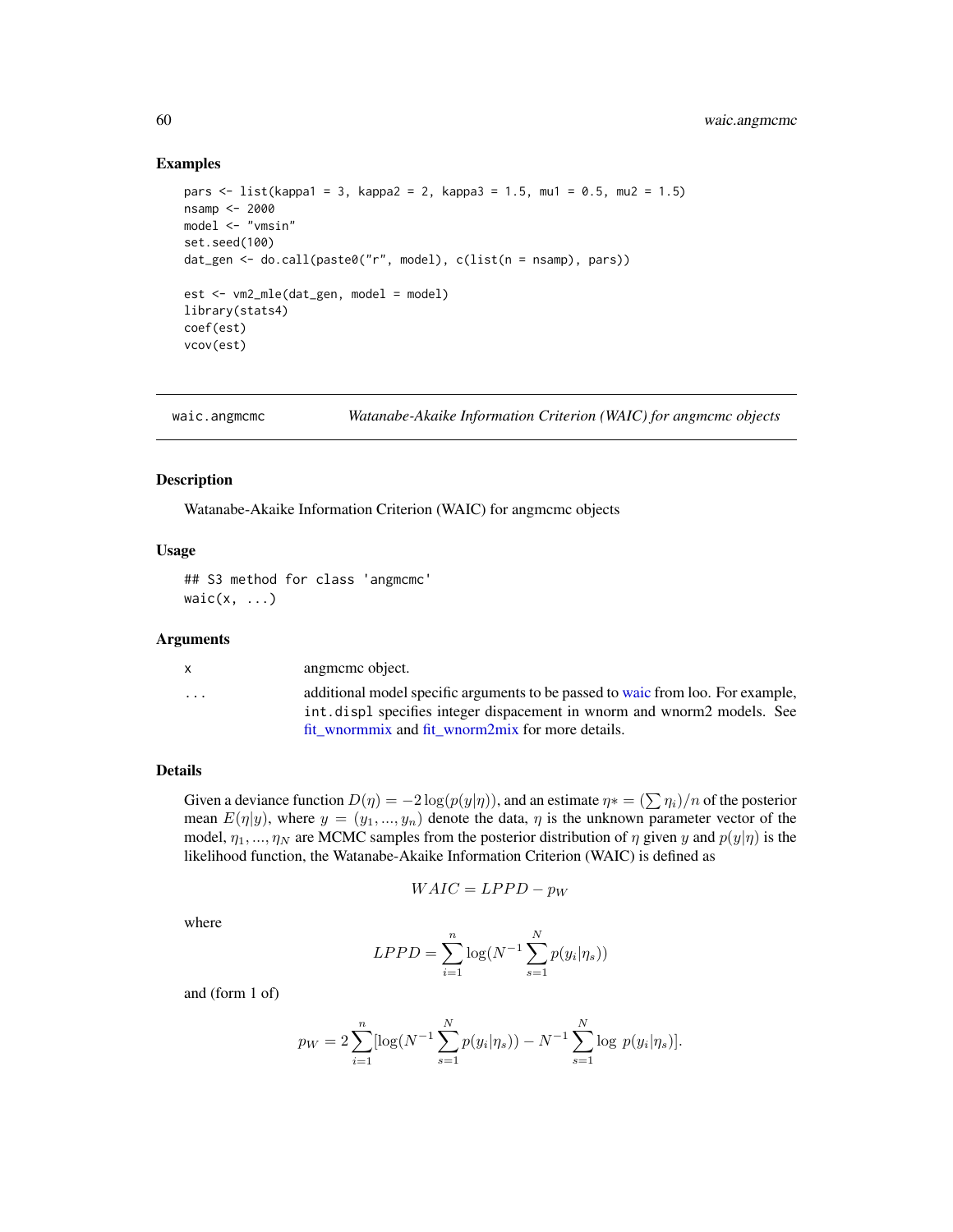#### Examples

```
pars <- list(kappa1 = 3, kappa2 = 2, kappa3 = 1.5, mu1 = 0.5, mu2 = 1.5)
nsamp <- 2000
model <- "vmsin"
set.seed(100)
dat_gen <- do.call(paste0("r", model), c(list(n = nsamp), pars))
est <- vm2_mle(dat_gen, model = model)
library(stats4)
coef(est)
vcov(est)
```

```
waic.angmcmc Watanabe-Akaike Information Criterion (WAIC) for angmcmc objects
```
#### Description

Watanabe-Akaike Information Criterion (WAIC) for angmcmc objects

#### Usage

## S3 method for class 'angmcmc' waic $(x, \ldots)$ 

#### Arguments

| $\mathsf{x}$ | angmeme object.                                                                                                                                            |
|--------------|------------------------------------------------------------------------------------------------------------------------------------------------------------|
| .            | additional model specific arguments to be passed to waic from loo. For example,<br>int displ specifies integer dispacement in whorm and whorm2 models. See |
|              | fit wnormmix and fit wnorm2mix for more details.                                                                                                           |

## Details

Given a deviance function  $D(\eta) = -2 \log(p(y|\eta))$ , and an estimate  $\eta * = (\sum \eta_i)/n$  of the posterior mean  $E(\eta|y)$ , where  $y = (y_1, ..., y_n)$  denote the data,  $\eta$  is the unknown parameter vector of the model,  $\eta_1, ..., \eta_N$  are MCMC samples from the posterior distribution of  $\eta$  given y and  $p(y|\eta)$  is the likelihood function, the Watanabe-Akaike Information Criterion (WAIC) is defined as

$$
WAIC = LPPD - p_W
$$

where

$$
LPPD = \sum_{i=1}^{n} \log(N^{-1} \sum_{s=1}^{N} p(y_i | \eta_s))
$$

and (form 1 of)

$$
p_W = 2 \sum_{i=1}^{n} [\log(N^{-1} \sum_{s=1}^{N} p(y_i | \eta_s)) - N^{-1} \sum_{s=1}^{N} \log p(y_i | \eta_s)].
$$

<span id="page-59-0"></span>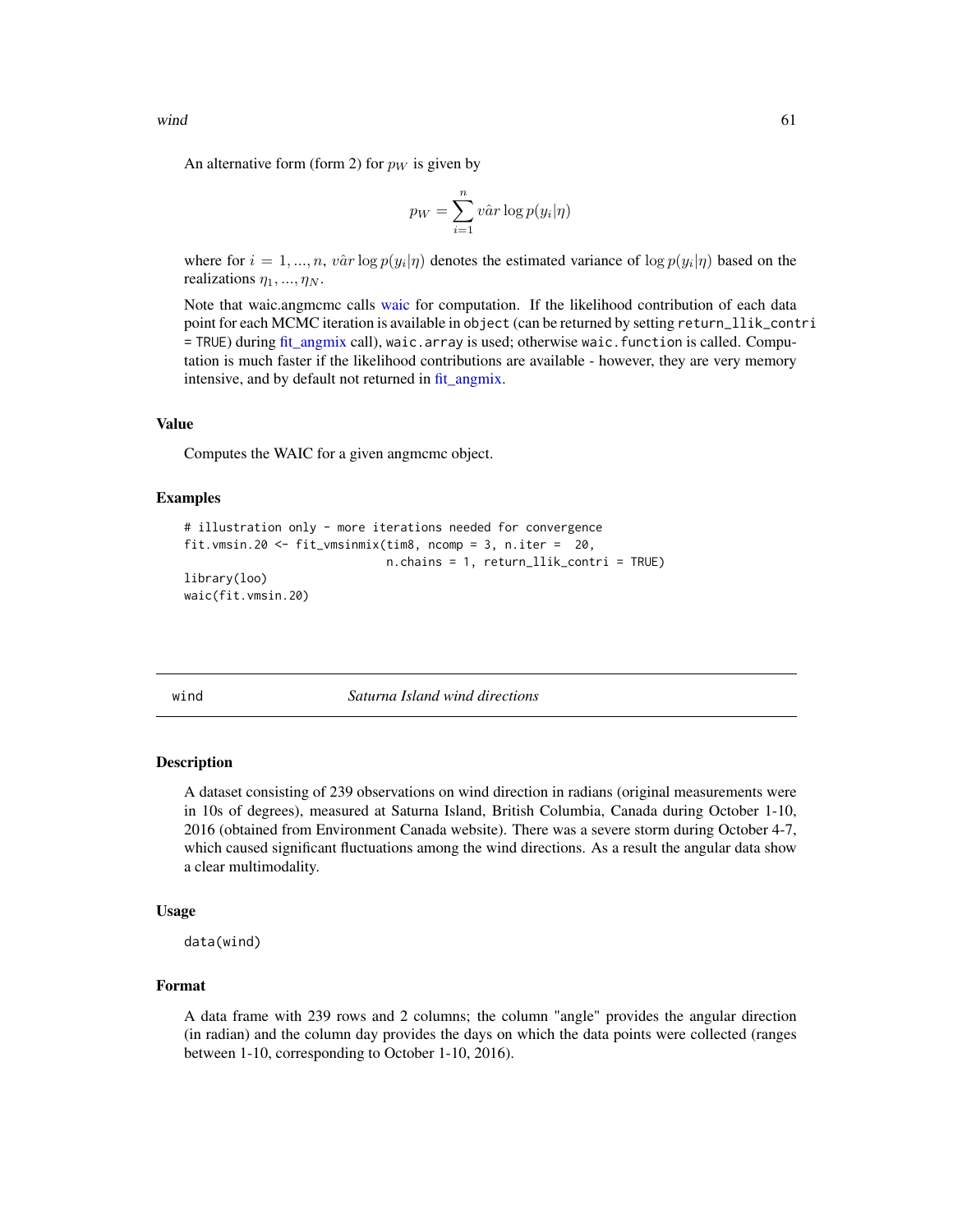<span id="page-60-0"></span>An alternative form (form 2) for  $p_W$  is given by

$$
p_W = \sum_{i=1}^{n} v \hat{a} r \log p(y_i | \eta)
$$

where for  $i = 1, ..., n$ ,  $v\hat{a}r \log p(y_i|\eta)$  denotes the estimated variance of  $\log p(y_i|\eta)$  based on the realizations  $\eta_1, \ldots, \eta_N$ .

Note that [waic](#page-0-0).angmcmc calls waic for computation. If the likelihood contribution of each data point for each MCMC iteration is available in object (can be returned by setting return\_llik\_contri = TRUE) during [fit\\_angmix](#page-16-1) call), waic.array is used; otherwise waic.function is called. Computation is much faster if the likelihood contributions are available - however, they are very memory intensive, and by default not returned in [fit\\_angmix.](#page-16-1)

#### Value

Computes the WAIC for a given angmcmc object.

#### Examples

```
# illustration only - more iterations needed for convergence
fit.vmsin.20 <- fit_vmsinmix(tim8, ncomp = 3, n.iter = 20,
                             n.chains = 1, return_llik_contri = TRUE)
library(loo)
waic(fit.vmsin.20)
```
wind *Saturna Island wind directions*

#### Description

A dataset consisting of 239 observations on wind direction in radians (original measurements were in 10s of degrees), measured at Saturna Island, British Columbia, Canada during October 1-10, 2016 (obtained from Environment Canada website). There was a severe storm during October 4-7, which caused significant fluctuations among the wind directions. As a result the angular data show a clear multimodality.

#### Usage

data(wind)

#### Format

A data frame with 239 rows and 2 columns; the column "angle" provides the angular direction (in radian) and the column day provides the days on which the data points were collected (ranges between 1-10, corresponding to October 1-10, 2016).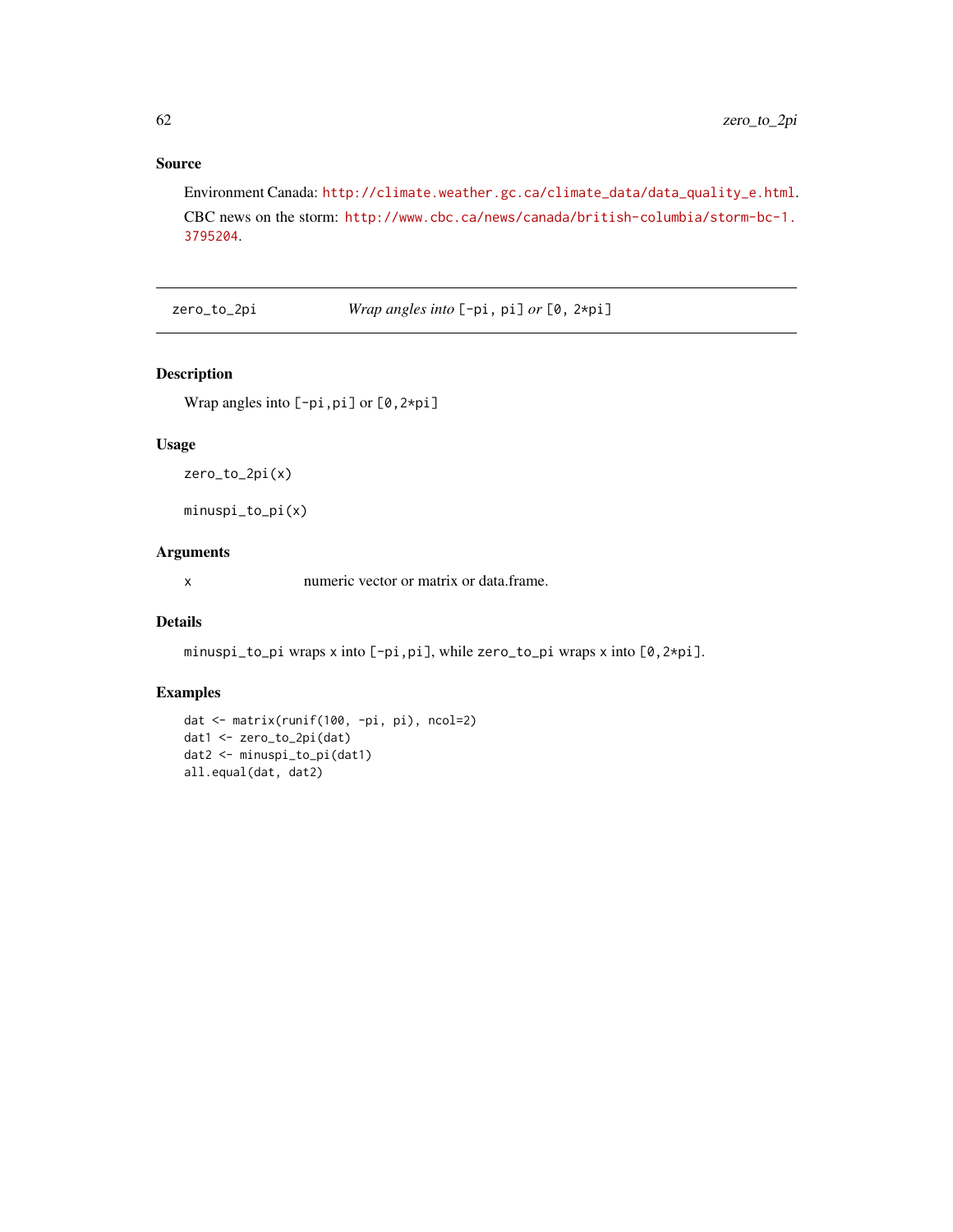## Source

Environment Canada: [http://climate.weather.gc.ca/climate\\_data/data\\_quality\\_e.html](http://climate.weather.gc.ca/climate_data/data_quality_e.html). CBC news on the storm: [http://www.cbc.ca/news/canada/british-columbia/storm-bc-1.](http://www.cbc.ca/news/canada/british-columbia/storm-bc-1.3795204) [3795204](http://www.cbc.ca/news/canada/british-columbia/storm-bc-1.3795204).

zero\_to\_2pi *Wrap angles into* [-pi, pi] *or* [0, 2\*pi]

## Description

Wrap angles into [-pi,pi] or [0,2\*pi]

## Usage

zero\_to\_2pi(x)

minuspi\_to\_pi(x)

## Arguments

x numeric vector or matrix or data.frame.

## Details

minuspi\_to\_pi wraps x into [-pi,pi], while zero\_to\_pi wraps x into [0,2\*pi].

## Examples

```
dat <- matrix(runif(100, -pi, pi), ncol=2)
dat1 <- zero_to_2pi(dat)
dat2 <- minuspi_to_pi(dat1)
all.equal(dat, dat2)
```
<span id="page-61-0"></span>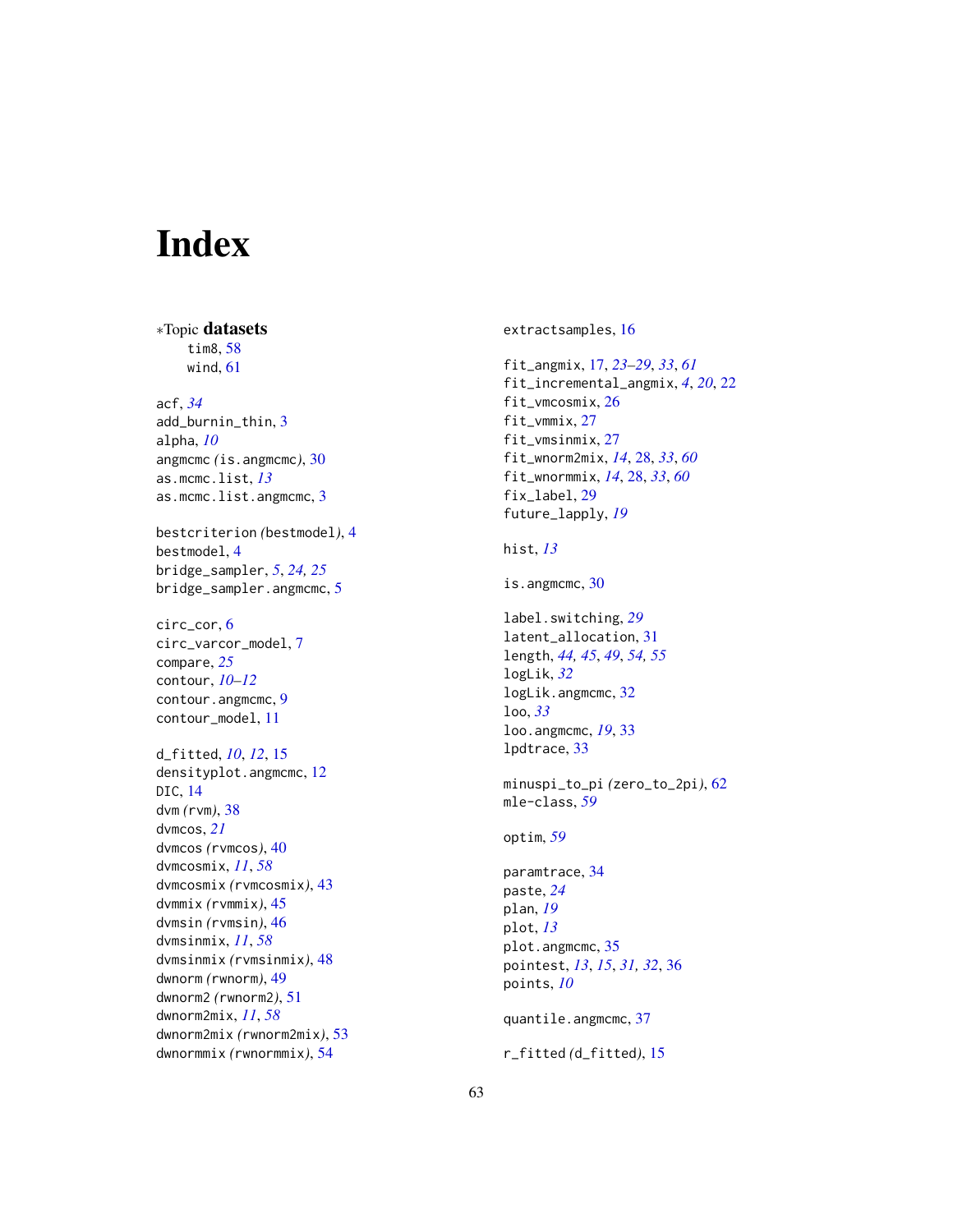# <span id="page-62-0"></span>Index

∗Topic datasets tim8 , [58](#page-57-0) wind , [61](#page-60-0) acf , *[34](#page-33-0)* add\_burnin\_thin , [3](#page-2-0) alpha , *[10](#page-9-0)* angmcmc *(*is.angmcmc *)* , [30](#page-29-0) as.mcmc.list , *[13](#page-12-0)* as.mcmc.list.angmcmc, [3](#page-2-0) bestcriterion *(*bestmodel *)* , [4](#page-3-0) bestmodel, [4](#page-3-0) bridge\_sampler , *[5](#page-4-0)* , *[24](#page-23-0) , [25](#page-24-0)* bridge\_sampler.angmcmc, [5](#page-4-0) circ\_cor , [6](#page-5-0) circ\_varcor\_model , [7](#page-6-0) compare , *[25](#page-24-0)* contour , *[10](#page-9-0)[–12](#page-11-0)* contour.angmcmc, [9](#page-8-0) contour\_model , [11](#page-10-0) d\_fitted , *[10](#page-9-0)* , *[12](#page-11-0)* , [15](#page-14-0) densityplot.angmcmc , [12](#page-11-0) DIC , [14](#page-13-0) dvm *(*rvm *)* , [38](#page-37-0) dvmcos , *[21](#page-20-0)* dvmcos *(*rvmcos *)* , [40](#page-39-0) dvmcosmix , *[11](#page-10-0)* , *[58](#page-57-0)* dvmcosmix *(*rvmcosmix *)* , [43](#page-42-0) dvmmix *(*rvmmix *)* , [45](#page-44-0) dvmsin *(*rvmsin *)* , [46](#page-45-0) dvmsinmix , *[11](#page-10-0)* , *[58](#page-57-0)* dvmsinmix *(*rvmsinmix *)* , [48](#page-47-0) dwnorm *(*rwnorm *)* , [49](#page-48-0) dwnorm2 *(*rwnorm2 *)* , [51](#page-50-0) dwnorm2mix , *[11](#page-10-0)* , *[58](#page-57-0)* dwnorm2mix *(*rwnorm2mix *)* , [53](#page-52-0) dwnormmix *(*rwnormmix *)* , [54](#page-53-0)

extractsamples , [16](#page-15-0) fit\_angmix , [17](#page-16-0) , *[23](#page-22-0) [–29](#page-28-0)* , *[33](#page-32-0)* , *[61](#page-60-0)* fit\_incremental\_angmix , *[4](#page-3-0)* , *[20](#page-19-0)* , [22](#page-21-0) fit\_vmcosmix, [26](#page-25-0) fit\_vmmix , [27](#page-26-0) fit\_vmsinmix, [27](#page-26-0) fit\_wnorm2mix , *[14](#page-13-0)* , [28](#page-27-0) , *[33](#page-32-0)* , *[60](#page-59-0)* fit\_wnormmix , *[14](#page-13-0)* , [28](#page-27-0) , *[33](#page-32-0)* , *[60](#page-59-0)* fix\_label , [29](#page-28-0) future\_lapply , *[19](#page-18-0)* hist , *[13](#page-12-0)* is.angmcmc, [30](#page-29-0) label.switching , *[29](#page-28-0)* latent\_allocation , [31](#page-30-0) length , *[44](#page-43-0) , [45](#page-44-0)* , *[49](#page-48-0)* , *[54](#page-53-0) , [55](#page-54-0)* logLik , *[32](#page-31-0)* logLik.angmcmc, [32](#page-31-0) loo , *[33](#page-32-0)* loo.angmcmc , *[19](#page-18-0)* , [33](#page-32-0) lpdtrace , [33](#page-32-0) minuspi\_to\_pi *(*zero\_to\_2pi *)* , [62](#page-61-0) mle-class , *[59](#page-58-0)* optim , *[59](#page-58-0)* paramtrace , [34](#page-33-0) paste , *[24](#page-23-0)* plan , *[19](#page-18-0)* plot , *[13](#page-12-0)* plot.angmcmc, [35](#page-34-0) pointest , *[13](#page-12-0)* , *[15](#page-14-0)* , *[31](#page-30-0) , [32](#page-31-0)* , [36](#page-35-0) points , *[10](#page-9-0)* quantile.angmcmc, [37](#page-36-0) r\_fitted *(*d\_fitted *)* , [15](#page-14-0)